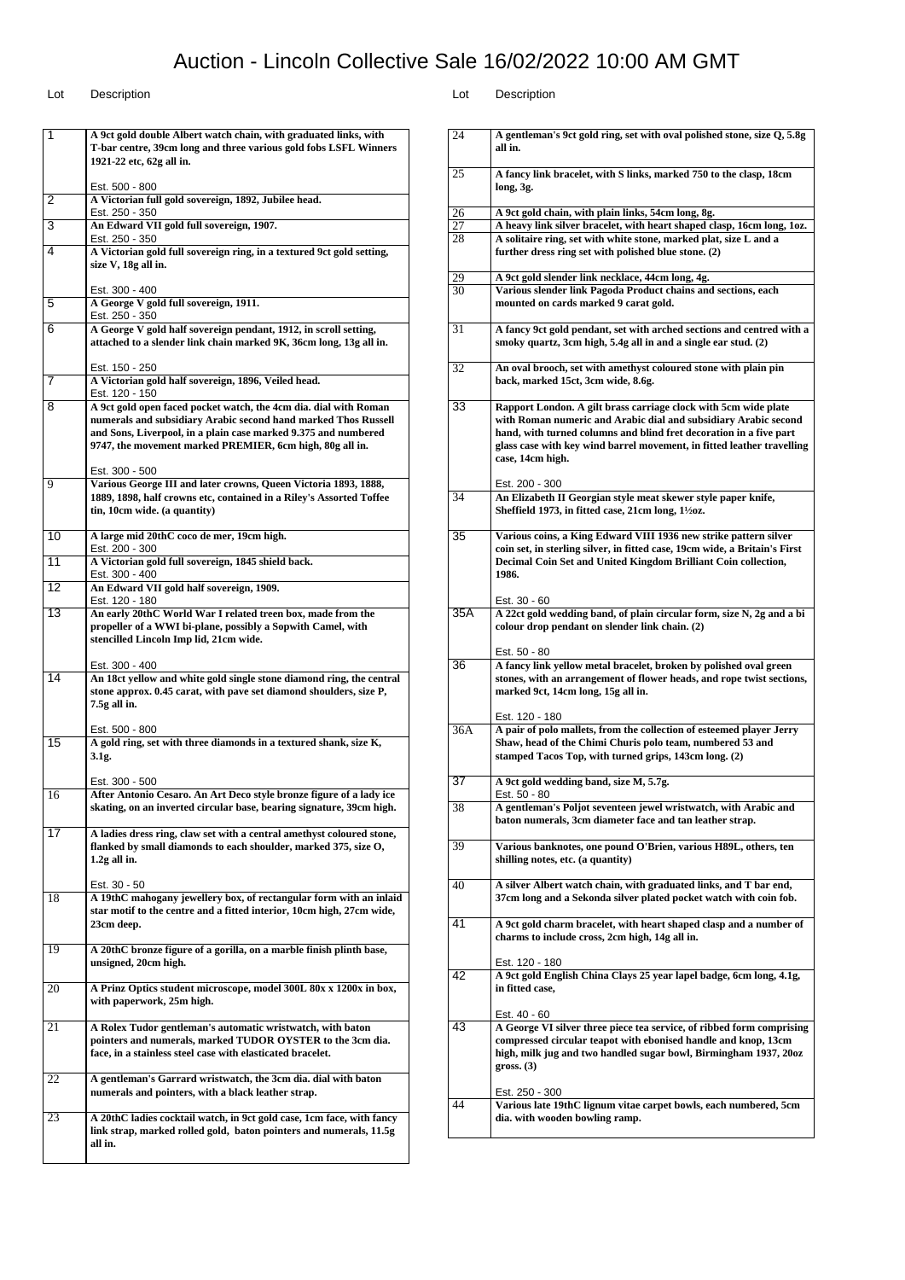| 1               | A 9ct gold double Albert watch chain, with graduated links, with                                                                                                                                                                                                 |
|-----------------|------------------------------------------------------------------------------------------------------------------------------------------------------------------------------------------------------------------------------------------------------------------|
|                 | T-bar centre, 39cm long and three various gold fobs LSFL Winners<br>1921-22 etc, 62g all in.                                                                                                                                                                     |
|                 | Est. 500 - 800                                                                                                                                                                                                                                                   |
| 2               | A Victorian full gold sovereign, 1892, Jubilee head.<br>Est. 250 - 350                                                                                                                                                                                           |
| 3               | An Edward VII gold full sovereign, 1907.<br>Est. 250 - 350                                                                                                                                                                                                       |
| 4               | A Victorian gold full sovereign ring, in a textured 9ct gold setting,<br>size V, 18g all in.                                                                                                                                                                     |
|                 | Est. 300 - 400                                                                                                                                                                                                                                                   |
| 5               | A George V gold full sovereign, 1911.<br>Est. 250 - 350                                                                                                                                                                                                          |
| 6               | A George V gold half sovereign pendant, 1912, in scroll setting,<br>attached to a slender link chain marked 9K, 36cm long, 13g all in.                                                                                                                           |
|                 | Est. 150 - 250                                                                                                                                                                                                                                                   |
| 7               | A Victorian gold half sovereign, 1896, Veiled head.<br>Est. 120 - 150                                                                                                                                                                                            |
| 8               | A 9ct gold open faced pocket watch, the 4cm dia. dial with Roman<br>numerals and subsidiary Arabic second hand marked Thos Russell<br>and Sons, Liverpool, in a plain case marked 9.375 and numbered<br>9747, the movement marked PREMIER, 6cm high, 80g all in. |
|                 | Est. 300 - 500<br>Various George III and later crowns, Queen Victoria 1893, 1888,                                                                                                                                                                                |
| 9               | 1889, 1898, half crowns etc, contained in a Riley's Assorted Toffee<br>tin, 10cm wide. (a quantity)                                                                                                                                                              |
| 10              | A large mid 20thC coco de mer, 19cm high.<br>Est. 200 - 300                                                                                                                                                                                                      |
| 11              | A Victorian gold full sovereign, 1845 shield back.                                                                                                                                                                                                               |
| 12              | Est. 300 - 400<br>An Edward VII gold half sovereign, 1909.                                                                                                                                                                                                       |
|                 | Est. 120 - 180                                                                                                                                                                                                                                                   |
| 13              | An early 20thC World War I related treen box, made from the<br>propeller of a WWI bi-plane, possibly a Sopwith Camel, with<br>stencilled Lincoln Imp lid, 21cm wide.                                                                                             |
|                 | Est. 300 - 400                                                                                                                                                                                                                                                   |
| $\overline{14}$ | An 18ct yellow and white gold single stone diamond ring, the central<br>stone approx. 0.45 carat, with pave set diamond shoulders, size P,<br>7.5g all in.                                                                                                       |
|                 | Est. 500 - 800                                                                                                                                                                                                                                                   |
| 15              | A gold ring, set with three diamonds in a textured shank, size K,<br>3.1g.                                                                                                                                                                                       |
|                 | Est. 300 - 500                                                                                                                                                                                                                                                   |
| 16              | After Antonio Cesaro. An Art Deco style bronze figure of a lady ice<br>skating, on an inverted circular base, bearing signature, 39cm high.                                                                                                                      |
| 17              | A ladies dress ring, claw set with a central amethyst coloured stone,<br>flanked by small diamonds to each shoulder, marked 375, size O,<br>1.2g all in.                                                                                                         |
|                 | Est. 30 - 50                                                                                                                                                                                                                                                     |
| 18              | A 19thC mahogany jewellery box, of rectangular form with an inlaid<br>star motif to the centre and a fitted interior, 10cm high, 27cm wide,<br>23cm deep.                                                                                                        |
| 19              | A 20thC bronze figure of a gorilla, on a marble finish plinth base,<br>unsigned, 20cm high.                                                                                                                                                                      |
| 20              | A Prinz Optics student microscope, model 300L 80x x 1200x in box,<br>with paperwork, 25m high.                                                                                                                                                                   |
| 21              | A Rolex Tudor gentleman's automatic wristwatch, with baton<br>pointers and numerals, marked TUDOR OYSTER to the 3cm dia.<br>face, in a stainless steel case with elasticated bracelet.                                                                           |
| 22              | A gentleman's Garrard wristwatch, the 3cm dia. dial with baton<br>numerals and pointers, with a black leather strap.                                                                                                                                             |
| 23              | A 20thC ladies cocktail watch, in 9ct gold case, 1cm face, with fancy<br>link strap, marked rolled gold, baton pointers and numerals, 11.5g<br>all in.                                                                                                           |
|                 |                                                                                                                                                                                                                                                                  |

| 24              | A gentleman's 9ct gold ring, set with oval polished stone, size Q, 5.8g                                                                 |
|-----------------|-----------------------------------------------------------------------------------------------------------------------------------------|
|                 | all in.                                                                                                                                 |
| 25              | A fancy link bracelet, with S links, marked 750 to the clasp, 18cm                                                                      |
|                 | long, 3g.                                                                                                                               |
|                 |                                                                                                                                         |
| $\overline{26}$ | A 9ct gold chain, with plain links, 54cm long, 8g.                                                                                      |
| 27              | A heavy link silver bracelet, with heart shaped clasp, 16cm long, 1oz.                                                                  |
| 28              | A solitaire ring, set with white stone, marked plat, size L and a                                                                       |
|                 | further dress ring set with polished blue stone. (2)                                                                                    |
| 29              | A 9ct gold slender link necklace, 44cm long, 4g.                                                                                        |
| 30              | Various slender link Pagoda Product chains and sections, each                                                                           |
|                 | mounted on cards marked 9 carat gold.                                                                                                   |
|                 |                                                                                                                                         |
| 31              | A fancy 9ct gold pendant, set with arched sections and centred with a<br>smoky quartz, 3cm high, 5.4g all in and a single ear stud. (2) |
|                 |                                                                                                                                         |
| 32              | An oval brooch, set with amethyst coloured stone with plain pin                                                                         |
|                 | back, marked 15ct, 3cm wide, 8.6g.                                                                                                      |
|                 |                                                                                                                                         |
| 33              | Rapport London. A gilt brass carriage clock with 5cm wide plate<br>with Roman numeric and Arabic dial and subsidiary Arabic second      |
|                 | hand, with turned columns and blind fret decoration in a five part                                                                      |
|                 | glass case with key wind barrel movement, in fitted leather travelling                                                                  |
|                 | case, 14cm high.                                                                                                                        |
|                 |                                                                                                                                         |
|                 | Est. 200 - 300                                                                                                                          |
| 34              | An Elizabeth II Georgian style meat skewer style paper knife,<br>Sheffield 1973, in fitted case, 21cm long, 1½oz.                       |
|                 |                                                                                                                                         |
| 35              | Various coins, a King Edward VIII 1936 new strike pattern silver                                                                        |
|                 | coin set, in sterling silver, in fitted case, 19cm wide, a Britain's First                                                              |
|                 | Decimal Coin Set and United Kingdom Brilliant Coin collection,                                                                          |
|                 | 1986.                                                                                                                                   |
|                 | Est. 30 - 60                                                                                                                            |
| 35A             | A 22ct gold wedding band, of plain circular form, size N, 2g and a bi                                                                   |
|                 | colour drop pendant on slender link chain. (2)                                                                                          |
|                 |                                                                                                                                         |
|                 |                                                                                                                                         |
|                 | Est. 50 - 80                                                                                                                            |
| 36              | A fancy link yellow metal bracelet, broken by polished oval green                                                                       |
|                 | stones, with an arrangement of flower heads, and rope twist sections,<br>marked 9ct, 14cm long, 15g all in.                             |
|                 |                                                                                                                                         |
|                 | Est. 120 - 180                                                                                                                          |
| 36A             | A pair of polo mallets, from the collection of esteemed player Jerry                                                                    |
|                 | Shaw, head of the Chimi Churis polo team, numbered 53 and                                                                               |
|                 | stamped Tacos Top, with turned grips, 143cm long. (2)                                                                                   |
| 37              | A 9ct gold wedding band, size M, 5.7g.                                                                                                  |
|                 | Est. 50 - 80                                                                                                                            |
| 38              | A gentleman's Poljot seventeen jewel wristwatch, with Arabic and                                                                        |
|                 | baton numerals, 3cm diameter face and tan leather strap.                                                                                |
| 39              | Various banknotes, one pound O'Brien, various H89L, others, ten                                                                         |
|                 | shilling notes, etc. (a quantity)                                                                                                       |
|                 |                                                                                                                                         |
| 40              | A silver Albert watch chain, with graduated links, and T bar end,                                                                       |
|                 | 37cm long and a Sekonda silver plated pocket watch with coin fob.                                                                       |
| 41              | A 9ct gold charm bracelet, with heart shaped clasp and a number of                                                                      |
|                 | charms to include cross, 2cm high, 14g all in.                                                                                          |
|                 |                                                                                                                                         |
|                 | Est. 120 - 180                                                                                                                          |
| 42              | A 9ct gold English China Clays 25 year lapel badge, 6cm long, 4.1g,<br>in fitted case,                                                  |
|                 |                                                                                                                                         |
|                 | Est. 40 - 60                                                                                                                            |
| 43              | A George VI silver three piece tea service, of ribbed form comprising                                                                   |
|                 | compressed circular teapot with ebonised handle and knop, 13cm                                                                          |
|                 | high, milk jug and two handled sugar bowl, Birmingham 1937, 20oz                                                                        |
|                 | gross. (3)                                                                                                                              |
|                 | Est. 250 - 300                                                                                                                          |
| 44              | Various late 19thC lignum vitae carpet bowls, each numbered, 5cm                                                                        |
|                 | dia. with wooden bowling ramp.                                                                                                          |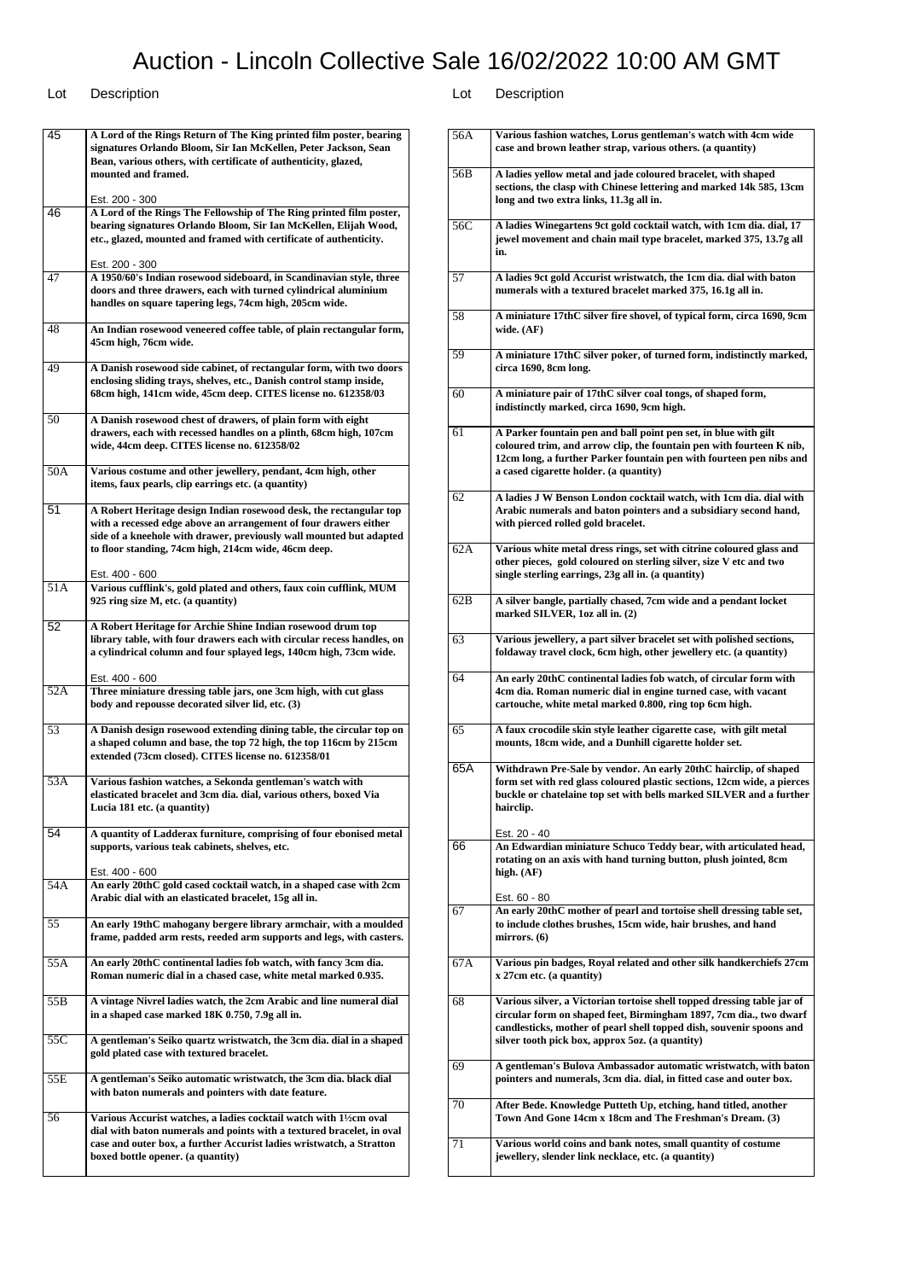| 45               | A Lord of the Rings Return of The King printed film poster, bearing<br>signatures Orlando Bloom, Sir Ian McKellen, Peter Jackson, Sean<br>Bean, various others, with certificate of authenticity, glazed,<br>mounted and framed.<br>Est. 200 - 300                    |
|------------------|-----------------------------------------------------------------------------------------------------------------------------------------------------------------------------------------------------------------------------------------------------------------------|
| 46               | A Lord of the Rings The Fellowship of The Ring printed film poster,<br>bearing signatures Orlando Bloom, Sir Ian McKellen, Elijah Wood,<br>etc., glazed, mounted and framed with certificate of authenticity.                                                         |
| 47               | Est. 200 - 300<br>A 1950/60's Indian rosewood sideboard, in Scandinavian style, three<br>doors and three drawers, each with turned cylindrical aluminium<br>handles on square tapering legs, 74cm high, 205cm wide.                                                   |
| 48               | An Indian rosewood veneered coffee table, of plain rectangular form,<br>45cm high, 76cm wide.                                                                                                                                                                         |
| 49               | A Danish rosewood side cabinet, of rectangular form, with two doors<br>enclosing sliding trays, shelves, etc., Danish control stamp inside,<br>68cm high, 141cm wide, 45cm deep. CITES license no. 612358/03                                                          |
| 50               | A Danish rosewood chest of drawers, of plain form with eight<br>drawers, each with recessed handles on a plinth, 68cm high, 107cm<br>wide, 44cm deep. CITES license no. 612358/02                                                                                     |
| 50A              | Various costume and other jewellery, pendant, 4cm high, other<br>items, faux pearls, clip earrings etc. (a quantity)                                                                                                                                                  |
| 51               | A Robert Heritage design Indian rosewood desk, the rectangular top<br>with a recessed edge above an arrangement of four drawers either<br>side of a kneehole with drawer, previously wall mounted but adapted<br>to floor standing, 74cm high, 214cm wide, 46cm deep. |
| 51A              | Est. 400 - 600<br>Various cufflink's, gold plated and others, faux coin cufflink, MUM<br>925 ring size M, etc. (a quantity)                                                                                                                                           |
| 52               | A Robert Heritage for Archie Shine Indian rosewood drum top<br>library table, with four drawers each with circular recess handles, on<br>a cylindrical column and four splayed legs, 140cm high, 73cm wide.                                                           |
| 52A              | Est. 400 - 600<br>Three miniature dressing table jars, one 3cm high, with cut glass<br>body and repousse decorated silver lid, etc. (3)                                                                                                                               |
| 53               | A Danish design rosewood extending dining table, the circular top on<br>a shaped column and base, the top 72 high, the top 116cm by 215cm<br>extended (73cm closed). CITES license no. 612358/01                                                                      |
| $53\overline{A}$ | Various fashion watches, a Sekonda gentleman's watch with<br>elasticated bracelet and 3cm dia. dial, various others, boxed Via<br>Lucia 181 etc. (a quantity)                                                                                                         |
| 54               | A quantity of Ladderax furniture, comprising of four ebonised metal<br>supports, various teak cabinets, shelves, etc.<br>Est. 400 - 600                                                                                                                               |
| 54A              | An early 20thC gold cased cocktail watch, in a shaped case with 2cm<br>Arabic dial with an elasticated bracelet, 15g all in.                                                                                                                                          |
| 55               | An early 19thC mahogany bergere library armchair, with a moulded<br>frame, padded arm rests, reeded arm supports and legs, with casters.                                                                                                                              |
| 55A              | An early 20thC continental ladies fob watch, with fancy 3cm dia.<br>Roman numeric dial in a chased case, white metal marked 0.935.                                                                                                                                    |
| 55B              | A vintage Nivrel ladies watch, the 2cm Arabic and line numeral dial<br>in a shaped case marked 18K 0.750, 7.9g all in.                                                                                                                                                |
| 55C              | A gentleman's Seiko quartz wristwatch, the 3cm dia. dial in a shaped<br>gold plated case with textured bracelet.                                                                                                                                                      |
| 55E              | A gentleman's Seiko automatic wristwatch, the 3cm dia. black dial<br>with baton numerals and pointers with date feature.                                                                                                                                              |
| 56               | Various Accurist watches, a ladies cocktail watch with 11/2cm oval<br>dial with baton numerals and points with a textured bracelet, in oval<br>case and outer box, a further Accurist ladies wristwatch, a Stratton<br>boxed bottle opener. (a quantity)              |

| 56A | Various fashion watches, Lorus gentleman's watch with 4cm wide<br>case and brown leather strap, various others. (a quantity)                                                                                                                                             |
|-----|--------------------------------------------------------------------------------------------------------------------------------------------------------------------------------------------------------------------------------------------------------------------------|
| 56B | A ladies yellow metal and jade coloured bracelet, with shaped<br>sections, the clasp with Chinese lettering and marked 14k 585, 13cm<br>long and two extra links, 11.3g all in.                                                                                          |
| 56C | A ladies Winegartens 9ct gold cocktail watch, with 1cm dia. dial, 17<br>jewel movement and chain mail type bracelet, marked 375, 13.7g all<br>in.                                                                                                                        |
| 57  | A ladies 9ct gold Accurist wristwatch, the 1cm dia. dial with baton<br>numerals with a textured bracelet marked 375, 16.1g all in.                                                                                                                                       |
| 58  | A miniature 17thC silver fire shovel, of typical form, circa 1690, 9cm<br>wide. (AF)                                                                                                                                                                                     |
| 59  | A miniature 17thC silver poker, of turned form, indistinctly marked,<br>circa 1690, 8cm long.                                                                                                                                                                            |
| 60  | A miniature pair of 17thC silver coal tongs, of shaped form,<br>indistinctly marked, circa 1690, 9cm high.                                                                                                                                                               |
| 61  | A Parker fountain pen and ball point pen set, in blue with gilt<br>coloured trim, and arrow clip, the fountain pen with fourteen K nib,<br>12cm long, a further Parker fountain pen with fourteen pen nibs and<br>a cased cigarette holder. (a quantity)                 |
| 62  | A ladies J W Benson London cocktail watch, with 1cm dia. dial with<br>Arabic numerals and baton pointers and a subsidiary second hand,<br>with pierced rolled gold bracelet.                                                                                             |
| 62A | Various white metal dress rings, set with citrine coloured glass and<br>other pieces, gold coloured on sterling silver, size V etc and two<br>single sterling earrings, 23g all in. (a quantity)                                                                         |
| 62B | A silver bangle, partially chased, 7cm wide and a pendant locket<br>marked SILVER, 1oz all in. (2)                                                                                                                                                                       |
| 63  | Various jewellery, a part silver bracelet set with polished sections,<br>foldaway travel clock, 6cm high, other jewellery etc. (a quantity)                                                                                                                              |
| 64  | An early 20thC continental ladies fob watch, of circular form with<br>4cm dia. Roman numeric dial in engine turned case, with vacant<br>cartouche, white metal marked 0.800, ring top 6cm high.                                                                          |
| 65  | A faux crocodile skin style leather cigarette case, with gilt metal<br>mounts, 18cm wide, and a Dunhill cigarette holder set.                                                                                                                                            |
| 65A | Withdrawn Pre-Sale by vendor. An early 20thC hairclip, of shaped<br>form set with red glass coloured plastic sections, 12cm wide, a pierces<br>buckle or chatelaine top set with bells marked SILVER and a further<br>hairclip.<br>Est. 20 - 40                          |
| 66  | An Edwardian miniature Schuco Teddy bear, with articulated head,<br>rotating on an axis with hand turning button, plush jointed, 8cm<br>high. $(AF)$                                                                                                                     |
| 67  | Est. 60 - 80<br>An early 20thC mother of pearl and tortoise shell dressing table set,<br>to include clothes brushes, 15cm wide, hair brushes, and hand<br>mirrors. $(6)$                                                                                                 |
| 67A | Various pin badges, Royal related and other silk handkerchiefs 27cm<br>x 27cm etc. (a quantity)                                                                                                                                                                          |
| 68  | Various silver, a Victorian tortoise shell topped dressing table jar of<br>circular form on shaped feet, Birmingham 1897, 7cm dia., two dwarf<br>candlesticks, mother of pearl shell topped dish, souvenir spoons and<br>silver tooth pick box, approx 5oz. (a quantity) |
| 69  | A gentleman's Bulova Ambassador automatic wristwatch, with baton<br>pointers and numerals, 3cm dia. dial, in fitted case and outer box.                                                                                                                                  |
| 70  | After Bede. Knowledge Putteth Up, etching, hand titled, another<br>Town And Gone 14cm x 18cm and The Freshman's Dream. (3)                                                                                                                                               |
| 71  | Various world coins and bank notes, small quantity of costume<br>jewellery, slender link necklace, etc. (a quantity)                                                                                                                                                     |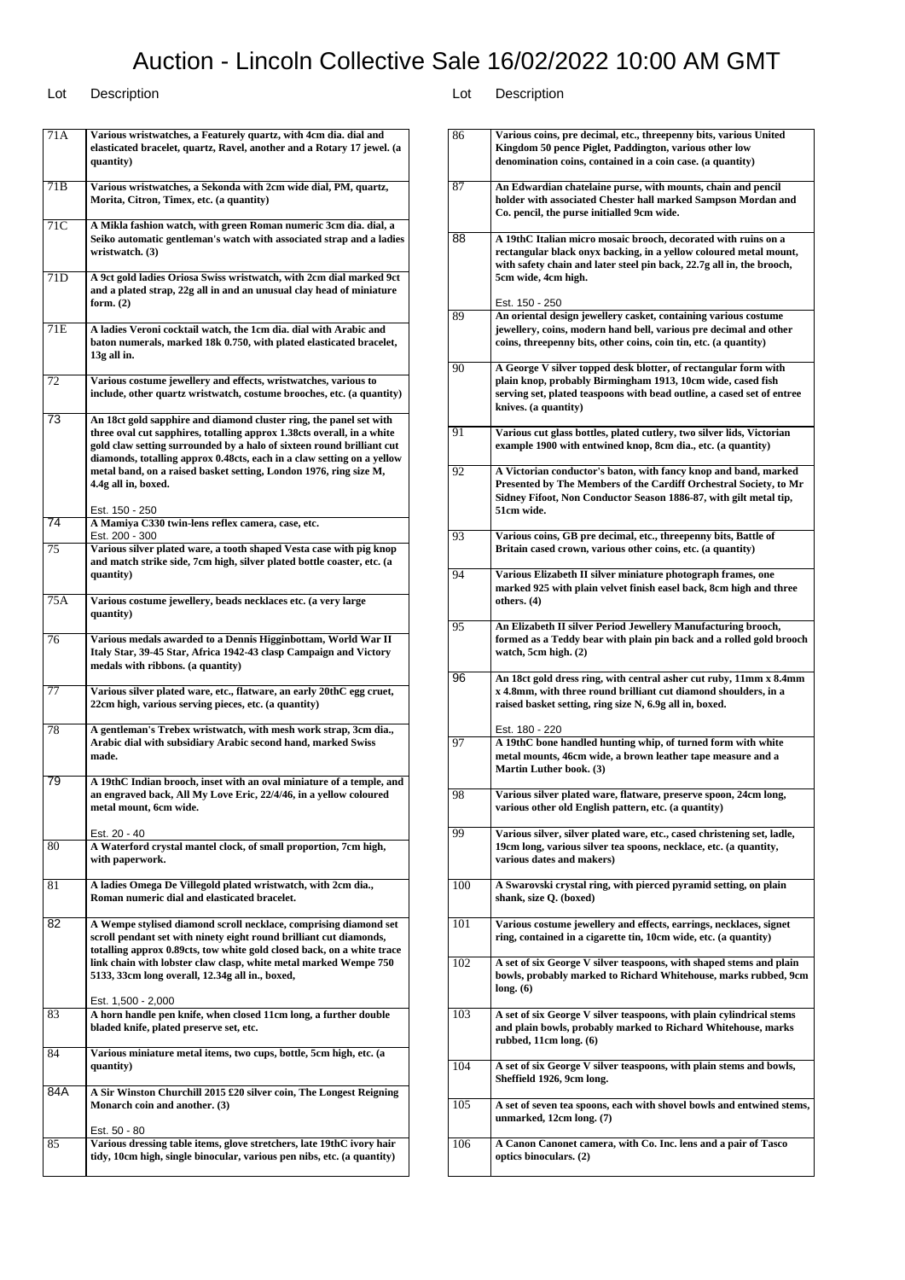| 71A             | Various wristwatches, a Featurely quartz, with 4cm dia. dial and<br>elasticated bracelet, quartz, Ravel, another and a Rotary 17 jewel. (a<br>quantity)                                                                                                                                                                                                                                     |
|-----------------|---------------------------------------------------------------------------------------------------------------------------------------------------------------------------------------------------------------------------------------------------------------------------------------------------------------------------------------------------------------------------------------------|
| 71B             | Various wristwatches, a Sekonda with 2cm wide dial, PM, quartz,<br>Morita, Citron, Timex, etc. (a quantity)                                                                                                                                                                                                                                                                                 |
| 71C             | A Mikla fashion watch, with green Roman numeric 3cm dia. dial, a<br>Seiko automatic gentleman's watch with associated strap and a ladies<br>wristwatch. (3)                                                                                                                                                                                                                                 |
| 71D             | A 9ct gold ladies Oriosa Swiss wristwatch, with 2cm dial marked 9ct<br>and a plated strap, 22g all in and an unusual clay head of miniature<br>form. $(2)$                                                                                                                                                                                                                                  |
| 71E             | A ladies Veroni cocktail watch, the 1cm dia. dial with Arabic and<br>baton numerals, marked 18k 0.750, with plated elasticated bracelet,<br>13g all in.                                                                                                                                                                                                                                     |
| 72              | Various costume jewellery and effects, wristwatches, various to<br>include, other quartz wristwatch, costume brooches, etc. (a quantity)                                                                                                                                                                                                                                                    |
| 73              | An 18ct gold sapphire and diamond cluster ring, the panel set with<br>three oval cut sapphires, totalling approx 1.38cts overall, in a white<br>gold claw setting surrounded by a halo of sixteen round brilliant cut<br>diamonds, totalling approx 0.48cts, each in a claw setting on a yellow<br>metal band, on a raised basket setting, London 1976, ring size M,<br>4.4g all in, boxed. |
| $\overline{74}$ | Est. 150 - 250<br>A Mamiya C330 twin-lens reflex camera, case, etc.<br>Est. 200 - 300                                                                                                                                                                                                                                                                                                       |
| 75              | Various silver plated ware, a tooth shaped Vesta case with pig knop<br>and match strike side, 7cm high, silver plated bottle coaster, etc. (a<br>quantity)                                                                                                                                                                                                                                  |
| 75A             | Various costume jewellery, beads necklaces etc. (a very large<br>quantity)                                                                                                                                                                                                                                                                                                                  |
| 76              | Various medals awarded to a Dennis Higginbottam, World War II<br>Italy Star, 39-45 Star, Africa 1942-43 clasp Campaign and Victory<br>medals with ribbons. (a quantity)                                                                                                                                                                                                                     |
| 77              | Various silver plated ware, etc., flatware, an early 20thC egg cruet,<br>22cm high, various serving pieces, etc. (a quantity)                                                                                                                                                                                                                                                               |
| 78              | A gentleman's Trebex wristwatch, with mesh work strap, 3cm dia.,<br>Arabic dial with subsidiary Arabic second hand, marked Swiss<br>made.                                                                                                                                                                                                                                                   |
| 79              | A 19thC Indian brooch, inset with an oval miniature of a temple, and<br>an engraved back, All My Love Eric, 22/4/46, in a yellow coloured<br>metal mount, 6cm wide.<br>Est. 20 - 40                                                                                                                                                                                                         |
| 80              | A Waterford crystal mantel clock, of small proportion, 7cm high,<br>with paperwork.                                                                                                                                                                                                                                                                                                         |
| 81              | A ladies Omega De Villegold plated wristwatch, with 2cm dia.,<br>Roman numeric dial and elasticated bracelet.                                                                                                                                                                                                                                                                               |
| 82              | A Wempe stylised diamond scroll necklace, comprising diamond set<br>scroll pendant set with ninety eight round brilliant cut diamonds,<br>totalling approx 0.89cts, tow white gold closed back, on a white trace<br>link chain with lobster claw clasp, white metal marked Wempe 750<br>5133, 33cm long overall, 12.34g all in., boxed,                                                     |
| 83              | Est. 1,500 - 2,000<br>A horn handle pen knife, when closed 11cm long, a further double<br>bladed knife, plated preserve set, etc.                                                                                                                                                                                                                                                           |
| 84              | Various miniature metal items, two cups, bottle, 5cm high, etc. (a<br>quantity)                                                                                                                                                                                                                                                                                                             |
| 84A             | A Sir Winston Churchill 2015 £20 silver coin, The Longest Reigning<br>Monarch coin and another. (3)                                                                                                                                                                                                                                                                                         |
| 85              | Est. 50 - 80<br>Various dressing table items, glove stretchers, late 19thC ivory hair<br>tidy, 10cm high, single binocular, various pen nibs, etc. (a quantity)                                                                                                                                                                                                                             |

| 86  | Various coins, pre decimal, etc., threepenny bits, various United<br>Kingdom 50 pence Piglet, Paddington, various other low<br>denomination coins, contained in a coin case. (a quantity)                                           |
|-----|-------------------------------------------------------------------------------------------------------------------------------------------------------------------------------------------------------------------------------------|
| 87  | An Edwardian chatelaine purse, with mounts, chain and pencil<br>holder with associated Chester hall marked Sampson Mordan and<br>Co. pencil, the purse initialled 9cm wide.                                                         |
| 88  | A 19thC Italian micro mosaic brooch, decorated with ruins on a<br>rectangular black onyx backing, in a yellow coloured metal mount,<br>with safety chain and later steel pin back, 22.7g all in, the brooch,<br>5cm wide, 4cm high. |
| 89  | Est. 150 - 250                                                                                                                                                                                                                      |
|     | An oriental design jewellery casket, containing various costume<br>jewellery, coins, modern hand bell, various pre decimal and other<br>coins, threepenny bits, other coins, coin tin, etc. (a quantity)                            |
| 90  | A George V silver topped desk blotter, of rectangular form with<br>plain knop, probably Birmingham 1913, 10cm wide, cased fish<br>serving set, plated teaspoons with bead outline, a cased set of entree<br>knives. (a quantity)    |
| 91  | Various cut glass bottles, plated cutlery, two silver lids, Victorian<br>example 1900 with entwined knop, 8cm dia., etc. (a quantity)                                                                                               |
| 92  | A Victorian conductor's baton, with fancy knop and band, marked<br>Presented by The Members of the Cardiff Orchestral Society, to Mr<br>Sidney Fifoot, Non Conductor Season 1886-87, with gilt metal tip,<br>51cm wide.             |
| 93  | Various coins, GB pre decimal, etc., threepenny bits, Battle of<br>Britain cased crown, various other coins, etc. (a quantity)                                                                                                      |
| 94  | Various Elizabeth II silver miniature photograph frames, one<br>marked 925 with plain velvet finish easel back, 8cm high and three<br>others. (4)                                                                                   |
| 95  | An Elizabeth II silver Period Jewellery Manufacturing brooch,<br>formed as a Teddy bear with plain pin back and a rolled gold brooch<br>watch, 5cm high. (2)                                                                        |
| 96  | An 18ct gold dress ring, with central asher cut ruby, 11mm x 8.4mm<br>x 4.8mm, with three round brilliant cut diamond shoulders, in a<br>raised basket setting, ring size N, 6.9g all in, boxed.                                    |
| 97  | Est. 180 - 220<br>A 19thC bone handled hunting whip, of turned form with white<br>metal mounts, 46cm wide, a brown leather tape measure and a<br>Martin Luther book. (3)                                                            |
| 98  | Various silver plated ware, flatware, preserve spoon, 24cm long,<br>various other old English pattern, etc. (a quantity)                                                                                                            |
| 99  | Various silver, silver plated ware, etc., cased christening set, ladle,<br>19cm long, various silver tea spoons, necklace, etc. (a quantity,<br>various dates and makers)                                                           |
| 100 | A Swarovski crystal ring, with pierced pyramid setting, on plain<br>shank, size Q. (boxed)                                                                                                                                          |
| 101 | Various costume jewellery and effects, earrings, necklaces, signet<br>ring, contained in a cigarette tin, 10cm wide, etc. (a quantity)                                                                                              |
| 102 | A set of six George V silver teaspoons, with shaped stems and plain<br>bowls, probably marked to Richard Whitehouse, marks rubbed, 9cm<br>long. (6)                                                                                 |
| 103 | A set of six George V silver teaspoons, with plain cylindrical stems<br>and plain bowls, probably marked to Richard Whitehouse, marks<br>rubbed, 11cm long. (6)                                                                     |
| 104 | A set of six George V silver teaspoons, with plain stems and bowls,<br>Sheffield 1926, 9cm long.                                                                                                                                    |
| 105 | A set of seven tea spoons, each with shovel bowls and entwined stems,<br>unmarked, 12cm long. (7)                                                                                                                                   |
| 106 | A Canon Canonet camera, with Co. Inc. lens and a pair of Tasco<br>optics binoculars. (2)                                                                                                                                            |
|     |                                                                                                                                                                                                                                     |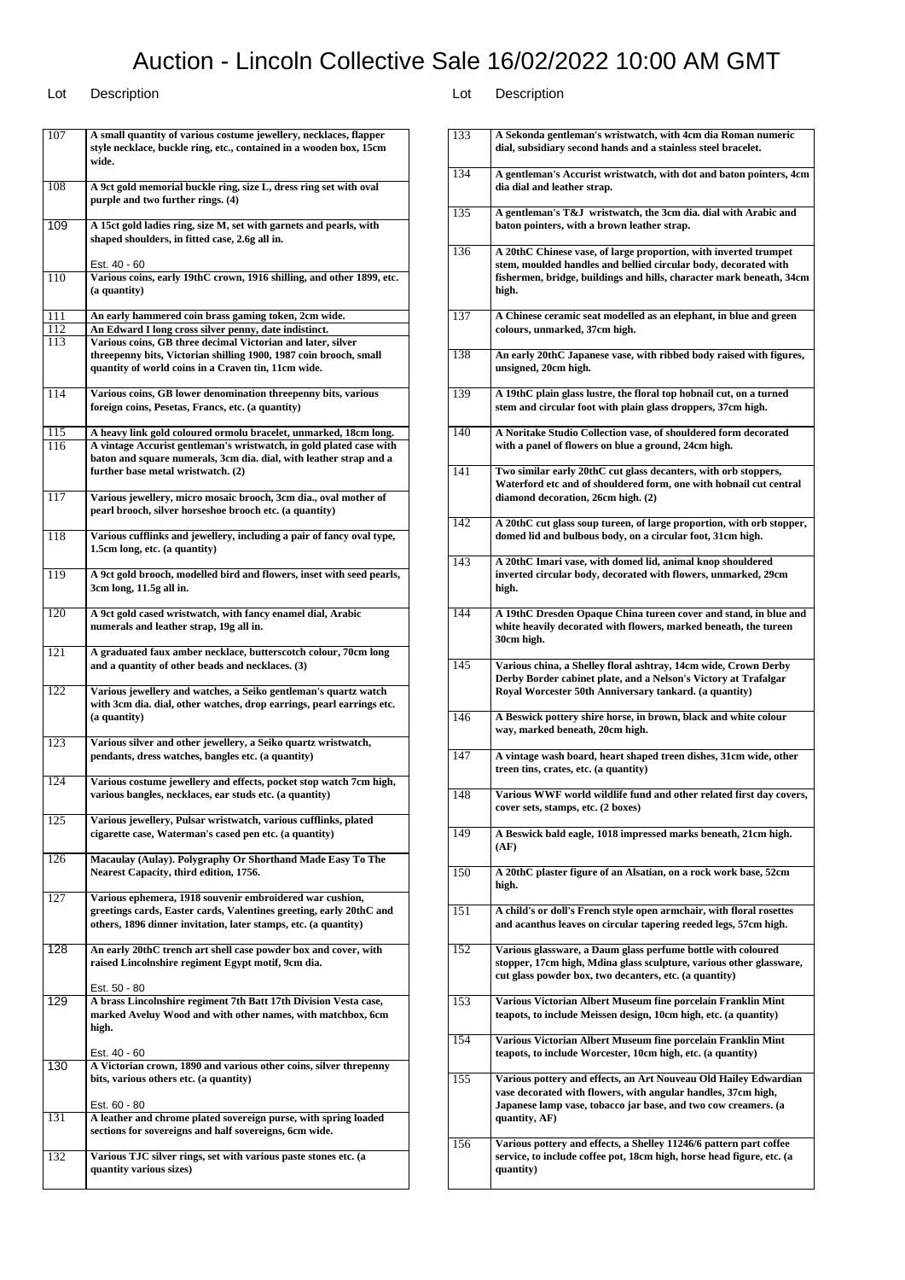| 107              | A small quantity of various costume jewellery, necklaces, flapper<br>style necklace, buckle ring, etc., contained in a wooden box, 15cm<br>wide.                                                   |
|------------------|----------------------------------------------------------------------------------------------------------------------------------------------------------------------------------------------------|
| 108              | A 9ct gold memorial buckle ring, size L, dress ring set with oval<br>purple and two further rings. (4)                                                                                             |
| 109              | A 15ct gold ladies ring, size M, set with garnets and pearls, with<br>shaped shoulders, in fitted case, 2.6g all in.                                                                               |
|                  | Est. 40 - 60                                                                                                                                                                                       |
| 110              | Various coins, early 19thC crown, 1916 shilling, and other 1899, etc.<br>(a quantity)                                                                                                              |
| 111<br>112       | An early hammered coin brass gaming token, 2cm wide.<br>An Edward I long cross silver penny, date indistinct.                                                                                      |
| 113              | Various coins, GB three decimal Victorian and later, silver                                                                                                                                        |
|                  | threepenny bits, Victorian shilling 1900, 1987 coin brooch, small<br>quantity of world coins in a Craven tin, 11cm wide.                                                                           |
| 114              | Various coins, GB lower denomination threepenny bits, various<br>foreign coins, Pesetas, Francs, etc. (a quantity)                                                                                 |
| 115              | A heavy link gold coloured ormolu bracelet, unmarked, 18cm long.                                                                                                                                   |
| 116              | A vintage Accurist gentleman's wristwatch, in gold plated case with<br>baton and square numerals, 3cm dia. dial, with leather strap and a<br>further base metal wristwatch. (2)                    |
| 117              | Various jewellery, micro mosaic brooch, 3cm dia., oval mother of<br>pearl brooch, silver horseshoe brooch etc. (a quantity)                                                                        |
| 118              | Various cufflinks and jewellery, including a pair of fancy oval type,<br>1.5cm long, etc. (a quantity)                                                                                             |
| 119              | A 9ct gold brooch, modelled bird and flowers, inset with seed pearls,<br>3cm long, 11.5g all in.                                                                                                   |
| 120              | A 9ct gold cased wristwatch, with fancy enamel dial, Arabic<br>numerals and leather strap, 19g all in.                                                                                             |
| 121              | A graduated faux amber necklace, butterscotch colour, 70cm long<br>and a quantity of other beads and necklaces. (3)                                                                                |
| 122              | Various jewellery and watches, a Seiko gentleman's quartz watch<br>with 3cm dia. dial, other watches, drop earrings, pearl earrings etc.<br>(a quantity)                                           |
| 123              | Various silver and other jewellery, a Seiko quartz wristwatch,<br>pendants, dress watches, bangles etc. (a quantity)                                                                               |
| 124              | Various costume jewellery and effects, pocket stop watch 7cm high,<br>various bangles, necklaces, ear studs etc. (a quantity)                                                                      |
| 125              | Various jewellery, Pulsar wristwatch, various cufflinks, plated<br>cigarette case, Waterman's cased pen etc. (a quantity)                                                                          |
| 126              | Macaulay (Aulay). Polygraphy Or Shorthand Made Easy To The<br>Nearest Capacity, third edition, 1756.                                                                                               |
| 127              | Various ephemera, 1918 souvenir embroidered war cushion,<br>greetings cards, Easter cards, Valentines greeting, early 20thC and<br>others, 1896 dinner invitation, later stamps, etc. (a quantity) |
| 128              | An early 20thC trench art shell case powder box and cover, with<br>raised Lincolnshire regiment Egypt motif, 9cm dia.                                                                              |
|                  | Est. 50 - 80                                                                                                                                                                                       |
| $\overline{129}$ | A brass Lincolnshire regiment 7th Batt 17th Division Vesta case,<br>marked Aveluy Wood and with other names, with matchbox, 6cm<br>high.                                                           |
|                  | Est. 40 - 60                                                                                                                                                                                       |
| 130              | A Victorian crown, 1890 and various other coins, silver threpenny<br>bits, various others etc. (a quantity)                                                                                        |
|                  | Est. 60 - 80                                                                                                                                                                                       |
| 131              | A leather and chrome plated sovereign purse, with spring loaded<br>sections for sovereigns and half sovereigns, 6cm wide.                                                                          |
| 132              | Various TJC silver rings, set with various paste stones etc. (a                                                                                                                                    |
|                  | quantity various sizes)                                                                                                                                                                            |

| 133 | A Sekonda gentleman's wristwatch, with 4cm dia Roman numeric<br>dial, subsidiary second hands and a stainless steel bracelet.                                                                                        |
|-----|----------------------------------------------------------------------------------------------------------------------------------------------------------------------------------------------------------------------|
| 134 | A gentleman's Accurist wristwatch, with dot and baton pointers, 4cm<br>dia dial and leather strap.                                                                                                                   |
| 135 | A gentleman's T&J wristwatch, the 3cm dia. dial with Arabic and<br>baton pointers, with a brown leather strap.                                                                                                       |
| 136 | A 20thC Chinese vase, of large proportion, with inverted trumpet<br>stem, moulded handles and bellied circular body, decorated with<br>fishermen, bridge, buildings and hills, character mark beneath, 34cm<br>high. |
| 137 | A Chinese ceramic seat modelled as an elephant, in blue and green<br>colours, unmarked, 37cm high.                                                                                                                   |
| 138 | An early 20thC Japanese vase, with ribbed body raised with figures,<br>unsigned, 20cm high.                                                                                                                          |
| 139 | A 19thC plain glass lustre, the floral top hobnail cut, on a turned<br>stem and circular foot with plain glass droppers, 37cm high.                                                                                  |
| 140 | A Noritake Studio Collection vase, of shouldered form decorated<br>with a panel of flowers on blue a ground, 24cm high.                                                                                              |
| 141 | Two similar early 20thC cut glass decanters, with orb stoppers,<br>Waterford etc and of shouldered form, one with hobnail cut central<br>diamond decoration, 26cm high. (2)                                          |
| 142 | A 20thC cut glass soup tureen, of large proportion, with orb stopper,<br>domed lid and bulbous body, on a circular foot, 31cm high.                                                                                  |
| 143 | A 20thC Imari vase, with domed lid, animal knop shouldered<br>inverted circular body, decorated with flowers, unmarked, 29cm<br>high.                                                                                |
| 144 | A 19thC Dresden Opaque China tureen cover and stand, in blue and<br>white heavily decorated with flowers, marked beneath, the tureen<br>30cm high.                                                                   |
| 145 | Various china, a Shelley floral ashtray, 14cm wide, Crown Derby                                                                                                                                                      |
|     | Derby Border cabinet plate, and a Nelson's Victory at Trafalgar<br>Royal Worcester 50th Anniversary tankard. (a quantity)                                                                                            |
| 146 | A Beswick pottery shire horse, in brown, black and white colour<br>way, marked beneath, 20cm high.                                                                                                                   |
| 147 | A vintage wash board, heart shaped treen dishes, 31cm wide, other<br>treen tins, crates, etc. (a quantity)                                                                                                           |
| 148 | Various WWF world wildlife fund and other related first day covers,<br>cover sets, stamps, etc. (2 boxes)                                                                                                            |
| 149 | A Beswick bald eagle, 1018 impressed marks beneath, 21cm high.<br>(AF)                                                                                                                                               |
| 150 | A 20thC plaster figure of an Alsatian, on a rock work base, 52cm<br>high.                                                                                                                                            |
| 151 | A child's or doll's French style open armchair, with floral rosettes<br>and acanthus leaves on circular tapering reeded legs, 57cm high.                                                                             |
| 152 | Various glassware, a Daum glass perfume bottle with coloured<br>stopper, 17cm high, Mdina glass sculpture, various other glassware,<br>cut glass powder box, two decanters, etc. (a quantity)                        |
| 153 | Various Victorian Albert Museum fine porcelain Franklin Mint<br>teapots, to include Meissen design, 10cm high, etc. (a quantity)                                                                                     |
| 154 | Various Victorian Albert Museum fine porcelain Franklin Mint<br>teapots, to include Worcester, 10cm high, etc. (a quantity)                                                                                          |
| 155 | Various pottery and effects, an Art Nouveau Old Hailey Edwardian<br>vase decorated with flowers, with angular handles, 37cm high,<br>Japanese lamp vase, tobacco jar base, and two cow creamers. (a<br>quantity, AF) |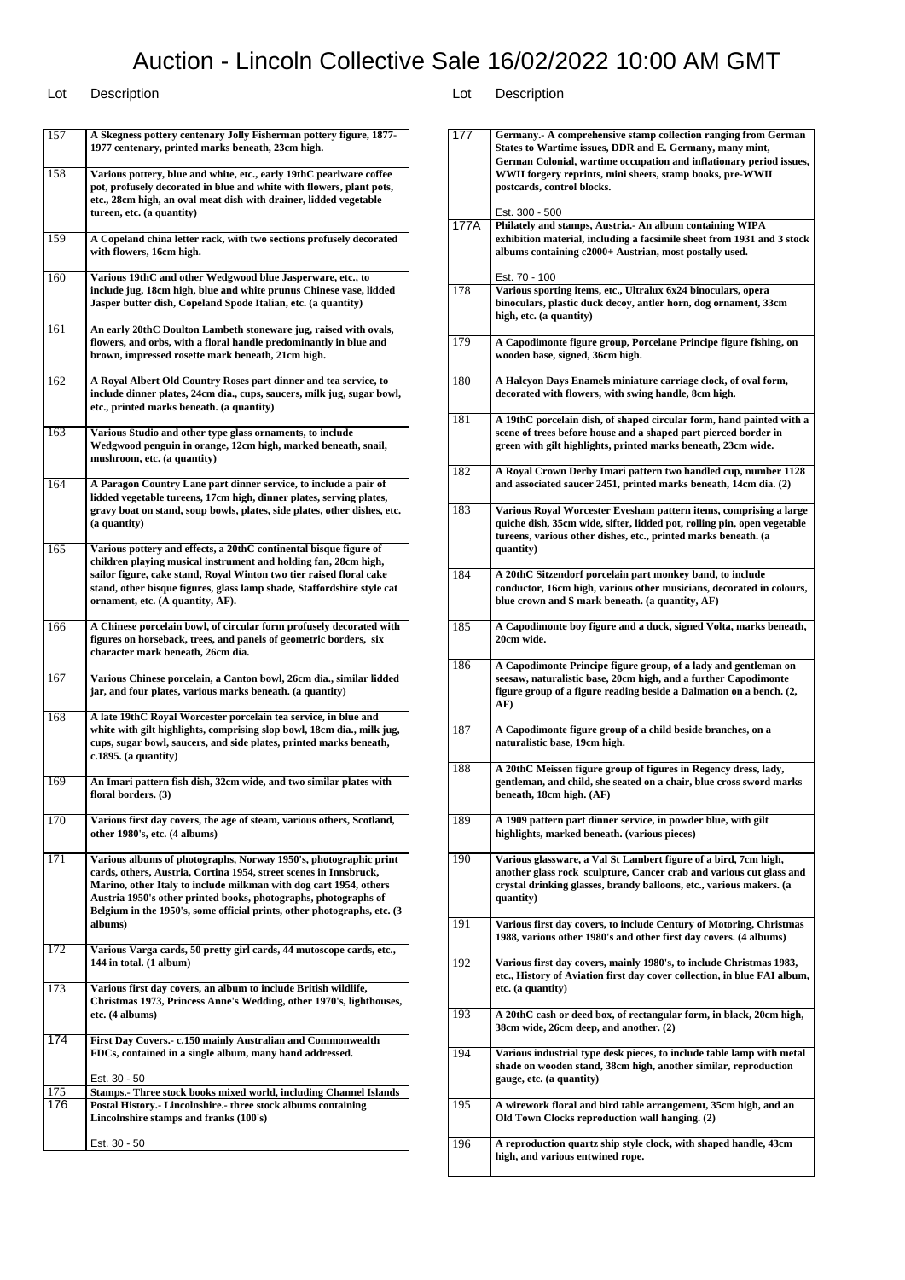$\overline{\phantom{a}}$ 

| 157        | A Skegness pottery centenary Jolly Fisherman pottery figure, 1877-<br>1977 centenary, printed marks beneath, 23cm high.                                                                                                                                                                                                                                              |
|------------|----------------------------------------------------------------------------------------------------------------------------------------------------------------------------------------------------------------------------------------------------------------------------------------------------------------------------------------------------------------------|
| 158        | Various pottery, blue and white, etc., early 19thC pearlware coffee<br>pot, profusely decorated in blue and white with flowers, plant pots,<br>etc., 28cm high, an oval meat dish with drainer, lidded vegetable<br>tureen, etc. (a quantity)                                                                                                                        |
| 159        | A Copeland china letter rack, with two sections profusely decorated<br>with flowers, 16cm high.                                                                                                                                                                                                                                                                      |
| 160        | Various 19thC and other Wedgwood blue Jasperware, etc., to<br>include jug, 18cm high, blue and white prunus Chinese vase, lidded<br>Jasper butter dish, Copeland Spode Italian, etc. (a quantity)                                                                                                                                                                    |
| 161        | An early 20thC Doulton Lambeth stoneware jug, raised with ovals,<br>flowers, and orbs, with a floral handle predominantly in blue and<br>brown, impressed rosette mark beneath, 21cm high.                                                                                                                                                                           |
| 162        | A Royal Albert Old Country Roses part dinner and tea service, to<br>include dinner plates, 24cm dia., cups, saucers, milk jug, sugar bowl,<br>etc., printed marks beneath. (a quantity)                                                                                                                                                                              |
| 163        | Various Studio and other type glass ornaments, to include<br>Wedgwood penguin in orange, 12cm high, marked beneath, snail,<br>mushroom, etc. (a quantity)                                                                                                                                                                                                            |
| 164        | A Paragon Country Lane part dinner service, to include a pair of<br>lidded vegetable tureens, 17cm high, dinner plates, serving plates,<br>gravy boat on stand, soup bowls, plates, side plates, other dishes, etc.<br>(a quantity)                                                                                                                                  |
| 165        | Various pottery and effects, a 20thC continental bisque figure of<br>children playing musical instrument and holding fan, 28cm high,<br>sailor figure, cake stand, Royal Winton two tier raised floral cake<br>stand, other bisque figures, glass lamp shade, Staffordshire style cat<br>ornament, etc. (A quantity, AF).                                            |
| 166        | A Chinese porcelain bowl, of circular form profusely decorated with<br>figures on horseback, trees, and panels of geometric borders, six<br>character mark beneath, 26cm dia.                                                                                                                                                                                        |
| 167        | Various Chinese porcelain, a Canton bowl, 26cm dia., similar lidded<br>jar, and four plates, various marks beneath. (a quantity)                                                                                                                                                                                                                                     |
| 168        | A late 19thC Royal Worcester porcelain tea service, in blue and<br>white with gilt highlights, comprising slop bowl, 18cm dia., milk jug,<br>cups, sugar bowl, saucers, and side plates, printed marks beneath,<br>$c.1895.$ (a quantity)                                                                                                                            |
| 169        | An Imari pattern fish dish, 32cm wide, and two similar plates with<br>floral borders. (3)                                                                                                                                                                                                                                                                            |
| 170        | Various first day covers, the age of steam, various others, Scotland,<br>other 1980's, etc. (4 albums)                                                                                                                                                                                                                                                               |
| 171        | Various albums of photographs, Norway 1950's, photographic print<br>cards, others, Austria, Cortina 1954, street scenes in Innsbruck,<br>Marino, other Italy to include milkman with dog cart 1954, others<br>Austria 1950's other printed books, photographs, photographs of<br>Belgium in the 1950's, some official prints, other photographs, etc. (3)<br>albums) |
| 172        | Various Varga cards, 50 pretty girl cards, 44 mutoscope cards, etc.,<br>144 in total. (1 album)                                                                                                                                                                                                                                                                      |
| 173        | Various first day covers, an album to include British wildlife,<br>Christmas 1973, Princess Anne's Wedding, other 1970's, lighthouses,<br>etc. (4 albums)                                                                                                                                                                                                            |
| 174        | First Day Covers.- c.150 mainly Australian and Commonwealth<br>FDCs, contained in a single album, many hand addressed.                                                                                                                                                                                                                                               |
|            | Est. 30 - 50                                                                                                                                                                                                                                                                                                                                                         |
| 175<br>176 | Stamps.- Three stock books mixed world, including Channel Islands<br>Postal History.- Lincolnshire.- three stock albums containing<br>Lincolnshire stamps and franks (100's)                                                                                                                                                                                         |
|            | Est. 30 - 50                                                                                                                                                                                                                                                                                                                                                         |

| 177  | Germany. A comprehensive stamp collection ranging from German                                                                    |
|------|----------------------------------------------------------------------------------------------------------------------------------|
|      | States to Wartime issues, DDR and E. Germany, many mint,                                                                         |
|      | German Colonial, wartime occupation and inflationary period issues,<br>WWII forgery reprints, mini sheets, stamp books, pre-WWII |
|      | postcards, control blocks.                                                                                                       |
|      |                                                                                                                                  |
|      | Est. 300 - 500                                                                                                                   |
| 177A | Philately and stamps, Austria. An album containing WIPA                                                                          |
|      | exhibition material, including a facsimile sheet from 1931 and 3 stock<br>albums containing c2000+ Austrian, most postally used. |
|      |                                                                                                                                  |
|      | Est. 70 - 100                                                                                                                    |
| 178  | Various sporting items, etc., Ultralux 6x24 binoculars, opera                                                                    |
|      | binoculars, plastic duck decoy, antler horn, dog ornament, 33cm                                                                  |
|      | high, etc. (a quantity)                                                                                                          |
|      |                                                                                                                                  |
| 179  | A Capodimonte figure group, Porcelane Principe figure fishing, on<br>wooden base, signed, 36cm high.                             |
|      |                                                                                                                                  |
| 180  | A Halcyon Days Enamels miniature carriage clock, of oval form,                                                                   |
|      | decorated with flowers, with swing handle, 8cm high.                                                                             |
|      |                                                                                                                                  |
| 181  | A 19thC porcelain dish, of shaped circular form, hand painted with a                                                             |
|      | scene of trees before house and a shaped part pierced border in                                                                  |
|      | green with gilt highlights, printed marks beneath, 23cm wide.                                                                    |
| 182  | A Royal Crown Derby Imari pattern two handled cup, number 1128                                                                   |
|      | and associated saucer 2451, printed marks beneath, 14cm dia. (2)                                                                 |
|      |                                                                                                                                  |
| 183  | Various Royal Worcester Evesham pattern items, comprising a large                                                                |
|      | quiche dish, 35cm wide, sifter, lidded pot, rolling pin, open vegetable                                                          |
|      | tureens, various other dishes, etc., printed marks beneath. (a                                                                   |
|      | quantity)                                                                                                                        |
| 184  | A 20thC Sitzendorf porcelain part monkey band, to include                                                                        |
|      | conductor, 16cm high, various other musicians, decorated in colours,                                                             |
|      | blue crown and S mark beneath. (a quantity, AF)                                                                                  |
|      |                                                                                                                                  |
| 185  | A Capodimonte boy figure and a duck, signed Volta, marks beneath,                                                                |
|      | 20cm wide.                                                                                                                       |
| 186  | A Capodimonte Principe figure group, of a lady and gentleman on                                                                  |
|      | seesaw, naturalistic base, 20cm high, and a further Capodimonte                                                                  |
|      | figure group of a figure reading beside a Dalmation on a bench. (2,                                                              |
|      | AF)                                                                                                                              |
| 187  | A Capodimonte figure group of a child beside branches, on a                                                                      |
|      | naturalistic base, 19cm high.                                                                                                    |
|      |                                                                                                                                  |
| 188  |                                                                                                                                  |
|      | A 20thC Meissen figure group of figures in Regency dress, lady,                                                                  |
|      | gentleman, and child, she seated on a chair, blue cross sword marks                                                              |
|      | beneath, 18cm high. (AF)                                                                                                         |
|      |                                                                                                                                  |
| 189  | A 1909 pattern part dinner service, in powder blue, with gilt                                                                    |
|      | highlights, marked beneath. (various pieces)                                                                                     |
| 190  | Various glassware, a Val St Lambert figure of a bird, 7cm high,                                                                  |
|      | another glass rock sculpture, Cancer crab and various cut glass and                                                              |
|      | crystal drinking glasses, brandy balloons, etc., various makers. (a                                                              |
|      | quantity)                                                                                                                        |
|      |                                                                                                                                  |
| 191  | Various first day covers, to include Century of Motoring, Christmas                                                              |
|      | 1988, various other 1980's and other first day covers. (4 albums)                                                                |
| 192  | Various first day covers, mainly 1980's, to include Christmas 1983,                                                              |
|      | etc., History of Aviation first day cover collection, in blue FAI album,                                                         |
|      | etc. (a quantity)                                                                                                                |
|      |                                                                                                                                  |
| 193  | A 20thC cash or deed box, of rectangular form, in black, 20cm high,                                                              |
|      | 38cm wide, 26cm deep, and another. (2)                                                                                           |
| 194  | Various industrial type desk pieces, to include table lamp with metal                                                            |
|      | shade on wooden stand, 38cm high, another similar, reproduction                                                                  |
|      | gauge, etc. (a quantity)                                                                                                         |
|      |                                                                                                                                  |
| 195  | A wirework floral and bird table arrangement, 35cm high, and an                                                                  |
|      | Old Town Clocks reproduction wall hanging. (2)                                                                                   |
| 196  |                                                                                                                                  |
|      | A reproduction quartz ship style clock, with shaped handle, 43cm<br>high, and various entwined rope.                             |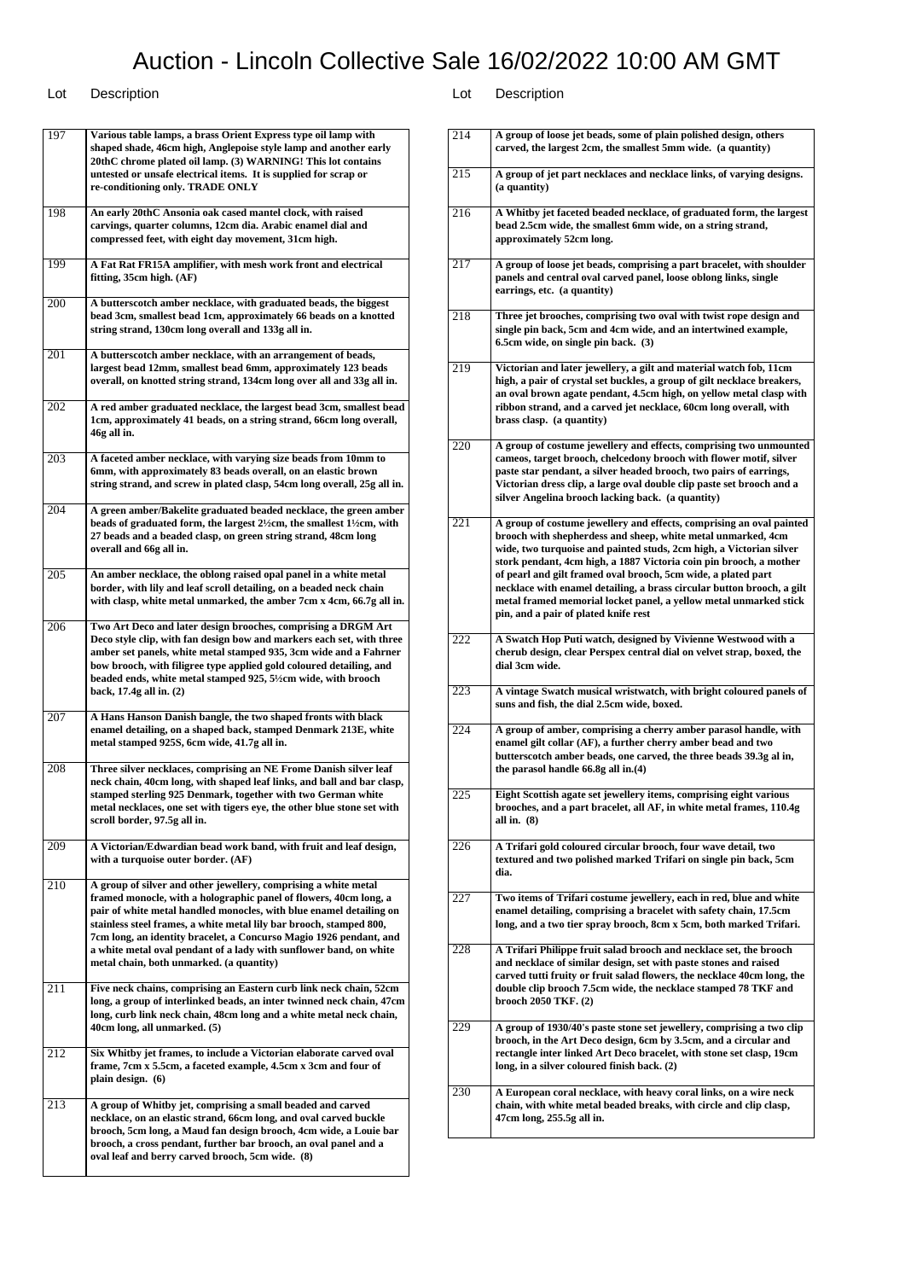| 197 | Various table lamps, a brass Orient Express type oil lamp with<br>shaped shade, 46cm high, Anglepoise style lamp and another early<br>20thC chrome plated oil lamp. (3) WARNING! This lot contains<br>untested or unsafe electrical items. It is supplied for scrap or<br>re-conditioning only. TRADE ONLY                                                                                                                                                                 |
|-----|----------------------------------------------------------------------------------------------------------------------------------------------------------------------------------------------------------------------------------------------------------------------------------------------------------------------------------------------------------------------------------------------------------------------------------------------------------------------------|
| 198 | An early 20thC Ansonia oak cased mantel clock, with raised<br>carvings, quarter columns, 12cm dia. Arabic enamel dial and<br>compressed feet, with eight day movement, 31cm high.                                                                                                                                                                                                                                                                                          |
| 199 | A Fat Rat FR15A amplifier, with mesh work front and electrical<br>fitting, 35cm high. (AF)                                                                                                                                                                                                                                                                                                                                                                                 |
| 200 | A butterscotch amber necklace, with graduated beads, the biggest<br>bead 3cm, smallest bead 1cm, approximately 66 beads on a knotted<br>string strand, 130cm long overall and 133g all in.                                                                                                                                                                                                                                                                                 |
| 201 | A butterscotch amber necklace, with an arrangement of beads,<br>largest bead 12mm, smallest bead 6mm, approximately 123 beads<br>overall, on knotted string strand, 134cm long over all and 33g all in.                                                                                                                                                                                                                                                                    |
| 202 | A red amber graduated necklace, the largest bead 3cm, smallest bead<br>1cm, approximately 41 beads, on a string strand, 66cm long overall,<br>46g all in.                                                                                                                                                                                                                                                                                                                  |
| 203 | A faceted amber necklace, with varying size beads from 10mm to<br>6mm, with approximately 83 beads overall, on an elastic brown<br>string strand, and screw in plated clasp, 54cm long overall, 25g all in.                                                                                                                                                                                                                                                                |
| 204 | A green amber/Bakelite graduated beaded necklace, the green amber<br>beads of graduated form, the largest 2½cm, the smallest 1½cm, with<br>27 beads and a beaded clasp, on green string strand, 48cm long<br>overall and 66g all in.                                                                                                                                                                                                                                       |
| 205 | An amber necklace, the oblong raised opal panel in a white metal<br>border, with lily and leaf scroll detailing, on a beaded neck chain<br>with clasp, white metal unmarked, the amber 7cm x 4cm, 66.7g all in.                                                                                                                                                                                                                                                            |
| 206 | Two Art Deco and later design brooches, comprising a DRGM Art<br>Deco style clip, with fan design bow and markers each set, with three<br>amber set panels, white metal stamped 935, 3cm wide and a Fahrner<br>bow brooch, with filigree type applied gold coloured detailing, and<br>beaded ends, white metal stamped 925, 5½cm wide, with brooch<br>back, 17.4g all in. (2)                                                                                              |
| 207 | A Hans Hanson Danish bangle, the two shaped fronts with black<br>enamel detailing, on a shaped back, stamped Denmark 213E, white<br>metal stamped 925S, 6cm wide, 41.7g all in.                                                                                                                                                                                                                                                                                            |
| 208 | Three silver necklaces, comprising an NE Frome Danish silver leaf<br>neck chain, 40cm long, with shaped leaf links, and ball and bar clasp,<br>stamped sterling 925 Denmark, together with two German white<br>metal necklaces, one set with tigers eye, the other blue stone set with<br>scroll border, 97.5g all in.                                                                                                                                                     |
| 209 | A Victorian/Edwardian bead work band, with fruit and leaf design,<br>with a turquoise outer border. (AF)                                                                                                                                                                                                                                                                                                                                                                   |
| 210 | A group of silver and other jewellery, comprising a white metal<br>framed monocle, with a holographic panel of flowers, 40cm long, a<br>pair of white metal handled monocles, with blue enamel detailing on<br>stainless steel frames, a white metal lily bar brooch, stamped 800,<br>7cm long, an identity bracelet, a Concurso Magio 1926 pendant, and<br>a white metal oval pendant of a lady with sunflower band, on white<br>metal chain, both unmarked. (a quantity) |
| 211 | Five neck chains, comprising an Eastern curb link neck chain, 52cm<br>long, a group of interlinked beads, an inter twinned neck chain, 47cm<br>long, curb link neck chain, 48cm long and a white metal neck chain,<br>40cm long, all unmarked. (5)                                                                                                                                                                                                                         |
| 212 | Six Whitby jet frames, to include a Victorian elaborate carved oval<br>frame, 7cm x 5.5cm, a faceted example, 4.5cm x 3cm and four of<br>plain design. (6)                                                                                                                                                                                                                                                                                                                 |
| 213 | A group of Whitby jet, comprising a small beaded and carved<br>necklace, on an elastic strand, 66cm long, and oval carved buckle<br>brooch, 5cm long, a Maud fan design brooch, 4cm wide, a Louie bar<br>brooch, a cross pendant, further bar brooch, an oval panel and a<br>oval leaf and berry carved brooch, 5cm wide. (8)                                                                                                                                              |

| 215<br>A group of jet part necklaces and necklace links, of varying designs.<br>(a quantity)<br>216<br>A Whitby jet faceted beaded necklace, of graduated form, the largest<br>bead 2.5cm wide, the smallest 6mm wide, on a string strand,<br>approximately 52cm long.<br>217<br>A group of loose jet beads, comprising a part bracelet, with shoulder<br>panels and central oval carved panel, loose oblong links, single<br>earrings, etc. (a quantity)<br>218<br>Three jet brooches, comprising two oval with twist rope design and<br>single pin back, 5cm and 4cm wide, and an intertwined example,<br>6.5cm wide, on single pin back. (3)<br>219<br>Victorian and later jewellery, a gilt and material watch fob, 11cm<br>high, a pair of crystal set buckles, a group of gilt necklace breakers,<br>an oval brown agate pendant, 4.5cm high, on yellow metal clasp with<br>ribbon strand, and a carved jet necklace, 60cm long overall, with<br>brass clasp. (a quantity)<br>220<br>A group of costume jewellery and effects, comprising two unmounted<br>cameos, target brooch, chelcedony brooch with flower motif, silver<br>paste star pendant, a silver headed brooch, two pairs of earrings,<br>Victorian dress clip, a large oval double clip paste set brooch and a<br>silver Angelina brooch lacking back. (a quantity)<br>221<br>A group of costume jewellery and effects, comprising an oval painted<br>brooch with shepherdess and sheep, white metal unmarked, 4cm<br>wide, two turquoise and painted studs, 2cm high, a Victorian silver<br>stork pendant, 4cm high, a 1887 Victoria coin pin brooch, a mother<br>of pearl and gilt framed oval brooch, 5cm wide, a plated part<br>necklace with enamel detailing, a brass circular button brooch, a gilt<br>metal framed memorial locket panel, a yellow metal unmarked stick<br>pin, and a pair of plated knife rest<br>222<br>A Swatch Hop Puti watch, designed by Vivienne Westwood with a<br>cherub design, clear Perspex central dial on velvet strap, boxed, the<br>dial 3cm wide.<br>223<br>A vintage Swatch musical wristwatch, with bright coloured panels of<br>suns and fish, the dial 2.5cm wide, boxed.<br>224<br>A group of amber, comprising a cherry amber parasol handle, with<br>enamel gilt collar (AF), a further cherry amber bead and two<br>butterscotch amber beads, one carved, the three beads 39.3g al in,<br>the parasol handle 66.8g all in.(4)<br>225<br>Eight Scottish agate set jewellery items, comprising eight various<br>brooches, and a part bracelet, all AF, in white metal frames, 110.4g<br>all in. (8)<br>226<br>A Trifari gold coloured circular brooch, four wave detail, two<br>textured and two polished marked Trifari on single pin back, 5cm<br>dia.<br>227<br>Two items of Trifari costume jewellery, each in red, blue and white<br>enamel detailing, comprising a bracelet with safety chain, 17.5cm<br>long, and a two tier spray brooch, 8cm x 5cm, both marked Trifari.<br>228<br>A Trifari Philippe fruit salad brooch and necklace set, the brooch<br>and necklace of similar design, set with paste stones and raised<br>carved tutti fruity or fruit salad flowers, the necklace 40cm long, the<br>double clip brooch 7.5cm wide, the necklace stamped 78 TKF and<br>brooch 2050 TKF. (2)<br>229<br>A group of 1930/40's paste stone set jewellery, comprising a two clip<br>brooch, in the Art Deco design, 6cm by 3.5cm, and a circular and<br>rectangle inter linked Art Deco bracelet, with stone set clasp, 19cm<br>long, in a silver coloured finish back. (2)<br>230<br>A European coral necklace, with heavy coral links, on a wire neck<br>chain, with white metal beaded breaks, with circle and clip clasp,<br>47cm long, 255.5g all in. | 214 | A group of loose jet beads, some of plain polished design, others<br>carved, the largest 2cm, the smallest 5mm wide. (a quantity) |
|--------------------------------------------------------------------------------------------------------------------------------------------------------------------------------------------------------------------------------------------------------------------------------------------------------------------------------------------------------------------------------------------------------------------------------------------------------------------------------------------------------------------------------------------------------------------------------------------------------------------------------------------------------------------------------------------------------------------------------------------------------------------------------------------------------------------------------------------------------------------------------------------------------------------------------------------------------------------------------------------------------------------------------------------------------------------------------------------------------------------------------------------------------------------------------------------------------------------------------------------------------------------------------------------------------------------------------------------------------------------------------------------------------------------------------------------------------------------------------------------------------------------------------------------------------------------------------------------------------------------------------------------------------------------------------------------------------------------------------------------------------------------------------------------------------------------------------------------------------------------------------------------------------------------------------------------------------------------------------------------------------------------------------------------------------------------------------------------------------------------------------------------------------------------------------------------------------------------------------------------------------------------------------------------------------------------------------------------------------------------------------------------------------------------------------------------------------------------------------------------------------------------------------------------------------------------------------------------------------------------------------------------------------------------------------------------------------------------------------------------------------------------------------------------------------------------------------------------------------------------------------------------------------------------------------------------------------------------------------------------------------------------------------------------------------------------------------------------------------------------------------------------------------------------------------------------------------------------------------------------------------------------------------------------------------------------------------------------------------------------------------------------------------------------------------------------------------------------------------------------------------------------------------------------------------------------------------------------------------------------------------------------------------------------------------------------------------------------------------------------------------------------------------------|-----|-----------------------------------------------------------------------------------------------------------------------------------|
|                                                                                                                                                                                                                                                                                                                                                                                                                                                                                                                                                                                                                                                                                                                                                                                                                                                                                                                                                                                                                                                                                                                                                                                                                                                                                                                                                                                                                                                                                                                                                                                                                                                                                                                                                                                                                                                                                                                                                                                                                                                                                                                                                                                                                                                                                                                                                                                                                                                                                                                                                                                                                                                                                                                                                                                                                                                                                                                                                                                                                                                                                                                                                                                                                                                                                                                                                                                                                                                                                                                                                                                                                                                                                                                                                                                      |     |                                                                                                                                   |
|                                                                                                                                                                                                                                                                                                                                                                                                                                                                                                                                                                                                                                                                                                                                                                                                                                                                                                                                                                                                                                                                                                                                                                                                                                                                                                                                                                                                                                                                                                                                                                                                                                                                                                                                                                                                                                                                                                                                                                                                                                                                                                                                                                                                                                                                                                                                                                                                                                                                                                                                                                                                                                                                                                                                                                                                                                                                                                                                                                                                                                                                                                                                                                                                                                                                                                                                                                                                                                                                                                                                                                                                                                                                                                                                                                                      |     |                                                                                                                                   |
|                                                                                                                                                                                                                                                                                                                                                                                                                                                                                                                                                                                                                                                                                                                                                                                                                                                                                                                                                                                                                                                                                                                                                                                                                                                                                                                                                                                                                                                                                                                                                                                                                                                                                                                                                                                                                                                                                                                                                                                                                                                                                                                                                                                                                                                                                                                                                                                                                                                                                                                                                                                                                                                                                                                                                                                                                                                                                                                                                                                                                                                                                                                                                                                                                                                                                                                                                                                                                                                                                                                                                                                                                                                                                                                                                                                      |     |                                                                                                                                   |
|                                                                                                                                                                                                                                                                                                                                                                                                                                                                                                                                                                                                                                                                                                                                                                                                                                                                                                                                                                                                                                                                                                                                                                                                                                                                                                                                                                                                                                                                                                                                                                                                                                                                                                                                                                                                                                                                                                                                                                                                                                                                                                                                                                                                                                                                                                                                                                                                                                                                                                                                                                                                                                                                                                                                                                                                                                                                                                                                                                                                                                                                                                                                                                                                                                                                                                                                                                                                                                                                                                                                                                                                                                                                                                                                                                                      |     |                                                                                                                                   |
|                                                                                                                                                                                                                                                                                                                                                                                                                                                                                                                                                                                                                                                                                                                                                                                                                                                                                                                                                                                                                                                                                                                                                                                                                                                                                                                                                                                                                                                                                                                                                                                                                                                                                                                                                                                                                                                                                                                                                                                                                                                                                                                                                                                                                                                                                                                                                                                                                                                                                                                                                                                                                                                                                                                                                                                                                                                                                                                                                                                                                                                                                                                                                                                                                                                                                                                                                                                                                                                                                                                                                                                                                                                                                                                                                                                      |     |                                                                                                                                   |
|                                                                                                                                                                                                                                                                                                                                                                                                                                                                                                                                                                                                                                                                                                                                                                                                                                                                                                                                                                                                                                                                                                                                                                                                                                                                                                                                                                                                                                                                                                                                                                                                                                                                                                                                                                                                                                                                                                                                                                                                                                                                                                                                                                                                                                                                                                                                                                                                                                                                                                                                                                                                                                                                                                                                                                                                                                                                                                                                                                                                                                                                                                                                                                                                                                                                                                                                                                                                                                                                                                                                                                                                                                                                                                                                                                                      |     |                                                                                                                                   |
|                                                                                                                                                                                                                                                                                                                                                                                                                                                                                                                                                                                                                                                                                                                                                                                                                                                                                                                                                                                                                                                                                                                                                                                                                                                                                                                                                                                                                                                                                                                                                                                                                                                                                                                                                                                                                                                                                                                                                                                                                                                                                                                                                                                                                                                                                                                                                                                                                                                                                                                                                                                                                                                                                                                                                                                                                                                                                                                                                                                                                                                                                                                                                                                                                                                                                                                                                                                                                                                                                                                                                                                                                                                                                                                                                                                      |     |                                                                                                                                   |
|                                                                                                                                                                                                                                                                                                                                                                                                                                                                                                                                                                                                                                                                                                                                                                                                                                                                                                                                                                                                                                                                                                                                                                                                                                                                                                                                                                                                                                                                                                                                                                                                                                                                                                                                                                                                                                                                                                                                                                                                                                                                                                                                                                                                                                                                                                                                                                                                                                                                                                                                                                                                                                                                                                                                                                                                                                                                                                                                                                                                                                                                                                                                                                                                                                                                                                                                                                                                                                                                                                                                                                                                                                                                                                                                                                                      |     |                                                                                                                                   |
|                                                                                                                                                                                                                                                                                                                                                                                                                                                                                                                                                                                                                                                                                                                                                                                                                                                                                                                                                                                                                                                                                                                                                                                                                                                                                                                                                                                                                                                                                                                                                                                                                                                                                                                                                                                                                                                                                                                                                                                                                                                                                                                                                                                                                                                                                                                                                                                                                                                                                                                                                                                                                                                                                                                                                                                                                                                                                                                                                                                                                                                                                                                                                                                                                                                                                                                                                                                                                                                                                                                                                                                                                                                                                                                                                                                      |     |                                                                                                                                   |
|                                                                                                                                                                                                                                                                                                                                                                                                                                                                                                                                                                                                                                                                                                                                                                                                                                                                                                                                                                                                                                                                                                                                                                                                                                                                                                                                                                                                                                                                                                                                                                                                                                                                                                                                                                                                                                                                                                                                                                                                                                                                                                                                                                                                                                                                                                                                                                                                                                                                                                                                                                                                                                                                                                                                                                                                                                                                                                                                                                                                                                                                                                                                                                                                                                                                                                                                                                                                                                                                                                                                                                                                                                                                                                                                                                                      |     |                                                                                                                                   |
|                                                                                                                                                                                                                                                                                                                                                                                                                                                                                                                                                                                                                                                                                                                                                                                                                                                                                                                                                                                                                                                                                                                                                                                                                                                                                                                                                                                                                                                                                                                                                                                                                                                                                                                                                                                                                                                                                                                                                                                                                                                                                                                                                                                                                                                                                                                                                                                                                                                                                                                                                                                                                                                                                                                                                                                                                                                                                                                                                                                                                                                                                                                                                                                                                                                                                                                                                                                                                                                                                                                                                                                                                                                                                                                                                                                      |     |                                                                                                                                   |
|                                                                                                                                                                                                                                                                                                                                                                                                                                                                                                                                                                                                                                                                                                                                                                                                                                                                                                                                                                                                                                                                                                                                                                                                                                                                                                                                                                                                                                                                                                                                                                                                                                                                                                                                                                                                                                                                                                                                                                                                                                                                                                                                                                                                                                                                                                                                                                                                                                                                                                                                                                                                                                                                                                                                                                                                                                                                                                                                                                                                                                                                                                                                                                                                                                                                                                                                                                                                                                                                                                                                                                                                                                                                                                                                                                                      |     |                                                                                                                                   |
|                                                                                                                                                                                                                                                                                                                                                                                                                                                                                                                                                                                                                                                                                                                                                                                                                                                                                                                                                                                                                                                                                                                                                                                                                                                                                                                                                                                                                                                                                                                                                                                                                                                                                                                                                                                                                                                                                                                                                                                                                                                                                                                                                                                                                                                                                                                                                                                                                                                                                                                                                                                                                                                                                                                                                                                                                                                                                                                                                                                                                                                                                                                                                                                                                                                                                                                                                                                                                                                                                                                                                                                                                                                                                                                                                                                      |     |                                                                                                                                   |
|                                                                                                                                                                                                                                                                                                                                                                                                                                                                                                                                                                                                                                                                                                                                                                                                                                                                                                                                                                                                                                                                                                                                                                                                                                                                                                                                                                                                                                                                                                                                                                                                                                                                                                                                                                                                                                                                                                                                                                                                                                                                                                                                                                                                                                                                                                                                                                                                                                                                                                                                                                                                                                                                                                                                                                                                                                                                                                                                                                                                                                                                                                                                                                                                                                                                                                                                                                                                                                                                                                                                                                                                                                                                                                                                                                                      |     |                                                                                                                                   |
|                                                                                                                                                                                                                                                                                                                                                                                                                                                                                                                                                                                                                                                                                                                                                                                                                                                                                                                                                                                                                                                                                                                                                                                                                                                                                                                                                                                                                                                                                                                                                                                                                                                                                                                                                                                                                                                                                                                                                                                                                                                                                                                                                                                                                                                                                                                                                                                                                                                                                                                                                                                                                                                                                                                                                                                                                                                                                                                                                                                                                                                                                                                                                                                                                                                                                                                                                                                                                                                                                                                                                                                                                                                                                                                                                                                      |     |                                                                                                                                   |
|                                                                                                                                                                                                                                                                                                                                                                                                                                                                                                                                                                                                                                                                                                                                                                                                                                                                                                                                                                                                                                                                                                                                                                                                                                                                                                                                                                                                                                                                                                                                                                                                                                                                                                                                                                                                                                                                                                                                                                                                                                                                                                                                                                                                                                                                                                                                                                                                                                                                                                                                                                                                                                                                                                                                                                                                                                                                                                                                                                                                                                                                                                                                                                                                                                                                                                                                                                                                                                                                                                                                                                                                                                                                                                                                                                                      |     |                                                                                                                                   |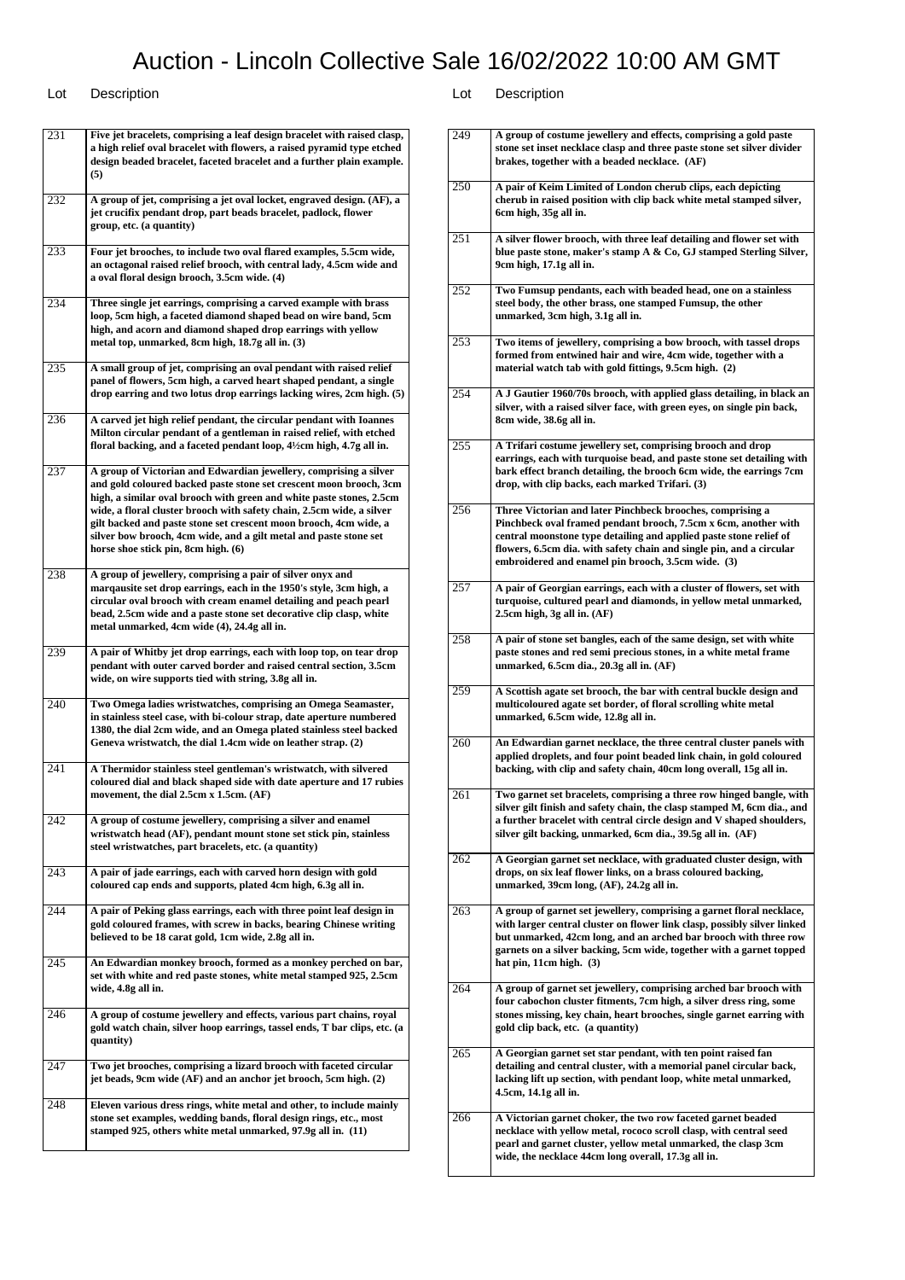| 231 | Five jet bracelets, comprising a leaf design bracelet with raised clasp,<br>a high relief oval bracelet with flowers, a raised pyramid type etched<br>design beaded bracelet, faceted bracelet and a further plain example.<br>(5)                                                                                                                                                                                                                                        |
|-----|---------------------------------------------------------------------------------------------------------------------------------------------------------------------------------------------------------------------------------------------------------------------------------------------------------------------------------------------------------------------------------------------------------------------------------------------------------------------------|
| 232 | A group of jet, comprising a jet oval locket, engraved design. (AF), a<br>jet crucifix pendant drop, part beads bracelet, padlock, flower<br>group, etc. (a quantity)                                                                                                                                                                                                                                                                                                     |
| 233 | Four jet brooches, to include two oval flared examples, 5.5cm wide,<br>an octagonal raised relief brooch, with central lady, 4.5cm wide and<br>a oval floral design brooch, 3.5cm wide. (4)                                                                                                                                                                                                                                                                               |
| 234 | Three single jet earrings, comprising a carved example with brass<br>loop, 5cm high, a faceted diamond shaped bead on wire band, 5cm<br>high, and acorn and diamond shaped drop earrings with yellow<br>metal top, unmarked, 8cm high, 18.7g all in. (3)                                                                                                                                                                                                                  |
| 235 | A small group of jet, comprising an oval pendant with raised relief<br>panel of flowers, 5cm high, a carved heart shaped pendant, a single<br>drop earring and two lotus drop earrings lacking wires, 2cm high. (5)                                                                                                                                                                                                                                                       |
| 236 | A carved jet high relief pendant, the circular pendant with Ioannes<br>Milton circular pendant of a gentleman in raised relief, with etched<br>floral backing, and a faceted pendant loop, 4½cm high, 4.7g all in.                                                                                                                                                                                                                                                        |
| 237 | A group of Victorian and Edwardian jewellery, comprising a silver<br>and gold coloured backed paste stone set crescent moon brooch, 3cm<br>high, a similar oval brooch with green and white paste stones, 2.5cm<br>wide, a floral cluster brooch with safety chain, 2.5cm wide, a silver<br>gilt backed and paste stone set crescent moon brooch, 4cm wide, a<br>silver bow brooch, 4cm wide, and a gilt metal and paste stone set<br>horse shoe stick pin, 8cm high. (6) |
| 238 | A group of jewellery, comprising a pair of silver onyx and<br>marqausite set drop earrings, each in the 1950's style, 3cm high, a<br>circular oval brooch with cream enamel detailing and peach pearl<br>bead, 2.5cm wide and a paste stone set decorative clip clasp, white<br>metal unmarked, 4cm wide (4), 24.4g all in.                                                                                                                                               |
| 239 | A pair of Whitby jet drop earrings, each with loop top, on tear drop<br>pendant with outer carved border and raised central section, 3.5cm<br>wide, on wire supports tied with string, 3.8g all in.                                                                                                                                                                                                                                                                       |
| 240 | Two Omega ladies wristwatches, comprising an Omega Seamaster,<br>in stainless steel case, with bi-colour strap, date aperture numbered<br>1380, the dial 2cm wide, and an Omega plated stainless steel backed<br>Geneva wristwatch, the dial 1.4cm wide on leather strap. (2)                                                                                                                                                                                             |
| 241 | A Thermidor stainless steel gentleman's wristwatch, with silvered<br>coloured dial and black shaped side with date aperture and 17 rubies<br>movement, the dial 2.5cm x 1.5cm. (AF)                                                                                                                                                                                                                                                                                       |
| 242 | A group of costume jewellery, comprising a silver and enamel<br>wristwatch head (AF), pendant mount stone set stick pin, stainless<br>steel wristwatches, part bracelets, etc. (a quantity)                                                                                                                                                                                                                                                                               |
| 243 | A pair of jade earrings, each with carved horn design with gold<br>coloured cap ends and supports, plated 4cm high, 6.3g all in.                                                                                                                                                                                                                                                                                                                                          |
| 244 | A pair of Peking glass earrings, each with three point leaf design in<br>gold coloured frames, with screw in backs, bearing Chinese writing<br>believed to be 18 carat gold, 1cm wide, 2.8g all in.                                                                                                                                                                                                                                                                       |
| 245 | An Edwardian monkey brooch, formed as a monkey perched on bar,<br>set with white and red paste stones, white metal stamped 925, 2.5cm<br>wide, 4.8g all in.                                                                                                                                                                                                                                                                                                               |
| 246 | A group of costume jewellery and effects, various part chains, royal<br>gold watch chain, silver hoop earrings, tassel ends, T bar clips, etc. (a<br>quantity)                                                                                                                                                                                                                                                                                                            |
| 247 | Two jet brooches, comprising a lizard brooch with faceted circular<br>jet beads, 9cm wide (AF) and an anchor jet brooch, 5cm high. (2)                                                                                                                                                                                                                                                                                                                                    |
| 248 | Eleven various dress rings, white metal and other, to include mainly<br>stone set examples, wedding bands, floral design rings, etc., most<br>stamped 925, others white metal unmarked, 97.9g all in. (11)                                                                                                                                                                                                                                                                |

| 249 | A group of costume jewellery and effects, comprising a gold paste                                                                                                                                                                                                                                                                 |
|-----|-----------------------------------------------------------------------------------------------------------------------------------------------------------------------------------------------------------------------------------------------------------------------------------------------------------------------------------|
|     | stone set inset necklace clasp and three paste stone set silver divider<br>brakes, together with a beaded necklace. (AF)                                                                                                                                                                                                          |
| 250 | A pair of Keim Limited of London cherub clips, each depicting<br>cherub in raised position with clip back white metal stamped silver,<br>6cm high, 35g all in.                                                                                                                                                                    |
| 251 | A silver flower brooch, with three leaf detailing and flower set with<br>blue paste stone, maker's stamp A & Co, GJ stamped Sterling Silver,<br>9cm high, 17.1g all in.                                                                                                                                                           |
| 252 | Two Fumsup pendants, each with beaded head, one on a stainless<br>steel body, the other brass, one stamped Fumsup, the other<br>unmarked, 3cm high, 3.1g all in.                                                                                                                                                                  |
| 253 | Two items of jewellery, comprising a bow brooch, with tassel drops<br>formed from entwined hair and wire, 4cm wide, together with a<br>material watch tab with gold fittings, 9.5cm high. (2)                                                                                                                                     |
| 254 | A J Gautier 1960/70s brooch, with applied glass detailing, in black an<br>silver, with a raised silver face, with green eyes, on single pin back,<br>8cm wide, 38.6g all in.                                                                                                                                                      |
| 255 | A Trifari costume jewellery set, comprising brooch and drop<br>earrings, each with turquoise bead, and paste stone set detailing with<br>bark effect branch detailing, the brooch 6cm wide, the earrings 7cm<br>drop, with clip backs, each marked Trifari. (3)                                                                   |
| 256 | Three Victorian and later Pinchbeck brooches, comprising a<br>Pinchbeck oval framed pendant brooch, 7.5cm x 6cm, another with<br>central moonstone type detailing and applied paste stone relief of<br>flowers, 6.5cm dia. with safety chain and single pin, and a circular<br>embroidered and enamel pin brooch, 3.5cm wide. (3) |
| 257 | A pair of Georgian earrings, each with a cluster of flowers, set with<br>turquoise, cultured pearl and diamonds, in yellow metal unmarked,<br>2.5cm high, 3g all in. (AF)                                                                                                                                                         |
| 258 | A pair of stone set bangles, each of the same design, set with white<br>paste stones and red semi precious stones, in a white metal frame<br>unmarked, 6.5cm dia., 20.3g all in. (AF)                                                                                                                                             |
| 259 | A Scottish agate set brooch, the bar with central buckle design and<br>multicoloured agate set border, of floral scrolling white metal<br>unmarked, 6.5cm wide, 12.8g all in.                                                                                                                                                     |
| 260 | An Edwardian garnet necklace, the three central cluster panels with<br>applied droplets, and four point beaded link chain, in gold coloured<br>backing, with clip and safety chain, 40cm long overall, 15g all in.                                                                                                                |
| 261 | Two garnet set bracelets, comprising a three row hinged bangle, with<br>silver gilt finish and safety chain, the clasp stamped M, 6cm dia., and<br>a further bracelet with central circle design and V shaped shoulders,<br>silver gilt backing, unmarked, 6cm dia., 39.5g all in. (AF)                                           |
| 262 | A Georgian garnet set necklace, with graduated cluster design, with<br>drops, on six leaf flower links, on a brass coloured backing,<br>unmarked, 39cm long, (AF), 24.2g all in.                                                                                                                                                  |
| 263 | A group of garnet set jewellery, comprising a garnet floral necklace,<br>with larger central cluster on flower link clasp, possibly silver linked<br>but unmarked, 42cm long, and an arched bar brooch with three row<br>garnets on a silver backing, 5cm wide, together with a garnet topped<br>hat pin, 11cm high. (3)          |
| 264 | A group of garnet set jewellery, comprising arched bar brooch with<br>four cabochon cluster fitments, 7cm high, a silver dress ring, some<br>stones missing, key chain, heart brooches, single garnet earring with<br>gold clip back, etc. (a quantity)                                                                           |
| 265 | A Georgian garnet set star pendant, with ten point raised fan<br>detailing and central cluster, with a memorial panel circular back,<br>lacking lift up section, with pendant loop, white metal unmarked,<br>4.5cm, 14.1g all in.                                                                                                 |
| 266 | A Victorian garnet choker, the two row faceted garnet beaded<br>necklace with yellow metal, rococo scroll clasp, with central seed<br>pearl and garnet cluster, yellow metal unmarked, the clasp 3cm<br>wide, the necklace 44cm long overall, 17.3g all in.                                                                       |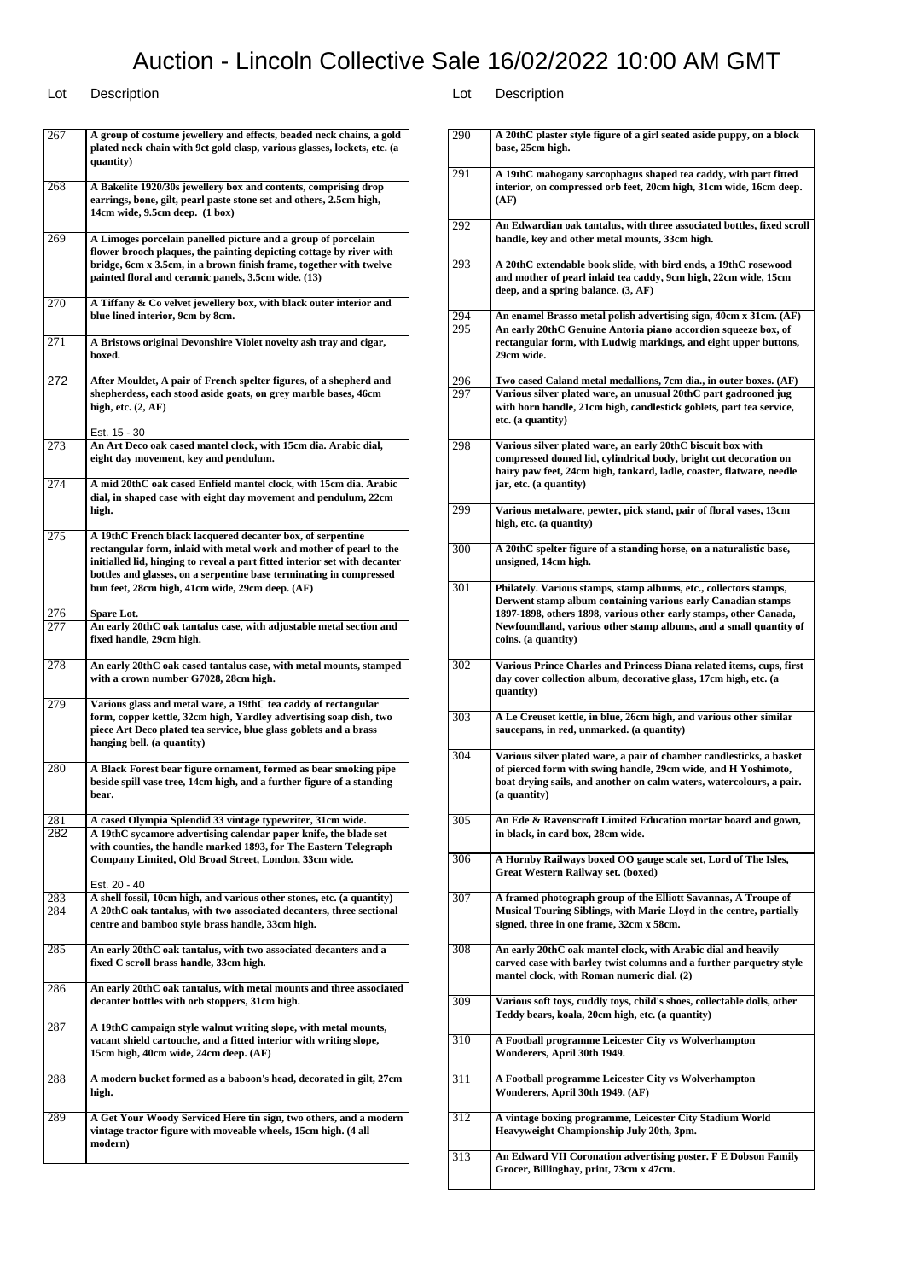| 267 | A group of costume jewellery and effects, beaded neck chains, a gold<br>plated neck chain with 9ct gold clasp, various glasses, lockets, etc. (a<br>quantity)                                                                                                                                                                             |
|-----|-------------------------------------------------------------------------------------------------------------------------------------------------------------------------------------------------------------------------------------------------------------------------------------------------------------------------------------------|
| 268 | A Bakelite 1920/30s jewellery box and contents, comprising drop<br>earrings, bone, gilt, pearl paste stone set and others, 2.5cm high,<br>14cm wide, 9.5cm deep. (1 box)                                                                                                                                                                  |
| 269 | A Limoges porcelain panelled picture and a group of porcelain<br>flower brooch plaques, the painting depicting cottage by river with<br>bridge, 6cm x 3.5cm, in a brown finish frame, together with twelve<br>painted floral and ceramic panels, 3.5cm wide. (13)                                                                         |
| 270 | A Tiffany & Co velvet jewellery box, with black outer interior and<br>blue lined interior, 9cm by 8cm.                                                                                                                                                                                                                                    |
| 271 | A Bristows original Devonshire Violet novelty ash tray and cigar,<br>boxed.                                                                                                                                                                                                                                                               |
| 272 | After Mouldet, A pair of French spelter figures, of a shepherd and<br>shepherdess, each stood aside goats, on grey marble bases, 46cm<br>high, etc. $(2, AF)$                                                                                                                                                                             |
| 273 | Est. 15 - 30<br>An Art Deco oak cased mantel clock, with 15cm dia. Arabic dial,<br>eight day movement, key and pendulum.                                                                                                                                                                                                                  |
| 274 | A mid 20thC oak cased Enfield mantel clock, with 15cm dia. Arabic<br>dial, in shaped case with eight day movement and pendulum, 22cm<br>high.                                                                                                                                                                                             |
| 275 | A 19thC French black lacquered decanter box, of serpentine<br>rectangular form, inlaid with metal work and mother of pearl to the<br>initialled lid, hinging to reveal a part fitted interior set with decanter<br>bottles and glasses, on a serpentine base terminating in compressed<br>bun feet, 28cm high, 41cm wide, 29cm deep. (AF) |
| 276 | Spare Lot.                                                                                                                                                                                                                                                                                                                                |
| 277 | An early 20thC oak tantalus case, with adjustable metal section and<br>fixed handle, 29cm high.                                                                                                                                                                                                                                           |
| 278 | An early 20thC oak cased tantalus case, with metal mounts, stamped<br>with a crown number G7028, 28cm high.                                                                                                                                                                                                                               |
| 279 | Various glass and metal ware, a 19thC tea caddy of rectangular<br>form, copper kettle, 32cm high, Yardley advertising soap dish, two<br>piece Art Deco plated tea service, blue glass goblets and a brass<br>hanging bell. (a quantity)                                                                                                   |
| 280 | A Black Forest bear figure ornament, formed as bear smoking pipe<br>beside spill vase tree, 14cm high, and a further figure of a standing<br>bear.                                                                                                                                                                                        |
| 281 | A cased Olympia Splendid 33 vintage typewriter, 31cm wide.                                                                                                                                                                                                                                                                                |
| 282 | A 19thC sycamore advertising calendar paper knife, the blade set<br>with counties, the handle marked 1893, for The Eastern Telegraph<br>Company Limited, Old Broad Street, London, 33cm wide.                                                                                                                                             |
| 283 | Est. 20 - 40<br>A shell fossil, 10cm high, and various other stones, etc. (a quantity)                                                                                                                                                                                                                                                    |
| 284 | A 20thC oak tantalus, with two associated decanters, three sectional<br>centre and bamboo style brass handle, 33cm high.                                                                                                                                                                                                                  |
| 285 | An early 20thC oak tantalus, with two associated decanters and a<br>fixed C scroll brass handle, 33cm high.                                                                                                                                                                                                                               |
| 286 | An early 20thC oak tantalus, with metal mounts and three associated<br>decanter bottles with orb stoppers, 31cm high.                                                                                                                                                                                                                     |
| 287 | A 19thC campaign style walnut writing slope, with metal mounts,<br>vacant shield cartouche, and a fitted interior with writing slope,<br>15cm high, 40cm wide, 24cm deep. (AF)                                                                                                                                                            |
| 288 | A modern bucket formed as a baboon's head, decorated in gilt, 27cm<br>high.                                                                                                                                                                                                                                                               |
| 289 | A Get Your Woody Serviced Here tin sign, two others, and a modern<br>vintage tractor figure with moveable wheels, 15cm high. (4 all<br>modern)                                                                                                                                                                                            |

| 290 | A 20thC plaster style figure of a girl seated aside puppy, on a block<br>base, 25cm high.                                                                                                                                                                                                          |
|-----|----------------------------------------------------------------------------------------------------------------------------------------------------------------------------------------------------------------------------------------------------------------------------------------------------|
| 291 | A 19thC mahogany sarcophagus shaped tea caddy, with part fitted<br>interior, on compressed orb feet, 20cm high, 31cm wide, 16cm deep.<br>(AF)                                                                                                                                                      |
| 292 | An Edwardian oak tantalus, with three associated bottles, fixed scroll<br>handle, key and other metal mounts, 33cm high.                                                                                                                                                                           |
| 293 | A 20thC extendable book slide, with bird ends, a 19thC rosewood<br>and mother of pearl inlaid tea caddy, 9cm high, 22cm wide, 15cm<br>deep, and a spring balance. $(3, AF)$                                                                                                                        |
| 294 | An enamel Brasso metal polish advertising sign, 40cm x 31cm. (AF)                                                                                                                                                                                                                                  |
| 295 | An early 20thC Genuine Antoria piano accordion squeeze box, of<br>rectangular form, with Ludwig markings, and eight upper buttons,<br>29cm wide.                                                                                                                                                   |
| 296 | Two cased Caland metal medallions, 7cm dia., in outer boxes. (AF)                                                                                                                                                                                                                                  |
| 297 | Various silver plated ware, an unusual 20thC part gadrooned jug<br>with horn handle, 21cm high, candlestick goblets, part tea service,<br>etc. (a quantity)                                                                                                                                        |
| 298 | Various silver plated ware, an early 20thC biscuit box with<br>compressed domed lid, cylindrical body, bright cut decoration on<br>hairy paw feet, 24cm high, tankard, ladle, coaster, flatware, needle<br>jar, etc. (a quantity)                                                                  |
| 299 | Various metalware, pewter, pick stand, pair of floral vases, 13cm<br>high, etc. (a quantity)                                                                                                                                                                                                       |
| 300 | A 20thC spelter figure of a standing horse, on a naturalistic base,<br>unsigned, 14cm high.                                                                                                                                                                                                        |
| 301 | Philately. Various stamps, stamp albums, etc., collectors stamps,<br>Derwent stamp album containing various early Canadian stamps<br>1897-1898, others 1898, various other early stamps, other Canada,<br>Newfoundland, various other stamp albums, and a small quantity of<br>coins. (a quantity) |
| 302 | Various Prince Charles and Princess Diana related items, cups, first<br>day cover collection album, decorative glass, 17cm high, etc. (a<br>quantity)                                                                                                                                              |
| 303 | A Le Creuset kettle, in blue, 26cm high, and various other similar<br>saucepans, in red, unmarked. (a quantity)                                                                                                                                                                                    |
| 304 | Various silver plated ware, a pair of chamber candlesticks, a basket<br>of pierced form with swing handle, 29cm wide, and H Yoshimoto,<br>boat drying sails, and another on calm waters, watercolours, a pair.<br>(a quantity)                                                                     |
| 305 | An Ede & Ravenscroft Limited Education mortar board and gown,<br>in black, in card box, 28cm wide.                                                                                                                                                                                                 |
| 306 | A Hornby Railways boxed OO gauge scale set, Lord of The Isles,<br>Great Western Railway set. (boxed)                                                                                                                                                                                               |
| 307 | A framed photograph group of the Elliott Savannas, A Troupe of<br>Musical Touring Siblings, with Marie Lloyd in the centre, partially<br>signed, three in one frame, 32cm x 58cm.                                                                                                                  |
| 308 | An early 20thC oak mantel clock, with Arabic dial and heavily<br>carved case with barley twist columns and a further parquetry style<br>mantel clock, with Roman numeric dial. (2)                                                                                                                 |
| 309 | Various soft toys, cuddly toys, child's shoes, collectable dolls, other<br>Teddy bears, koala, 20cm high, etc. (a quantity)                                                                                                                                                                        |
| 310 | A Football programme Leicester City vs Wolverhampton<br>Wonderers, April 30th 1949.                                                                                                                                                                                                                |
| 311 | A Football programme Leicester City vs Wolverhampton<br>Wonderers, April 30th 1949. (AF)                                                                                                                                                                                                           |
| 312 | A vintage boxing programme, Leicester City Stadium World<br>Heavyweight Championship July 20th, 3pm.                                                                                                                                                                                               |
| 313 | An Edward VII Coronation advertising poster. F E Dobson Family<br>Grocer, Billinghay, print, 73cm x 47cm.                                                                                                                                                                                          |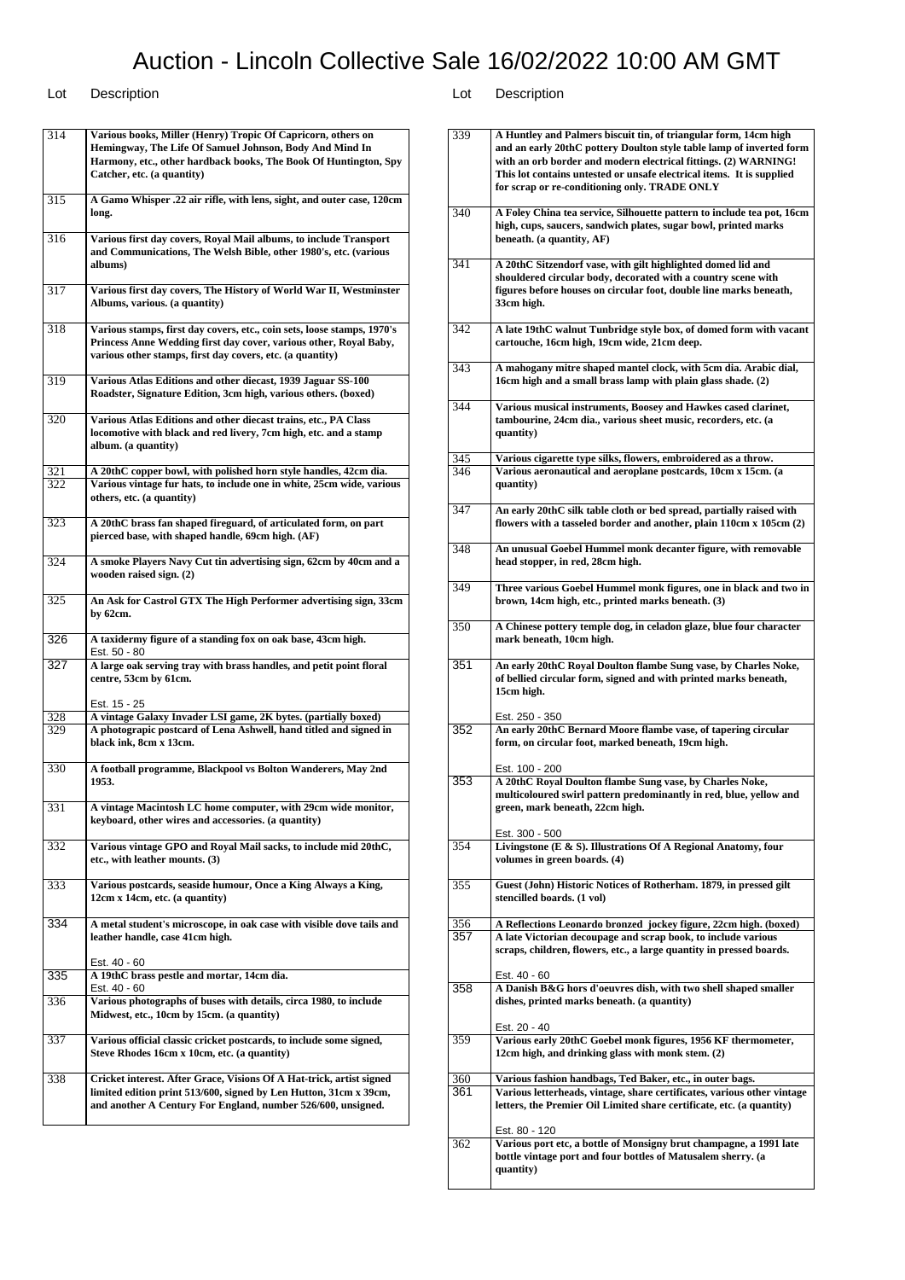### Lot Description Lot Description

314 **Various books, Miller (Henry) Tropic Of Capricorn, others on Hemingway, The Life Of Samuel Johnson, Body And Mind In Harmony, etc., other hardback books, The Book Of Huntington, Spy Catcher, etc. (a quantity)** 315 **A Gamo Whisper .22 air rifle, with lens, sight, and outer case, 120cm long.** 316 **Various first day covers, Royal Mail albums, to include Transport and Communications, The Welsh Bible, other 1980's, etc. (various albums)** 317 **Various first day covers, The History of World War II, Westminster Albums, various. (a quantity)** 318 **Various stamps, first day covers, etc., coin sets, loose stamps, 1970's Princess Anne Wedding first day cover, various other, Royal Baby, various other stamps, first day covers, etc. (a quantity)** 319 **Various Atlas Editions and other diecast, 1939 Jaguar SS-100 Roadster, Signature Edition, 3cm high, various others. (boxed)** 320 **Various Atlas Editions and other diecast trains, etc., PA Class locomotive with black and red livery, 7cm high, etc. and a stamp album. (a quantity)** 321 **A 20thC copper bowl, with polished horn style handles, 42cm dia.** 322 **Various vintage fur hats, to include one in white, 25cm wide, various others, etc. (a quantity)** 323 **A 20thC brass fan shaped fireguard, of articulated form, on part pierced base, with shaped handle, 69cm high. (AF)** 324 **A smoke Players Navy Cut tin advertising sign, 62cm by 40cm and a wooden raised sign. (2)** 325 **An Ask for Castrol GTX The High Performer advertising sign, 33cm by 62cm.** 326 **A taxidermy figure of a standing fox on oak base, 43cm high.** Est. 50 - 80 327 **A large oak serving tray with brass handles, and petit point floral centre, 53cm by 61cm.** Est. 15 - 25 328 **A vintage Galaxy Invader LSI game, 2K bytes. (partially boxed)** 329 **A photograpic postcard of Lena Ashwell, hand titled and signed in black ink, 8cm x 13cm.** 330 **A football programme, Blackpool vs Bolton Wanderers, May 2nd 1953.** 331 **A vintage Macintosh LC home computer, with 29cm wide monitor, keyboard, other wires and accessories. (a quantity)** 332 **Various vintage GPO and Royal Mail sacks, to include mid 20thC, etc., with leather mounts. (3)** 333 **Various postcards, seaside humour, Once a King Always a King, 12cm x 14cm, etc. (a quantity)** 334 **A metal student's microscope, in oak case with visible dove tails and leather handle, case 41cm high.** Est. 40 - 60 335 **A 19thC brass pestle and mortar, 14cm dia.** Est. 40 - 60 336 **Various photographs of buses with details, circa 1980, to include Midwest, etc., 10cm by 15cm. (a quantity)** 337 **Various official classic cricket postcards, to include some signed, Steve Rhodes 16cm x 10cm, etc. (a quantity)** 338 **Cricket interest. After Grace, Visions Of A Hat-trick, artist signed limited edition print 513/600, signed by Len Hutton, 31cm x 39cm, and another A Century For England, number 526/600, unsigned.**

| 339 | A Huntley and Palmers biscuit tin, of triangular form, 14cm high<br>and an early 20thC pottery Doulton style table lamp of inverted form<br>with an orb border and modern electrical fittings. (2) WARNING!<br>This lot contains untested or unsafe electrical items. It is supplied<br>for scrap or re-conditioning only. TRADE ONLY |
|-----|---------------------------------------------------------------------------------------------------------------------------------------------------------------------------------------------------------------------------------------------------------------------------------------------------------------------------------------|
| 340 | A Foley China tea service, Silhouette pattern to include tea pot, 16cm<br>high, cups, saucers, sandwich plates, sugar bowl, printed marks<br>beneath. (a quantity, AF)                                                                                                                                                                |
| 341 | A 20thC Sitzendorf vase, with gilt highlighted domed lid and<br>shouldered circular body, decorated with a country scene with<br>figures before houses on circular foot, double line marks beneath,<br>33cm high.                                                                                                                     |
| 342 | A late 19thC walnut Tunbridge style box, of domed form with vacant<br>cartouche, 16cm high, 19cm wide, 21cm deep.                                                                                                                                                                                                                     |
| 343 | A mahogany mitre shaped mantel clock, with 5cm dia. Arabic dial,<br>16cm high and a small brass lamp with plain glass shade. (2)                                                                                                                                                                                                      |
| 344 | Various musical instruments, Boosey and Hawkes cased clarinet,<br>tambourine, 24cm dia., various sheet music, recorders, etc. (a<br>quantity)                                                                                                                                                                                         |
| 345 | Various cigarette type silks, flowers, embroidered as a throw.                                                                                                                                                                                                                                                                        |
| 346 | Various aeronautical and aeroplane postcards, 10cm x 15cm. (a<br>quantity)                                                                                                                                                                                                                                                            |
| 347 | An early 20thC silk table cloth or bed spread, partially raised with<br>flowers with a tasseled border and another, plain 110cm x 105cm (2)                                                                                                                                                                                           |
| 348 | An unusual Goebel Hummel monk decanter figure, with removable<br>head stopper, in red, 28cm high.                                                                                                                                                                                                                                     |
| 349 | Three various Goebel Hummel monk figures, one in black and two in<br>brown, 14cm high, etc., printed marks beneath. (3)                                                                                                                                                                                                               |
| 350 | A Chinese pottery temple dog, in celadon glaze, blue four character<br>mark beneath, 10cm high.                                                                                                                                                                                                                                       |
| 351 | An early 20thC Royal Doulton flambe Sung vase, by Charles Noke,<br>of bellied circular form, signed and with printed marks beneath,<br>15cm high.                                                                                                                                                                                     |
|     | Est. 250 - 350                                                                                                                                                                                                                                                                                                                        |
| 352 | An early 20thC Bernard Moore flambe vase, of tapering circular<br>form, on circular foot, marked beneath, 19cm high.<br>Est. 100 - 200                                                                                                                                                                                                |
| 353 | A 20thC Royal Doulton flambe Sung vase, by Charles Noke,<br>multicoloured swirl pattern predominantly in red, blue, yellow and<br>green, mark beneath, 22cm high.<br>Est. 300 - 500                                                                                                                                                   |
| 354 | Livingstone (E & S). Illustrations Of A Regional Anatomy, four<br>volumes in green boards. (4)                                                                                                                                                                                                                                        |
| 355 | Guest (John) Historic Notices of Rotherham. 1879, in pressed gilt<br>stencilled boards. (1 vol)                                                                                                                                                                                                                                       |
| 356 | A Reflections Leonardo bronzed jockey figure, 22cm high. (boxed)                                                                                                                                                                                                                                                                      |
| 357 | A late Victorian decoupage and scrap book, to include various<br>scraps, children, flowers, etc., a large quantity in pressed boards.                                                                                                                                                                                                 |
| 358 | Est. 40 - 60<br>A Danish B&G hors d'oeuvres dish, with two shell shaped smaller<br>dishes, printed marks beneath. (a quantity)                                                                                                                                                                                                        |
| 359 | Est. 20 - 40<br>Various early 20thC Goebel monk figures, 1956 KF thermometer,<br>12cm high, and drinking glass with monk stem. (2)                                                                                                                                                                                                    |
| 360 | Various fashion handbags, Ted Baker, etc., in outer bags.                                                                                                                                                                                                                                                                             |
| 361 | Various letterheads, vintage, share certificates, various other vintage<br>letters, the Premier Oil Limited share certificate, etc. (a quantity)                                                                                                                                                                                      |
| 362 | Est. 80 - 120<br>Various port etc, a bottle of Monsigny brut champagne, a 1991 late<br>bottle vintage port and four bottles of Matusalem sherry. (a<br>quantity)                                                                                                                                                                      |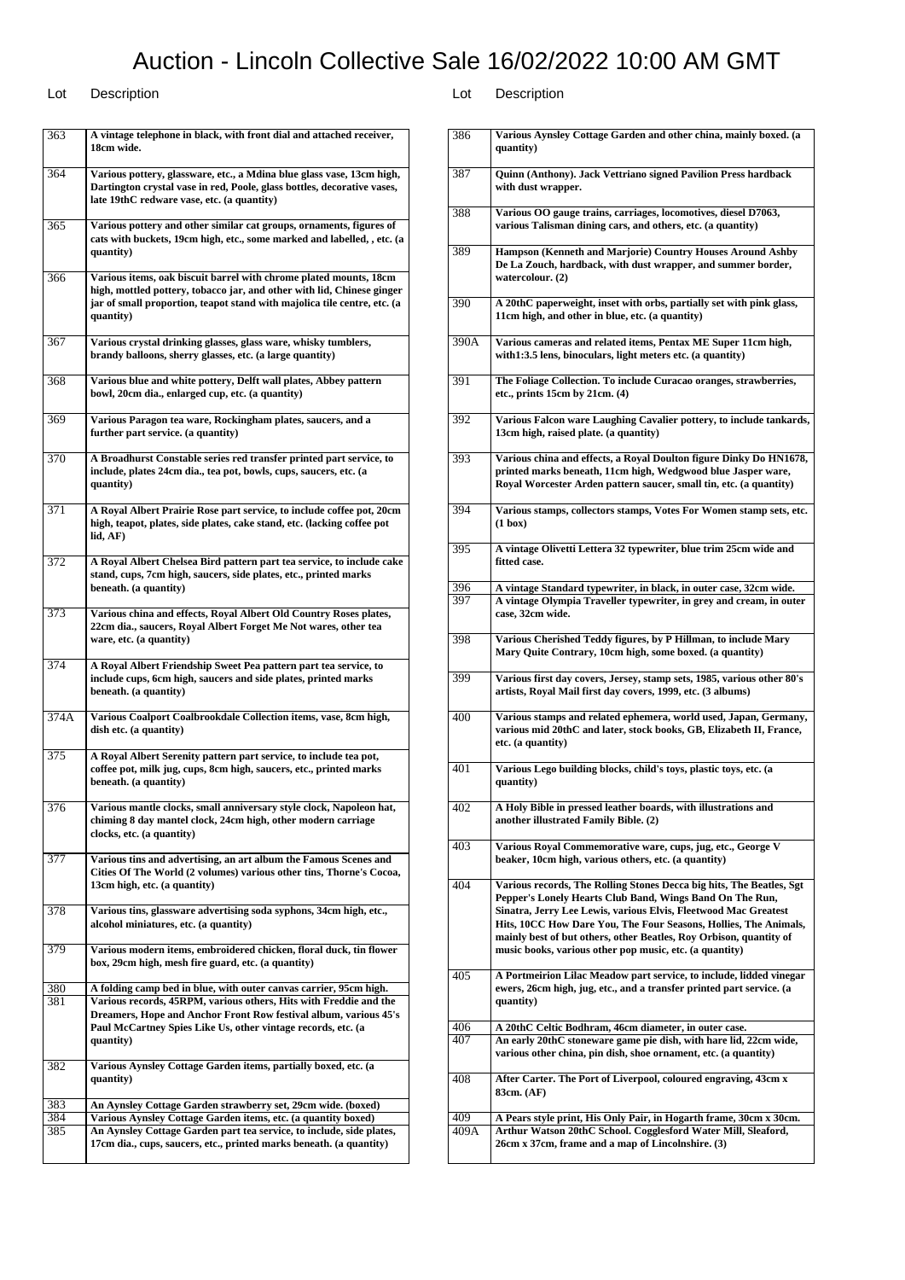| 363        | A vintage telephone in black, with front dial and attached receiver,<br>18cm wide.                                                                                                                                                   |
|------------|--------------------------------------------------------------------------------------------------------------------------------------------------------------------------------------------------------------------------------------|
| 364        | Various pottery, glassware, etc., a Mdina blue glass vase, 13cm high,<br>Dartington crystal vase in red, Poole, glass bottles, decorative vases,<br>late 19thC redware vase, etc. (a quantity)                                       |
| 365        | Various pottery and other similar cat groups, ornaments, figures of<br>cats with buckets, 19cm high, etc., some marked and labelled, , etc. (a<br>quantity)                                                                          |
| 366        | Various items, oak biscuit barrel with chrome plated mounts, 18cm<br>high, mottled pottery, tobacco jar, and other with lid, Chinese ginger<br>jar of small proportion, teapot stand with majolica tile centre, etc. (a<br>quantity) |
| 367        | Various crystal drinking glasses, glass ware, whisky tumblers,<br>brandy balloons, sherry glasses, etc. (a large quantity)                                                                                                           |
| 368        | Various blue and white pottery, Delft wall plates, Abbey pattern<br>bowl, 20cm dia., enlarged cup, etc. (a quantity)                                                                                                                 |
| 369        | Various Paragon tea ware, Rockingham plates, saucers, and a<br>further part service. (a quantity)                                                                                                                                    |
| 370        | A Broadhurst Constable series red transfer printed part service, to<br>include, plates 24cm dia., tea pot, bowls, cups, saucers, etc. (a<br>quantity)                                                                                |
| 371        | A Royal Albert Prairie Rose part service, to include coffee pot, 20cm<br>high, teapot, plates, side plates, cake stand, etc. (lacking coffee pot<br>lid, AF)                                                                         |
| 372        | A Royal Albert Chelsea Bird pattern part tea service, to include cake<br>stand, cups, 7cm high, saucers, side plates, etc., printed marks<br>beneath. (a quantity)                                                                   |
| 373        | Various china and effects, Royal Albert Old Country Roses plates,<br>22cm dia., saucers, Royal Albert Forget Me Not wares, other tea<br>ware, etc. (a quantity)                                                                      |
| 374        | A Royal Albert Friendship Sweet Pea pattern part tea service, to<br>include cups, 6cm high, saucers and side plates, printed marks<br>beneath. (a quantity)                                                                          |
| 374A       | Various Coalport Coalbrookdale Collection items, vase, 8cm high,<br>dish etc. (a quantity)                                                                                                                                           |
| 375        | A Royal Albert Serenity pattern part service, to include tea pot,<br>coffee pot, milk jug, cups, 8cm high, saucers, etc., printed marks<br>beneath. (a quantity)                                                                     |
| 376        | Various mantle clocks, small anniversary style clock, Napoleon hat,<br>chiming 8 day mantel clock, 24cm high, other modern carriage<br>clocks, etc. (a quantity)                                                                     |
| 377        | Various tins and advertising, an art album the Famous Scenes and<br>Cities Of The World (2 volumes) various other tins, Thorne's Cocoa,<br>13cm high, etc. (a quantity)                                                              |
| 378        | Various tins, glassware advertising soda syphons, 34cm high, etc.,<br>alcohol miniatures, etc. (a quantity)                                                                                                                          |
| 379        | Various modern items, embroidered chicken, floral duck, tin flower<br>box, 29cm high, mesh fire guard, etc. (a quantity)                                                                                                             |
| 380        | A folding camp bed in blue, with outer canvas carrier, 95cm high.                                                                                                                                                                    |
| 381        | Various records, 45RPM, various others, Hits with Freddie and the<br>Dreamers, Hope and Anchor Front Row festival album, various 45's<br>Paul McCartney Spies Like Us, other vintage records, etc. (a<br>quantity)                   |
| 382        | Various Aynsley Cottage Garden items, partially boxed, etc. (a<br>quantity)                                                                                                                                                          |
| 383        | An Aynsley Cottage Garden strawberry set, 29cm wide. (boxed)                                                                                                                                                                         |
| 384<br>385 | Various Aynsley Cottage Garden items, etc. (a quantity boxed)<br>An Aynsley Cottage Garden part tea service, to include, side plates,                                                                                                |
|            | 17cm dia., cups, saucers, etc., printed marks beneath. (a quantity)                                                                                                                                                                  |
|            |                                                                                                                                                                                                                                      |

| 386  | Various Aynsley Cottage Garden and other china, mainly boxed. (a                                                                                                                                                                                                                                                                                                                                         |
|------|----------------------------------------------------------------------------------------------------------------------------------------------------------------------------------------------------------------------------------------------------------------------------------------------------------------------------------------------------------------------------------------------------------|
|      | quantity)                                                                                                                                                                                                                                                                                                                                                                                                |
| 387  | Quinn (Anthony). Jack Vettriano signed Pavilion Press hardback<br>with dust wrapper.                                                                                                                                                                                                                                                                                                                     |
| 388  | Various OO gauge trains, carriages, locomotives, diesel D7063,<br>various Talisman dining cars, and others, etc. (a quantity)                                                                                                                                                                                                                                                                            |
| 389  | Hampson (Kenneth and Marjorie) Country Houses Around Ashby<br>De La Zouch, hardback, with dust wrapper, and summer border,<br>watercolour. (2)                                                                                                                                                                                                                                                           |
| 390  | A 20thC paperweight, inset with orbs, partially set with pink glass,<br>11cm high, and other in blue, etc. (a quantity)                                                                                                                                                                                                                                                                                  |
| 390A | Various cameras and related items, Pentax ME Super 11cm high,<br>with1:3.5 lens, binoculars, light meters etc. (a quantity)                                                                                                                                                                                                                                                                              |
| 391  | The Foliage Collection. To include Curacao oranges, strawberries,<br>etc., prints $15cm$ by $21cm$ . $(4)$                                                                                                                                                                                                                                                                                               |
| 392  | Various Falcon ware Laughing Cavalier pottery, to include tankards,<br>13cm high, raised plate. (a quantity)                                                                                                                                                                                                                                                                                             |
| 393  | Various china and effects, a Royal Doulton figure Dinky Do HN1678,                                                                                                                                                                                                                                                                                                                                       |
|      | printed marks beneath, 11cm high, Wedgwood blue Jasper ware,<br>Royal Worcester Arden pattern saucer, small tin, etc. (a quantity)                                                                                                                                                                                                                                                                       |
|      |                                                                                                                                                                                                                                                                                                                                                                                                          |
| 394  | Various stamps, collectors stamps, Votes For Women stamp sets, etc.<br>$(1 \text{ box})$                                                                                                                                                                                                                                                                                                                 |
| 395  | A vintage Olivetti Lettera 32 typewriter, blue trim 25cm wide and<br>fitted case.                                                                                                                                                                                                                                                                                                                        |
| 396  | A vintage Standard typewriter, in black, in outer case, 32cm wide.                                                                                                                                                                                                                                                                                                                                       |
| 397  | A vintage Olympia Traveller typewriter, in grey and cream, in outer<br>case, 32cm wide.                                                                                                                                                                                                                                                                                                                  |
| 398  | Various Cherished Teddy figures, by P Hillman, to include Mary<br>Mary Quite Contrary, 10cm high, some boxed. (a quantity)                                                                                                                                                                                                                                                                               |
| 399  | Various first day covers, Jersey, stamp sets, 1985, various other 80's<br>artists, Royal Mail first day covers, 1999, etc. (3 albums)                                                                                                                                                                                                                                                                    |
| 400  | Various stamps and related ephemera, world used, Japan, Germany,<br>various mid 20thC and later, stock books, GB, Elizabeth II, France,<br>etc. (a quantity)                                                                                                                                                                                                                                             |
| 401  | Various Lego building blocks, child's toys, plastic toys, etc. (a<br>quantity)                                                                                                                                                                                                                                                                                                                           |
| 402  | A Holy Bible in pressed leather boards, with illustrations and<br>another illustrated Family Bible. (2)                                                                                                                                                                                                                                                                                                  |
| 403  | Various Royal Commemorative ware, cups, jug, etc., George V<br>beaker, 10cm high, various others, etc. (a quantity)                                                                                                                                                                                                                                                                                      |
| 404  | Various records, The Rolling Stones Decca big hits, The Beatles, Sgt<br>Pepper's Lonely Hearts Club Band, Wings Band On The Run,<br>Sinatra, Jerry Lee Lewis, various Elvis, Fleetwood Mac Greatest<br>Hits, 10CC How Dare You, The Four Seasons, Hollies, The Animals,<br>mainly best of but others, other Beatles, Roy Orbison, quantity of<br>music books, various other pop music, etc. (a quantity) |
| 405  | A Portmeirion Lilac Meadow part service, to include, lidded vinegar<br>ewers, 26cm high, jug, etc., and a transfer printed part service. (a<br>quantity)                                                                                                                                                                                                                                                 |
| 406  | A 20thC Celtic Bodhram, 46cm diameter, in outer case.                                                                                                                                                                                                                                                                                                                                                    |
| 407  | An early 20thC stoneware game pie dish, with hare lid, 22cm wide,<br>various other china, pin dish, shoe ornament, etc. (a quantity)                                                                                                                                                                                                                                                                     |
| 408  | After Carter. The Port of Liverpool, coloured engraving, 43cm x<br>83cm. (AF)                                                                                                                                                                                                                                                                                                                            |
| 409  | A Pears style print, His Only Pair, in Hogarth frame, 30cm x 30cm.                                                                                                                                                                                                                                                                                                                                       |
| 409A | Arthur Watson 20thC School. Cogglesford Water Mill, Sleaford,<br>26cm x 37cm, frame and a map of Lincolnshire. (3)                                                                                                                                                                                                                                                                                       |
|      |                                                                                                                                                                                                                                                                                                                                                                                                          |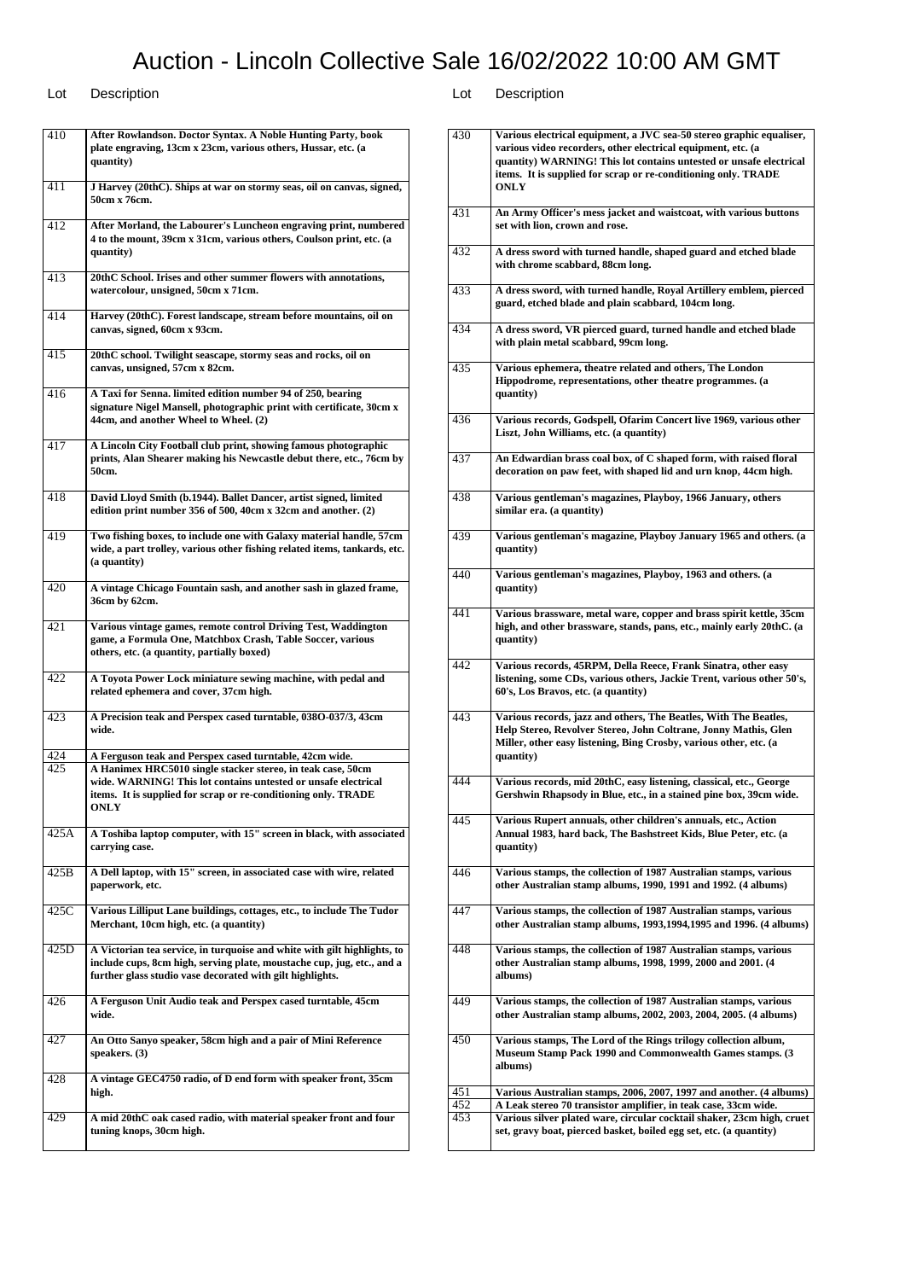Lot Description Lot Description 410 **After Rowlandson. Doctor Syntax. A Noble Hunting Party, book plate engraving, 13cm x 23cm, various others, Hussar, etc. (a quantity)** 411 **J Harvey (20thC). Ships at war on stormy seas, oil on canvas, signed, 50cm x 76cm.** 412 **After Morland, the Labourer's Luncheon engraving print, numbered 4 to the mount, 39cm x 31cm, various others, Coulson print, etc. (a quantity)** 413 **20thC School. Irises and other summer flowers with annotations, watercolour, unsigned, 50cm x 71cm.** 414 **Harvey (20thC). Forest landscape, stream before mountains, oil on canvas, signed, 60cm x 93cm.** 415 **20thC school. Twilight seascape, stormy seas and rocks, oil on canvas, unsigned, 57cm x 82cm.** 416 **A Taxi for Senna. limited edition number 94 of 250, bearing signature Nigel Mansell, photographic print with certificate, 30cm x 44cm, and another Wheel to Wheel. (2)** 417 **A Lincoln City Football club print, showing famous photographic prints, Alan Shearer making his Newcastle debut there, etc., 76cm by 50cm.** 418 **David Lloyd Smith (b.1944). Ballet Dancer, artist signed, limited edition print number 356 of 500, 40cm x 32cm and another. (2)**

419 **Two fishing boxes, to include one with Galaxy material handle, 57cm wide, a part trolley, various other fishing related items, tankards, etc. (a quantity)** 420 **A vintage Chicago Fountain sash, and another sash in glazed frame, 36cm by 62cm.** 421 **Various vintage games, remote control Driving Test, Waddington game, a Formula One, Matchbox Crash, Table Soccer, various others, etc. (a quantity, partially boxed)** 422 **A Toyota Power Lock miniature sewing machine, with pedal and related ephemera and cover, 37cm high.** 423 **A Precision teak and Perspex cased turntable, 038O-037/3, 43cm wide.** 424 **A Ferguson teak and Perspex cased turntable, 42cm wide.** 425 **A Hanimex HRC5010 single stacker stereo, in teak case, 50cm wide. WARNING! This lot contains untested or unsafe electrical items. It is supplied for scrap or re-conditioning only. TRADE ONLY** 425A **A Toshiba laptop computer, with 15" screen in black, with associated carrying case.** 425B **A Dell laptop, with 15" screen, in associated case with wire, related paperwork, etc.** 425C **Various Lilliput Lane buildings, cottages, etc., to include The Tudor Merchant, 10cm high, etc. (a quantity)** 425D **A Victorian tea service, in turquoise and white with gilt highlights, to include cups, 8cm high, serving plate, moustache cup, jug, etc., and a further glass studio vase decorated with gilt highlights.** 426 **A Ferguson Unit Audio teak and Perspex cased turntable, 45cm wide.** 427 **An Otto Sanyo speaker, 58cm high and a pair of Mini Reference speakers. (3)** 428 **A vintage GEC4750 radio, of D end form with speaker front, 35cm high.** 429 **A mid 20thC oak cased radio, with material speaker front and four tuning knops, 30cm high.**

| 430        | Various electrical equipment, a JVC sea-50 stereo graphic equaliser,<br>various video recorders, other electrical equipment, etc. (a<br>quantity) WARNING! This lot contains untested or unsafe electrical<br>items. It is supplied for scrap or re-conditioning only. TRADE<br><b>ONLY</b> |
|------------|---------------------------------------------------------------------------------------------------------------------------------------------------------------------------------------------------------------------------------------------------------------------------------------------|
| 431        | An Army Officer's mess jacket and waistcoat, with various buttons<br>set with lion, crown and rose.                                                                                                                                                                                         |
| 432        | A dress sword with turned handle, shaped guard and etched blade<br>with chrome scabbard, 88cm long.                                                                                                                                                                                         |
| 433        | A dress sword, with turned handle, Royal Artillery emblem, pierced<br>guard, etched blade and plain scabbard, 104cm long.                                                                                                                                                                   |
| 434        | A dress sword, VR pierced guard, turned handle and etched blade<br>with plain metal scabbard, 99cm long.                                                                                                                                                                                    |
| 435        | Various ephemera, theatre related and others, The London<br>Hippodrome, representations, other theatre programmes. (a<br>quantity)                                                                                                                                                          |
| 436        | Various records, Godspell, Ofarim Concert live 1969, various other<br>Liszt, John Williams, etc. (a quantity)                                                                                                                                                                               |
| 437        | An Edwardian brass coal box, of C shaped form, with raised floral<br>decoration on paw feet, with shaped lid and urn knop, 44cm high.                                                                                                                                                       |
| 438        | Various gentleman's magazines, Playboy, 1966 January, others<br>similar era. (a quantity)                                                                                                                                                                                                   |
| 439        | Various gentleman's magazine, Playboy January 1965 and others. (a<br>quantity)                                                                                                                                                                                                              |
| 440        | Various gentleman's magazines, Playboy, 1963 and others. (a<br>quantity)                                                                                                                                                                                                                    |
| 441        | Various brassware, metal ware, copper and brass spirit kettle, 35cm<br>high, and other brassware, stands, pans, etc., mainly early 20thC. (a<br>quantity)                                                                                                                                   |
| 442        | Various records, 45RPM, Della Reece, Frank Sinatra, other easy<br>listening, some CDs, various others, Jackie Trent, various other 50's,<br>60's, Los Bravos, etc. (a quantity)                                                                                                             |
| 443        | Various records, jazz and others, The Beatles, With The Beatles,<br>Help Stereo, Revolver Stereo, John Coltrane, Jonny Mathis, Glen<br>Miller, other easy listening, Bing Crosby, various other, etc. (a<br>quantity)                                                                       |
| 444        | Various records, mid 20thC, easy listening, classical, etc., George<br>Gershwin Rhapsody in Blue, etc., in a stained pine box, 39cm wide.                                                                                                                                                   |
| 445        | Various Rupert annuals, other children's annuals, etc., Action<br>Annual 1983, hard back, The Bashstreet Kids, Blue Peter, etc. (a<br>quantity)                                                                                                                                             |
| 446        | Various stamps, the collection of 1987 Australian stamps, various<br>other Australian stamp albums, 1990, 1991 and 1992. (4 albums)                                                                                                                                                         |
| 447        | Various stamps, the collection of 1987 Australian stamps, various<br>other Australian stamp albums, 1993, 1994, 1995 and 1996. (4 albums)                                                                                                                                                   |
| 448        | Various stamps, the collection of 1987 Australian stamps, various<br>other Australian stamp albums, 1998, 1999, 2000 and 2001. (4<br>albums)                                                                                                                                                |
| 449        | Various stamps, the collection of 1987 Australian stamps, various<br>other Australian stamp albums, 2002, 2003, 2004, 2005. (4 albums)                                                                                                                                                      |
| 450        | Various stamps, The Lord of the Rings trilogy collection album,<br><b>Museum Stamp Pack 1990 and Commonwealth Games stamps. (3)</b><br>albums)                                                                                                                                              |
| 451        | Various Australian stamps, 2006, 2007, 1997 and another. (4 albums)                                                                                                                                                                                                                         |
| 452<br>453 | A Leak stereo 70 transistor amplifier, in teak case, 33cm wide.<br>Various silver plated ware, circular cocktail shaker, 23cm high, cruet                                                                                                                                                   |
|            | set, gravy boat, pierced basket, boiled egg set, etc. (a quantity)                                                                                                                                                                                                                          |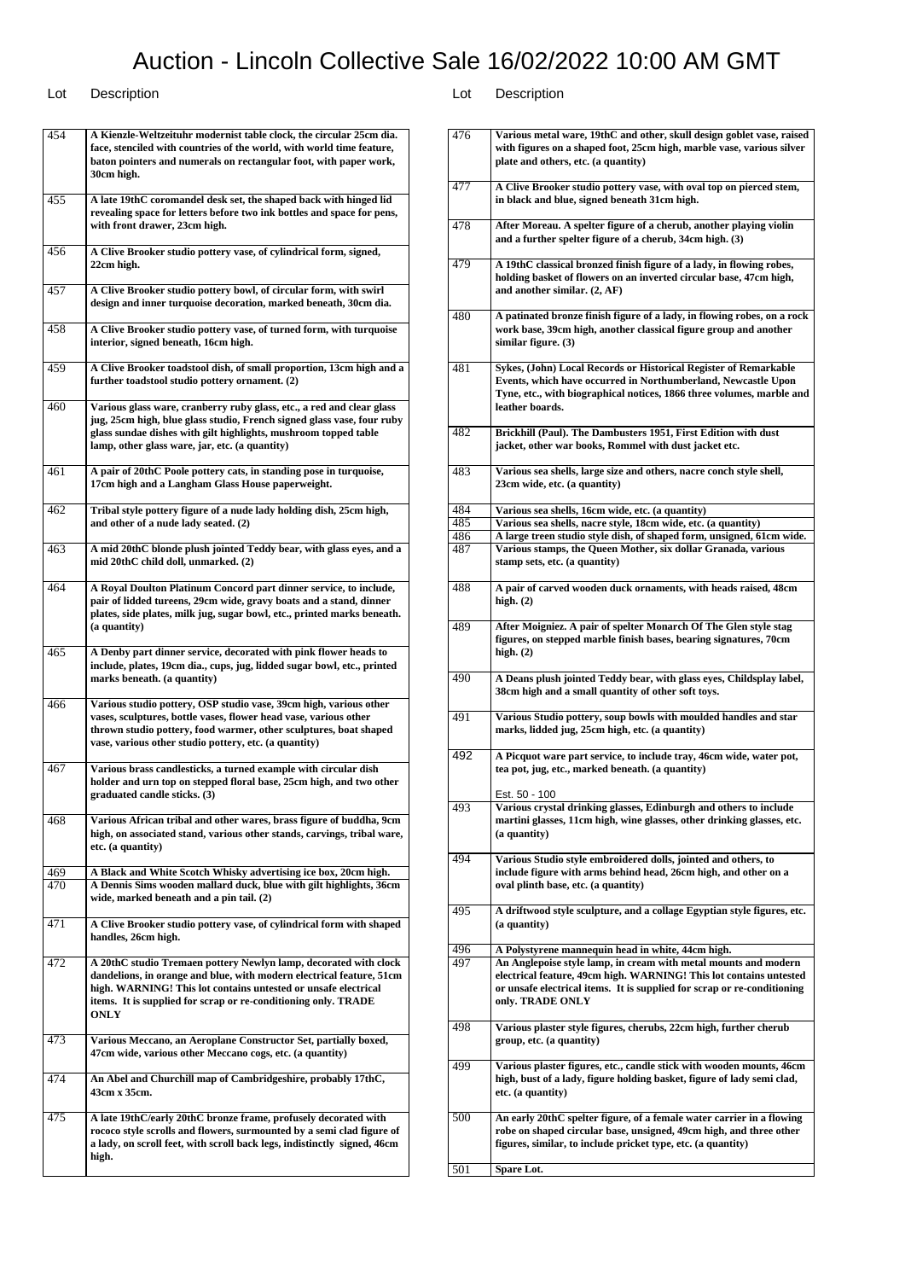### Lot Description Lot Description

454 **A Kienzle-Weltzeituhr modernist table clock, the circular 25cm dia. face, stenciled with countries of the world, with world time feature, baton pointers and numerals on rectangular foot, with paper work, 30cm high.** 455 **A late 19thC coromandel desk set, the shaped back with hinged lid revealing space for letters before two ink bottles and space for pens, with front drawer, 23cm high.** 456 **A Clive Brooker studio pottery vase, of cylindrical form, signed, 22cm high.** 457 **A Clive Brooker studio pottery bowl, of circular form, with swirl design and inner turquoise decoration, marked beneath, 30cm dia.** 458 **A Clive Brooker studio pottery vase, of turned form, with turquoise interior, signed beneath, 16cm high.** 459 **A Clive Brooker toadstool dish, of small proportion, 13cm high and a further toadstool studio pottery ornament. (2)** 460 **Various glass ware, cranberry ruby glass, etc., a red and clear glass jug, 25cm high, blue glass studio, French signed glass vase, four ruby glass sundae dishes with gilt highlights, mushroom topped table lamp, other glass ware, jar, etc. (a quantity)** 461 **A pair of 20thC Poole pottery cats, in standing pose in turquoise, 17cm high and a Langham Glass House paperweight.** 462 **Tribal style pottery figure of a nude lady holding dish, 25cm high, and other of a nude lady seated. (2)** 463 **A mid 20thC blonde plush jointed Teddy bear, with glass eyes, and a mid 20thC child doll, unmarked. (2)** 464 **A Royal Doulton Platinum Concord part dinner service, to include, pair of lidded tureens, 29cm wide, gravy boats and a stand, dinner plates, side plates, milk jug, sugar bowl, etc., printed marks beneath. (a quantity)** 465 **A Denby part dinner service, decorated with pink flower heads to include, plates, 19cm dia., cups, jug, lidded sugar bowl, etc., printed marks beneath. (a quantity)** 466 **Various studio pottery, OSP studio vase, 39cm high, various other vases, sculptures, bottle vases, flower head vase, various other thrown studio pottery, food warmer, other sculptures, boat shaped vase, various other studio pottery, etc. (a quantity)** 467 **Various brass candlesticks, a turned example with circular dish holder and urn top on stepped floral base, 25cm high, and two other graduated candle sticks. (3)** 468 **Various African tribal and other wares, brass figure of buddha, 9cm high, on associated stand, various other stands, carvings, tribal ware, etc. (a quantity)** 469 **A Black and White Scotch Whisky advertising ice box, 20cm high.** 470 **A Dennis Sims wooden mallard duck, blue with gilt highlights, 36cm wide, marked beneath and a pin tail. (2)** 471 **A Clive Brooker studio pottery vase, of cylindrical form with shaped handles, 26cm high.** 472 **A 20thC studio Tremaen pottery Newlyn lamp, decorated with clock dandelions, in orange and blue, with modern electrical feature, 51cm high. WARNING! This lot contains untested or unsafe electrical items. It is supplied for scrap or re-conditioning only. TRADE ONLY** 473 **Various Meccano, an Aeroplane Constructor Set, partially boxed, 47cm wide, various other Meccano cogs, etc. (a quantity)** 474 **An Abel and Churchill map of Cambridgeshire, probably 17thC, 43cm x 35cm.** 475 **A late 19thC/early 20thC bronze frame, profusely decorated with rococo style scrolls and flowers, surmounted by a semi clad figure of a lady, on scroll feet, with scroll back legs, indistinctly signed, 46cm high.**

| 476 | Various metal ware, 19thC and other, skull design goblet vase, raised   |
|-----|-------------------------------------------------------------------------|
|     | with figures on a shaped foot, 25cm high, marble vase, various silver   |
|     | plate and others, etc. (a quantity)                                     |
|     |                                                                         |
|     |                                                                         |
| 477 | A Clive Brooker studio pottery vase, with oval top on pierced stem,     |
|     | in black and blue, signed beneath 31cm high.                            |
|     |                                                                         |
| 478 | After Moreau. A spelter figure of a cherub, another playing violin      |
|     |                                                                         |
|     | and a further spelter figure of a cherub, 34cm high. (3)                |
|     |                                                                         |
| 479 | A 19thC classical bronzed finish figure of a lady, in flowing robes,    |
|     | holding basket of flowers on an inverted circular base, 47cm high,      |
|     | and another similar. (2, AF)                                            |
|     |                                                                         |
|     |                                                                         |
| 480 | A patinated bronze finish figure of a lady, in flowing robes, on a rock |
|     | work base, 39cm high, another classical figure group and another        |
|     | similar figure. (3)                                                     |
|     |                                                                         |
| 481 | Sykes, (John) Local Records or Historical Register of Remarkable        |
|     |                                                                         |
|     | Events, which have occurred in Northumberland, Newcastle Upon           |
|     | Tyne, etc., with biographical notices, 1866 three volumes, marble and   |
|     | leather boards.                                                         |
|     |                                                                         |
| 482 | Brickhill (Paul). The Dambusters 1951, First Edition with dust          |
|     | jacket, other war books, Rommel with dust jacket etc.                   |
|     |                                                                         |
|     |                                                                         |
| 483 | Various sea shells, large size and others, nacre conch style shell,     |
|     | 23cm wide, etc. (a quantity)                                            |
|     |                                                                         |
| 484 | Various sea shells, 16cm wide, etc. (a quantity)                        |
| 485 | Various sea shells, nacre style, 18cm wide, etc. (a quantity)           |
|     |                                                                         |
| 486 | A large treen studio style dish, of shaped form, unsigned, 61cm wide.   |
| 487 | Various stamps, the Queen Mother, six dollar Granada, various           |
|     | stamp sets, etc. (a quantity)                                           |
|     |                                                                         |
| 488 | A pair of carved wooden duck ornaments, with heads raised, 48cm         |
|     |                                                                         |
|     | high. $(2)$                                                             |
|     |                                                                         |
| 489 | After Moigniez. A pair of spelter Monarch Of The Glen style stag        |
|     | figures, on stepped marble finish bases, bearing signatures, 70cm       |
|     | high. $(2)$                                                             |
|     |                                                                         |
| 490 |                                                                         |
|     | A Deans plush jointed Teddy bear, with glass eyes, Childsplay label,    |
|     | 38cm high and a small quantity of other soft toys.                      |
|     |                                                                         |
| 491 | Various Studio pottery, soup bowls with moulded handles and star        |
|     | marks, lidded jug, 25cm high, etc. (a quantity)                         |
|     |                                                                         |
|     |                                                                         |
| 492 |                                                                         |
|     | A Picquot ware part service, to include tray, 46cm wide, water pot,     |
|     | tea pot, jug, etc., marked beneath. (a quantity)                        |
|     |                                                                         |
|     | Est. 50 - 100                                                           |
| 493 | Various crystal drinking glasses, Edinburgh and others to include       |
|     | martini glasses, 11cm high, wine glasses, other drinking glasses, etc.  |
|     |                                                                         |
|     | (a quantity)                                                            |
|     |                                                                         |
| 494 | Various Studio style embroidered dolls, jointed and others, to          |
|     | include figure with arms behind head, 26cm high, and other on a         |
|     | oval plinth base, etc. (a quantity)                                     |
|     |                                                                         |
| 495 | A driftwood style sculpture, and a collage Egyptian style figures, etc. |
|     | (a quantity)                                                            |
|     |                                                                         |
|     |                                                                         |
| 496 | A Polystyrene mannequin head in white, 44cm high.                       |
| 497 | An Anglepoise style lamp, in cream with metal mounts and modern         |
|     | electrical feature, 49cm high. WARNING! This lot contains untested      |
|     | or unsafe electrical items. It is supplied for scrap or re-conditioning |
|     | only. TRADE ONLY                                                        |
|     |                                                                         |
|     |                                                                         |
| 498 | Various plaster style figures, cherubs, 22cm high, further cherub       |
|     | group, etc. (a quantity)                                                |
|     |                                                                         |
| 499 | Various plaster figures, etc., candle stick with wooden mounts, 46cm    |
|     | high, bust of a lady, figure holding basket, figure of lady semi clad,  |
|     |                                                                         |
|     | etc. (a quantity)                                                       |
|     |                                                                         |
| 500 | An early 20thC spelter figure, of a female water carrier in a flowing   |
|     | robe on shaped circular base, unsigned, 49cm high, and three other      |
|     | figures, similar, to include pricket type, etc. (a quantity)            |
|     |                                                                         |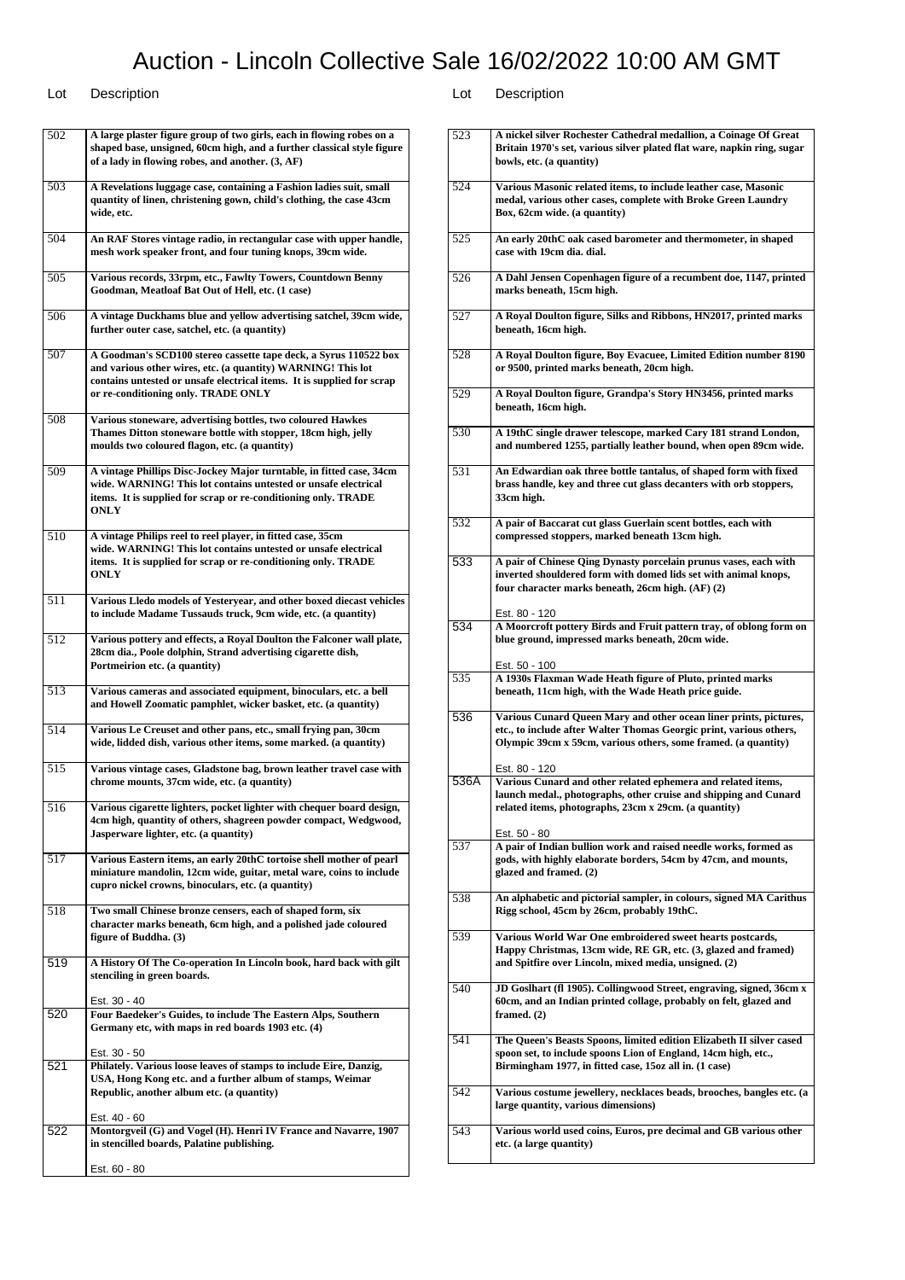| 502 | A large plaster figure group of two girls, each in flowing robes on a<br>shaped base, unsigned, 60cm high, and a further classical style figure<br>of a lady in flowing robes, and another. (3, AF)                                               |
|-----|---------------------------------------------------------------------------------------------------------------------------------------------------------------------------------------------------------------------------------------------------|
| 503 | A Revelations luggage case, containing a Fashion ladies suit, small<br>quantity of linen, christening gown, child's clothing, the case 43cm<br>wide, etc.                                                                                         |
| 504 | An RAF Stores vintage radio, in rectangular case with upper handle,<br>mesh work speaker front, and four tuning knops, 39cm wide.                                                                                                                 |
| 505 | Various records, 33rpm, etc., Fawlty Towers, Countdown Benny<br>Goodman, Meatloaf Bat Out of Hell, etc. (1 case)                                                                                                                                  |
| 506 | A vintage Duckhams blue and yellow advertising satchel, 39cm wide,<br>further outer case, satchel, etc. (a quantity)                                                                                                                              |
| 507 | A Goodman's SCD100 stereo cassette tape deck, a Syrus 110522 box<br>and various other wires, etc. (a quantity) WARNING! This lot<br>contains untested or unsafe electrical items. It is supplied for scrap<br>or re-conditioning only. TRADE ONLY |
| 508 | Various stoneware, advertising bottles, two coloured Hawkes<br>Thames Ditton stoneware bottle with stopper, 18cm high, jelly<br>moulds two coloured flagon, etc. (a quantity)                                                                     |
| 509 | A vintage Phillips Disc-Jockey Major turntable, in fitted case, 34cm<br>wide. WARNING! This lot contains untested or unsafe electrical<br>items. It is supplied for scrap or re-conditioning only. TRADE<br>ONLY                                  |
| 510 | A vintage Philips reel to reel player, in fitted case, 35cm<br>wide. WARNING! This lot contains untested or unsafe electrical<br>items. It is supplied for scrap or re-conditioning only. TRADE<br>ONLY                                           |
| 511 | Various Lledo models of Yesteryear, and other boxed diecast vehicles<br>to include Madame Tussauds truck, 9cm wide, etc. (a quantity)                                                                                                             |
| 512 | Various pottery and effects, a Royal Doulton the Falconer wall plate,<br>28cm dia., Poole dolphin, Strand advertising cigarette dish,<br>Portmeirion etc. (a quantity)                                                                            |
| 513 | Various cameras and associated equipment, binoculars, etc. a bell<br>and Howell Zoomatic pamphlet, wicker basket, etc. (a quantity)                                                                                                               |
| 514 | Various Le Creuset and other pans, etc., small frying pan, 30cm<br>wide, lidded dish, various other items, some marked. (a quantity)                                                                                                              |
| 515 | Various vintage cases, Gladstone bag, brown leather travel case with<br>chrome mounts, 37cm wide, etc. (a quantity)                                                                                                                               |
| 516 | Various cigarette lighters, pocket lighter with chequer board design,<br>4cm high, quantity of others, shagreen powder compact, Wedgwood,<br>Jasperware lighter, etc. (a quantity)                                                                |
| 517 | Various Eastern items, an early 20thC tortoise shell mother of pearl<br>miniature mandolin, 12cm wide, guitar, metal ware, coins to include<br>cupro nickel crowns, binoculars, etc. (a quantity)                                                 |
| 518 | Two small Chinese bronze censers, each of shaped form, six<br>character marks beneath, 6cm high, and a polished jade coloured<br>figure of Buddha. (3)                                                                                            |
| 519 | A History Of The Co-operation In Lincoln book, hard back with gilt<br>stenciling in green boards.                                                                                                                                                 |
| 520 | Est. 30 - 40<br>Four Baedeker's Guides, to include The Eastern Alps, Southern<br>Germany etc, with maps in red boards 1903 etc. (4)                                                                                                               |
| 521 | Est. 30 - 50<br>Philately. Various loose leaves of stamps to include Eire, Danzig,<br>USA, Hong Kong etc. and a further album of stamps, Weimar<br>Republic, another album etc. (a quantity)                                                      |
| 522 | Est. 40 - 60<br>Montorgveil (G) and Vogel (H). Henri IV France and Navarre, 1907<br>in stencilled boards, Palatine publishing.                                                                                                                    |
|     | Est. 60 - 80                                                                                                                                                                                                                                      |

| 523  | A nickel silver Rochester Cathedral medallion, a Coinage Of Great<br>Britain 1970's set, various silver plated flat ware, napkin ring, sugar<br>bowls, etc. (a quantity)                                   |
|------|------------------------------------------------------------------------------------------------------------------------------------------------------------------------------------------------------------|
| 524  | Various Masonic related items, to include leather case, Masonic<br>medal, various other cases, complete with Broke Green Laundry<br>Box, 62cm wide. (a quantity)                                           |
| 525  | An early 20thC oak cased barometer and thermometer, in shaped<br>case with 19cm dia. dial.                                                                                                                 |
| 526  | A Dahl Jensen Copenhagen figure of a recumbent doe, 1147, printed<br>marks beneath, 15cm high.                                                                                                             |
| 527  | A Royal Doulton figure, Silks and Ribbons, HN2017, printed marks<br>beneath, 16cm high.                                                                                                                    |
| 528  | A Royal Doulton figure, Boy Evacuee, Limited Edition number 8190<br>or 9500, printed marks beneath, 20cm high.                                                                                             |
| 529  | A Royal Doulton figure, Grandpa's Story HN3456, printed marks<br>beneath, 16cm high.                                                                                                                       |
| 530  | A 19thC single drawer telescope, marked Cary 181 strand London,<br>and numbered 1255, partially leather bound, when open 89cm wide.                                                                        |
| 531  | An Edwardian oak three bottle tantalus, of shaped form with fixed<br>brass handle, key and three cut glass decanters with orb stoppers,<br>33cm high.                                                      |
| 532  | A pair of Baccarat cut glass Guerlain scent bottles, each with<br>compressed stoppers, marked beneath 13cm high.                                                                                           |
| 533  | A pair of Chinese Qing Dynasty porcelain prunus vases, each with<br>inverted shouldered form with domed lids set with animal knops,<br>four character marks beneath, 26cm high. (AF) (2)                   |
| 534  | Est. 80 - 120<br>A Moorcroft pottery Birds and Fruit pattern tray, of oblong form on<br>blue ground, impressed marks beneath, 20cm wide.                                                                   |
| 535  | Est. 50 - 100<br>A 1930s Flaxman Wade Heath figure of Pluto, printed marks<br>beneath, 11cm high, with the Wade Heath price guide.                                                                         |
|      |                                                                                                                                                                                                            |
| 536  | Various Cunard Queen Mary and other ocean liner prints, pictures,<br>etc., to include after Walter Thomas Georgic print, various others,<br>Olympic 39cm x 59cm, various others, some framed. (a quantity) |
| 536A | Est. 80 - 120<br>Various Cunard and other related ephemera and related items,<br>launch medal., photographs, other cruise and shipping and Cunard<br>related items, photographs, 23cm x 29cm. (a quantity) |
| 537  | Est. 50 - 80<br>A pair of Indian bullion work and raised needle works, formed as<br>gods, with highly elaborate borders, 54cm by 47cm, and mounts,<br>glazed and framed. (2)                               |
| 538  | An alphabetic and pictorial sampler, in colours, signed MA Carithus<br>Rigg school, 45cm by 26cm, probably 19thC.                                                                                          |
| 539  | Various World War One embroidered sweet hearts postcards,<br>Happy Christmas, 13cm wide, RE GR, etc. (3, glazed and framed)<br>and Spitfire over Lincoln, mixed media, unsigned. (2)                       |
| 540  | JD Goslhart (fl 1905). Collingwood Street, engraving, signed, 36cm x<br>60cm, and an Indian printed collage, probably on felt, glazed and<br>framed. $(2)$                                                 |
| 541  | The Queen's Beasts Spoons, limited edition Elizabeth II silver cased<br>spoon set, to include spoons Lion of England, 14cm high, etc.,<br>Birmingham 1977, in fitted case, 15oz all in. (1 case)           |
| 542  | Various costume jewellery, necklaces beads, brooches, bangles etc. (a<br>large quantity, various dimensions)                                                                                               |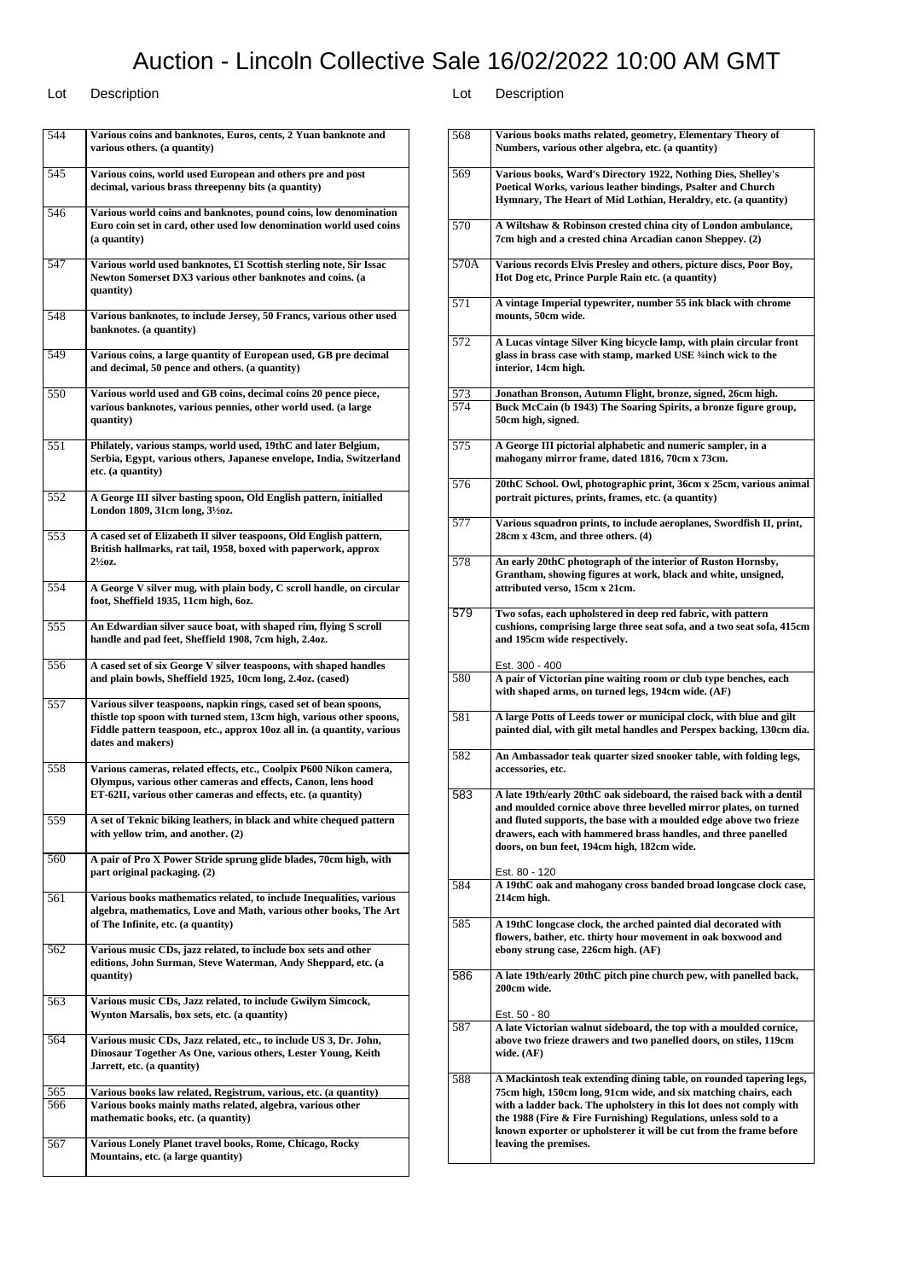### Lot Description Lot Description

544 **Various coins and banknotes, Euros, cents, 2 Yuan banknote and various others. (a quantity)** 545 **Various coins, world used European and others pre and post decimal, various brass threepenny bits (a quantity)** 546 **Various world coins and banknotes, pound coins, low denomination Euro coin set in card, other used low denomination world used coins (a quantity)** 547 **Various world used banknotes, £1 Scottish sterling note, Sir Issac Newton Somerset DX3 various other banknotes and coins. (a quantity)** 548 **Various banknotes, to include Jersey, 50 Francs, various other used banknotes. (a quantity)** 549 **Various coins, a large quantity of European used, GB pre decimal and decimal, 50 pence and others. (a quantity)** 550 **Various world used and GB coins, decimal coins 20 pence piece, various banknotes, various pennies, other world used. (a large quantity)** 551 **Philately, various stamps, world used, 19thC and later Belgium, Serbia, Egypt, various others, Japanese envelope, India, Switzerland etc. (a quantity)** 552 **A George III silver basting spoon, Old English pattern, initialled London 1809, 31cm long, 3½oz.** 553 **A cased set of Elizabeth II silver teaspoons, Old English pattern, British hallmarks, rat tail, 1958, boxed with paperwork, approx 2½oz.** 554 **A George V silver mug, with plain body, C scroll handle, on circular foot, Sheffield 1935, 11cm high, 6oz.** 555 **An Edwardian silver sauce boat, with shaped rim, flying S scroll handle and pad feet, Sheffield 1908, 7cm high, 2.4oz.** 556 **A cased set of six George V silver teaspoons, with shaped handles and plain bowls, Sheffield 1925, 10cm long, 2.4oz. (cased)** 557 **Various silver teaspoons, napkin rings, cased set of bean spoons, thistle top spoon with turned stem, 13cm high, various other spoons, Fiddle pattern teaspoon, etc., approx 10oz all in. (a quantity, various dates and makers)** 558 **Various cameras, related effects, etc., Coolpix P600 Nikon camera, Olympus, various other cameras and effects, Canon, lens hood ET-62II, various other cameras and effects, etc. (a quantity)** 559 **A set of Teknic biking leathers, in black and white chequed pattern with yellow trim, and another. (2)** 560 **A pair of Pro X Power Stride sprung glide blades, 70cm high, with part original packaging. (2)** 561 **Various books mathematics related, to include Inequalities, various algebra, mathematics, Love and Math, various other books, The Art of The Infinite, etc. (a quantity)** 562 **Various music CDs, jazz related, to include box sets and other editions, John Surman, Steve Waterman, Andy Sheppard, etc. (a quantity)** 563 **Various music CDs, Jazz related, to include Gwilym Simcock, Wynton Marsalis, box sets, etc. (a quantity)** 564 **Various music CDs, Jazz related, etc., to include US 3, Dr. John, Dinosaur Together As One, various others, Lester Young, Keith Jarrett, etc. (a quantity)** 565 **Various books law related, Registrum, various, etc. (a quantity)** 566 **Various books mainly maths related, algebra, various other mathematic books, etc. (a quantity)** 567 **Various Lonely Planet travel books, Rome, Chicago, Rocky Mountains, etc. (a large quantity)**

| 568        | Various books maths related, geometry, Elementary Theory of<br>Numbers, various other algebra, etc. (a quantity)                                                                                                                                                                                                                                                                |
|------------|---------------------------------------------------------------------------------------------------------------------------------------------------------------------------------------------------------------------------------------------------------------------------------------------------------------------------------------------------------------------------------|
| 569        | Various books, Ward's Directory 1922, Nothing Dies, Shelley's<br>Poetical Works, various leather bindings, Psalter and Church<br>Hymnary, The Heart of Mid Lothian, Heraldry, etc. (a quantity)                                                                                                                                                                                 |
| 570        | A Wiltshaw & Robinson crested china city of London ambulance,<br>7cm high and a crested china Arcadian canon Sheppey. (2)                                                                                                                                                                                                                                                       |
| 570A       | Various records Elvis Presley and others, picture discs, Poor Boy,<br>Hot Dog etc, Prince Purple Rain etc. (a quantity)                                                                                                                                                                                                                                                         |
| 571        | A vintage Imperial typewriter, number 55 ink black with chrome<br>mounts, 50cm wide.                                                                                                                                                                                                                                                                                            |
| 572        | A Lucas vintage Silver King bicycle lamp, with plain circular front<br>glass in brass case with stamp, marked USE 3/4 inch wick to the<br>interior, 14cm high.                                                                                                                                                                                                                  |
| 573<br>574 | Jonathan Bronson, Autumn Flight, bronze, signed, 26cm high.<br>Buck McCain (b 1943) The Soaring Spirits, a bronze figure group,<br>50cm high, signed.                                                                                                                                                                                                                           |
| 575        | A George III pictorial alphabetic and numeric sampler, in a<br>mahogany mirror frame, dated 1816, 70cm x 73cm.                                                                                                                                                                                                                                                                  |
| 576        | 20thC School. Owl, photographic print, 36cm x 25cm, various animal<br>portrait pictures, prints, frames, etc. (a quantity)                                                                                                                                                                                                                                                      |
| 577        | Various squadron prints, to include aeroplanes, Swordfish II, print,<br>28cm x 43cm, and three others. (4)                                                                                                                                                                                                                                                                      |
| 578        | An early 20thC photograph of the interior of Ruston Hornsby,<br>Grantham, showing figures at work, black and white, unsigned,<br>attributed verso, 15cm x 21cm.                                                                                                                                                                                                                 |
| 579        | Two sofas, each upholstered in deep red fabric, with pattern<br>cushions, comprising large three seat sofa, and a two seat sofa, 415cm<br>and 195cm wide respectively.                                                                                                                                                                                                          |
| 580        | Est. 300 - 400<br>A pair of Victorian pine waiting room or club type benches, each<br>with shaped arms, on turned legs, 194cm wide. (AF)                                                                                                                                                                                                                                        |
| 581        | A large Potts of Leeds tower or municipal clock, with blue and gilt<br>painted dial, with gilt metal handles and Perspex backing, 130cm dia.                                                                                                                                                                                                                                    |
| 582        | An Ambassador teak quarter sized snooker table, with folding legs,<br>accessories, etc.                                                                                                                                                                                                                                                                                         |
| 583        | A late 19th/early 20thC oak sideboard, the raised back with a dentil<br>and moulded cornice above three bevelled mirror plates, on turned<br>and fluted supports, the base with a moulded edge above two frieze<br>drawers, each with hammered brass handles, and three panelled<br>doors, on bun feet, 194cm high, 182cm wide.                                                 |
| 584        | Est. 80 - 120<br>A 19thC oak and mahogany cross banded broad longcase clock case,<br>214cm high.                                                                                                                                                                                                                                                                                |
| 585        | A 19thC longcase clock, the arched painted dial decorated with<br>flowers, bather, etc. thirty hour movement in oak boxwood and<br>ebony strung case, 226cm high. (AF)                                                                                                                                                                                                          |
| 586        | A late 19th/early 20thC pitch pine church pew, with panelled back,<br>200cm wide.                                                                                                                                                                                                                                                                                               |
| 587        | Est. 50 - 80<br>A late Victorian walnut sideboard, the top with a moulded cornice,<br>above two frieze drawers and two panelled doors, on stiles, 119cm<br>wide. $(AF)$                                                                                                                                                                                                         |
| 588        | A Mackintosh teak extending dining table, on rounded tapering legs,<br>75cm high, 150cm long, 91cm wide, and six matching chairs, each<br>with a ladder back. The upholstery in this lot does not comply with<br>the 1988 (Fire & Fire Furnishing) Regulations, unless sold to a<br>known exporter or upholsterer it will be cut from the frame before<br>leaving the premises. |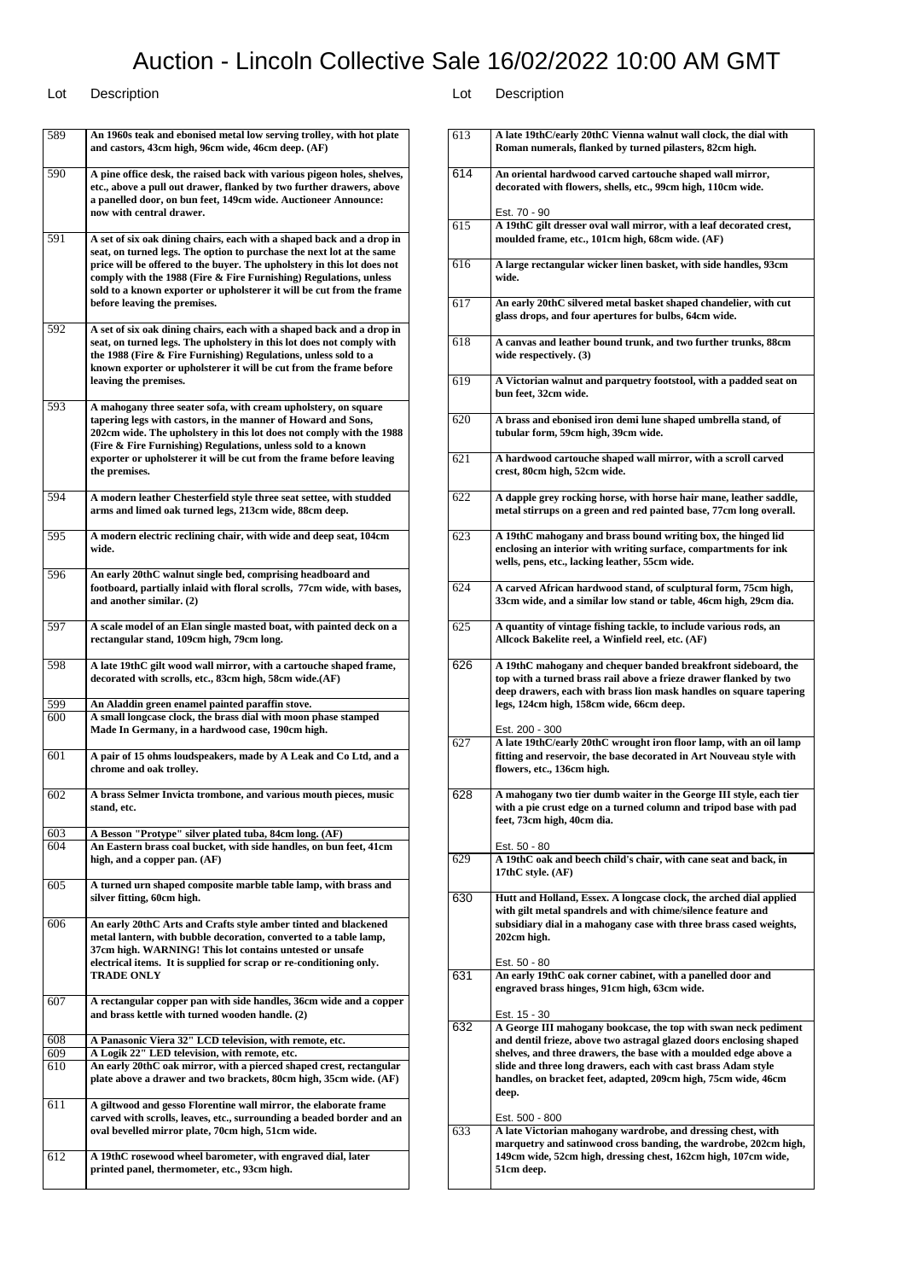## Lot Description Lot Description

613 **A late 19thC/early 20thC Vienna walnut wall clock, the dial with**

٦

| 589 | An 1960s teak and ebonised metal low serving trolley, with hot plate<br>and castors, 43cm high, 96cm wide, 46cm deep. (AF)                                                                                                                                                                                                                                                                              |
|-----|---------------------------------------------------------------------------------------------------------------------------------------------------------------------------------------------------------------------------------------------------------------------------------------------------------------------------------------------------------------------------------------------------------|
| 590 | A pine office desk, the raised back with various pigeon holes, shelves,<br>etc., above a pull out drawer, flanked by two further drawers, above<br>a panelled door, on bun feet, 149cm wide. Auctioneer Announce:<br>now with central drawer.                                                                                                                                                           |
| 591 | A set of six oak dining chairs, each with a shaped back and a drop in<br>seat, on turned legs. The option to purchase the next lot at the same<br>price will be offered to the buyer. The upholstery in this lot does not<br>comply with the 1988 (Fire & Fire Furnishing) Regulations, unless<br>sold to a known exporter or upholsterer it will be cut from the frame<br>before leaving the premises. |
| 592 | A set of six oak dining chairs, each with a shaped back and a drop in<br>seat, on turned legs. The upholstery in this lot does not comply with<br>the 1988 (Fire & Fire Furnishing) Regulations, unless sold to a<br>known exporter or upholsterer it will be cut from the frame before<br>leaving the premises.                                                                                        |
| 593 | A mahogany three seater sofa, with cream upholstery, on square<br>tapering legs with castors, in the manner of Howard and Sons,<br>202cm wide. The upholstery in this lot does not comply with the 1988<br>(Fire & Fire Furnishing) Regulations, unless sold to a known<br>exporter or upholsterer it will be cut from the frame before leaving<br>the premises.                                        |
| 594 | A modern leather Chesterfield style three seat settee, with studded<br>arms and limed oak turned legs, 213cm wide, 88cm deep.                                                                                                                                                                                                                                                                           |
| 595 | A modern electric reclining chair, with wide and deep seat, 104cm<br>wide.                                                                                                                                                                                                                                                                                                                              |
| 596 | An early 20thC walnut single bed, comprising headboard and<br>footboard, partially inlaid with floral scrolls, 77cm wide, with bases,<br>and another similar. (2)                                                                                                                                                                                                                                       |
| 597 | A scale model of an Elan single masted boat, with painted deck on a<br>rectangular stand, 109cm high, 79cm long.                                                                                                                                                                                                                                                                                        |
| 598 | A late 19thC gilt wood wall mirror, with a cartouche shaped frame,<br>decorated with scrolls, etc., 83cm high, 58cm wide.(AF)                                                                                                                                                                                                                                                                           |
| 599 | An Aladdin green enamel painted paraffin stove.                                                                                                                                                                                                                                                                                                                                                         |
| 600 | A small longcase clock, the brass dial with moon phase stamped<br>Made In Germany, in a hardwood case, 190cm high.                                                                                                                                                                                                                                                                                      |
| 601 | A pair of 15 ohms loudspeakers, made by A Leak and Co Ltd, and a<br>chrome and oak trolley.                                                                                                                                                                                                                                                                                                             |
| 602 | A brass Selmer Invicta trombone, and various mouth pieces, music<br>stand, etc.                                                                                                                                                                                                                                                                                                                         |
| 603 | A Besson "Protype" silver plated tuba, 84cm long. (AF)                                                                                                                                                                                                                                                                                                                                                  |
| 604 | An Eastern brass coal bucket, with side handles, on bun feet, 41cm<br>high, and a copper pan. (AF)                                                                                                                                                                                                                                                                                                      |
| 605 | A turned urn shaped composite marble table lamp, with brass and<br>silver fitting, 60cm high.                                                                                                                                                                                                                                                                                                           |
| 606 | An early 20thC Arts and Crafts style amber tinted and blackened<br>metal lantern, with bubble decoration, converted to a table lamp,<br>37cm high. WARNING! This lot contains untested or unsafe<br>electrical items. It is supplied for scrap or re-conditioning only.<br><b>TRADE ONLY</b>                                                                                                            |
| 607 | A rectangular copper pan with side handles, 36cm wide and a copper<br>and brass kettle with turned wooden handle. (2)                                                                                                                                                                                                                                                                                   |
| 608 | A Panasonic Viera 32" LCD television, with remote, etc.                                                                                                                                                                                                                                                                                                                                                 |
| 609 | A Logik 22" LED television, with remote, etc.                                                                                                                                                                                                                                                                                                                                                           |
| 610 | An early 20thC oak mirror, with a pierced shaped crest, rectangular<br>plate above a drawer and two brackets, 80cm high, 35cm wide. (AF)                                                                                                                                                                                                                                                                |
| 611 | A giltwood and gesso Florentine wall mirror, the elaborate frame<br>carved with scrolls, leaves, etc., surrounding a beaded border and an<br>oval bevelled mirror plate, 70cm high, 51cm wide.                                                                                                                                                                                                          |
| 612 | A 19thC rosewood wheel barometer, with engraved dial, later<br>printed panel, thermometer, etc., 93cm high.                                                                                                                                                                                                                                                                                             |
|     |                                                                                                                                                                                                                                                                                                                                                                                                         |

|     | Roman numerals, flanked by turned pilasters, 82cm high.                                                                                                                                                                                                                                                                                                                                  |
|-----|------------------------------------------------------------------------------------------------------------------------------------------------------------------------------------------------------------------------------------------------------------------------------------------------------------------------------------------------------------------------------------------|
| 614 | An oriental hardwood carved cartouche shaped wall mirror,<br>decorated with flowers, shells, etc., 99cm high, 110cm wide.                                                                                                                                                                                                                                                                |
| 615 | Est. 70 - 90<br>A 19thC gilt dresser oval wall mirror, with a leaf decorated crest,<br>moulded frame, etc., 101cm high, 68cm wide. (AF)                                                                                                                                                                                                                                                  |
| 616 | A large rectangular wicker linen basket, with side handles, 93cm<br>wide.                                                                                                                                                                                                                                                                                                                |
| 617 | An early 20thC silvered metal basket shaped chandelier, with cut<br>glass drops, and four apertures for bulbs, 64cm wide.                                                                                                                                                                                                                                                                |
| 618 | A canvas and leather bound trunk, and two further trunks, 88cm<br>wide respectively. $(3)$                                                                                                                                                                                                                                                                                               |
| 619 | A Victorian walnut and parquetry footstool, with a padded seat on<br>bun feet, 32cm wide.                                                                                                                                                                                                                                                                                                |
| 620 | A brass and ebonised iron demi lune shaped umbrella stand, of<br>tubular form, 59cm high, 39cm wide.                                                                                                                                                                                                                                                                                     |
| 621 | A hardwood cartouche shaped wall mirror, with a scroll carved<br>crest, 80cm high, 52cm wide.                                                                                                                                                                                                                                                                                            |
| 622 | A dapple grey rocking horse, with horse hair mane, leather saddle,<br>metal stirrups on a green and red painted base, 77cm long overall.                                                                                                                                                                                                                                                 |
| 623 | A 19thC mahogany and brass bound writing box, the hinged lid<br>enclosing an interior with writing surface, compartments for ink<br>wells, pens, etc., lacking leather, 55cm wide.                                                                                                                                                                                                       |
| 624 | A carved African hardwood stand, of sculptural form, 75cm high,<br>33cm wide, and a similar low stand or table, 46cm high, 29cm dia.                                                                                                                                                                                                                                                     |
| 625 | A quantity of vintage fishing tackle, to include various rods, an<br>Allcock Bakelite reel, a Winfield reel, etc. (AF)                                                                                                                                                                                                                                                                   |
| 626 | A 19thC mahogany and chequer banded breakfront sideboard, the<br>top with a turned brass rail above a frieze drawer flanked by two<br>deep drawers, each with brass lion mask handles on square tapering<br>legs, 124cm high, 158cm wide, 66cm deep.                                                                                                                                     |
| 627 | Est. 200 - 300<br>A late 19thC/early 20thC wrought iron floor lamp, with an oil lamp<br>fitting and reservoir, the base decorated in Art Nouveau style with<br>flowers, etc., 136cm high.                                                                                                                                                                                                |
| 628 | A mahogany two tier dumb waiter in the George III style, each tier<br>with a pie crust edge on a turned column and tripod base with pad<br>feet, 73cm high, 40cm dia.<br>Est. 50 - 80                                                                                                                                                                                                    |
| 629 | A 19thC oak and beech child's chair, with cane seat and back, in<br>17th $C$ style. $(AF)$                                                                                                                                                                                                                                                                                               |
| 630 | Hutt and Holland, Essex. A longcase clock, the arched dial applied<br>with gilt metal spandrels and with chime/silence feature and<br>subsidiary dial in a mahogany case with three brass cased weights,<br>202cm high.                                                                                                                                                                  |
| 631 | Est. 50 - 80<br>An early 19thC oak corner cabinet, with a panelled door and<br>engraved brass hinges, 91cm high, 63cm wide.                                                                                                                                                                                                                                                              |
| 632 | Est. 15 - 30<br>A George III mahogany bookcase, the top with swan neck pediment<br>and dentil frieze, above two astragal glazed doors enclosing shaped<br>shelves, and three drawers, the base with a moulded edge above a<br>slide and three long drawers, each with cast brass Adam style<br>handles, on bracket feet, adapted, 209cm high, 75cm wide, 46cm<br>deep.<br>Est. 500 - 800 |
| 633 | A late Victorian mahogany wardrobe, and dressing chest, with<br>marquetry and satinwood cross banding, the wardrobe, 202cm high,<br>149cm wide, 52cm high, dressing chest, 162cm high, 107cm wide,<br>51cm deep.                                                                                                                                                                         |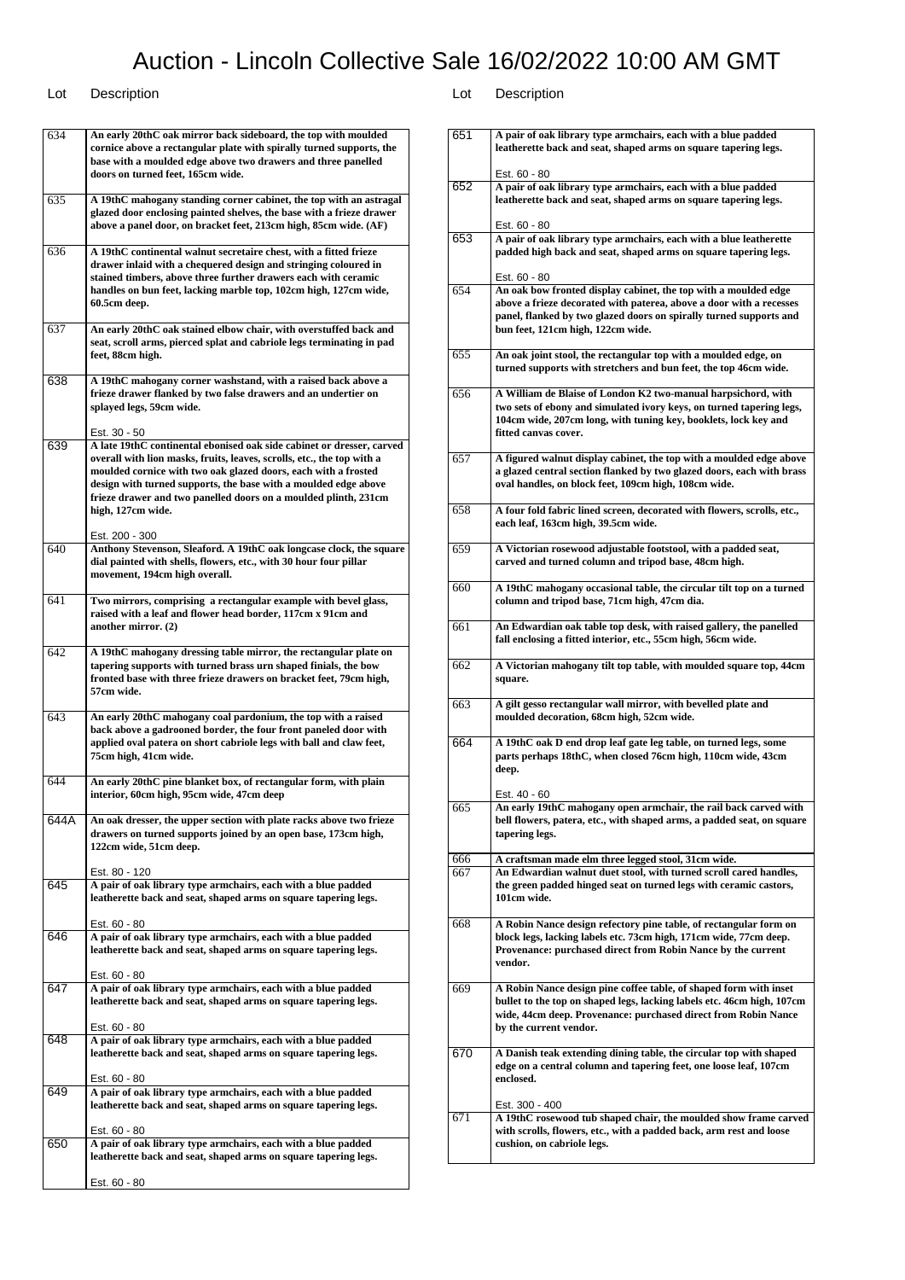### Lot Description Lot Description

Est. 60 - 80

Est. 60 - 80

Est. 60 - 80

Est. 60 - 80

Est. 60 - 80

Est. 60 - 80

646 **A pair of oak library type armchairs, each with a blue padded leatherette back and seat, shaped arms on square tapering legs.**

647 **A pair of oak library type armchairs, each with a blue padded leatherette back and seat, shaped arms on square tapering legs.**

648 **A pair of oak library type armchairs, each with a blue padded leatherette back and seat, shaped arms on square tapering legs.**

649 **A pair of oak library type armchairs, each with a blue padded leatherette back and seat, shaped arms on square tapering legs.**

650 **A pair of oak library type armchairs, each with a blue padded leatherette back and seat, shaped arms on square tapering legs.**

634 **An early 20thC oak mirror back sideboard, the top with moulded cornice above a rectangular plate with spirally turned supports, the base with a moulded edge above two drawers and three panelled doors on turned feet, 165cm wide.** 635 **A 19thC mahogany standing corner cabinet, the top with an astragal glazed door enclosing painted shelves, the base with a frieze drawer above a panel door, on bracket feet, 213cm high, 85cm wide. (AF)** 636 **A 19thC continental walnut secretaire chest, with a fitted frieze drawer inlaid with a chequered design and stringing coloured in stained timbers, above three further drawers each with ceramic handles on bun feet, lacking marble top, 102cm high, 127cm wide, 60.5cm deep.** 637 **An early 20thC oak stained elbow chair, with overstuffed back and seat, scroll arms, pierced splat and cabriole legs terminating in pad feet, 88cm high.** 638 **A 19thC mahogany corner washstand, with a raised back above a frieze drawer flanked by two false drawers and an undertier on splayed legs, 59cm wide.** Est. 30 - 50 639 **A late 19thC continental ebonised oak side cabinet or dresser, carved overall with lion masks, fruits, leaves, scrolls, etc., the top with a moulded cornice with two oak glazed doors, each with a frosted design with turned supports, the base with a moulded edge above frieze drawer and two panelled doors on a moulded plinth, 231cm high, 127cm wide.** Est. 200 - 300 640 **Anthony Stevenson, Sleaford. A 19thC oak longcase clock, the square dial painted with shells, flowers, etc., with 30 hour four pillar movement, 194cm high overall.** 641 **Two mirrors, comprising a rectangular example with bevel glass, raised with a leaf and flower head border, 117cm x 91cm and another mirror. (2)** 642 **A 19thC mahogany dressing table mirror, the rectangular plate on tapering supports with turned brass urn shaped finials, the bow fronted base with three frieze drawers on bracket feet, 79cm high, 57cm wide.** 643 **An early 20thC mahogany coal pardonium, the top with a raised back above a gadrooned border, the four front paneled door with applied oval patera on short cabriole legs with ball and claw feet, 75cm high, 41cm wide.** 644 **An early 20thC pine blanket box, of rectangular form, with plain interior, 60cm high, 95cm wide, 47cm deep** 644A **An oak dresser, the upper section with plate racks above two frieze drawers on turned supports joined by an open base, 173cm high, 122cm wide, 51cm deep.** Est. 80 - 120 645 **A pair of oak library type armchairs, each with a blue padded leatherette back and seat, shaped arms on square tapering legs.**

| 651 | A pair of oak library type armchairs, each with a blue padded                                                                       |
|-----|-------------------------------------------------------------------------------------------------------------------------------------|
|     | leatherette back and seat, shaped arms on square tapering legs.                                                                     |
|     |                                                                                                                                     |
| 652 | Est. 60 - 80<br>A pair of oak library type armchairs, each with a blue padded                                                       |
|     | leatherette back and seat, shaped arms on square tapering legs.                                                                     |
|     |                                                                                                                                     |
|     | Est. 60 - 80                                                                                                                        |
| 653 | A pair of oak library type armchairs, each with a blue leatherette                                                                  |
|     | padded high back and seat, shaped arms on square tapering legs.                                                                     |
|     | Est. 60 - 80                                                                                                                        |
| 654 | An oak bow fronted display cabinet, the top with a moulded edge                                                                     |
|     | above a frieze decorated with paterea, above a door with a recesses                                                                 |
|     | panel, flanked by two glazed doors on spirally turned supports and                                                                  |
|     | bun feet, 121cm high, 122cm wide.                                                                                                   |
|     |                                                                                                                                     |
| 655 | An oak joint stool, the rectangular top with a moulded edge, on                                                                     |
|     | turned supports with stretchers and bun feet, the top 46cm wide.                                                                    |
| 656 | A William de Blaise of London K2 two-manual harpsichord, with                                                                       |
|     | two sets of ebony and simulated ivory keys, on turned tapering legs,                                                                |
|     | 104cm wide, 207cm long, with tuning key, booklets, lock key and                                                                     |
|     | fitted canvas cover.                                                                                                                |
|     |                                                                                                                                     |
| 657 | A figured walnut display cabinet, the top with a moulded edge above                                                                 |
|     | a glazed central section flanked by two glazed doors, each with brass                                                               |
|     | oval handles, on block feet, 109cm high, 108cm wide.                                                                                |
| 658 |                                                                                                                                     |
|     | A four fold fabric lined screen, decorated with flowers, scrolls, etc.,<br>each leaf, 163cm high, 39.5cm wide.                      |
|     |                                                                                                                                     |
| 659 | A Victorian rosewood adjustable footstool, with a padded seat,                                                                      |
|     | carved and turned column and tripod base, 48cm high.                                                                                |
|     |                                                                                                                                     |
| 660 | A 19thC mahogany occasional table, the circular tilt top on a turned                                                                |
|     | column and tripod base, 71cm high, 47cm dia.                                                                                        |
|     |                                                                                                                                     |
| 661 | An Edwardian oak table top desk, with raised gallery, the panelled<br>fall enclosing a fitted interior, etc., 55cm high, 56cm wide. |
|     |                                                                                                                                     |
| 662 | A Victorian mahogany tilt top table, with moulded square top, 44cm                                                                  |
|     | square.                                                                                                                             |
|     |                                                                                                                                     |
| 663 | A gilt gesso rectangular wall mirror, with bevelled plate and                                                                       |
|     | moulded decoration, 68cm high, 52cm wide.                                                                                           |
| 664 | A 19thC oak D end drop leaf gate leg table, on turned legs, some                                                                    |
|     | parts perhaps 18thC, when closed 76cm high, 110cm wide, 43cm                                                                        |
|     | deep.                                                                                                                               |
|     |                                                                                                                                     |
|     | Est. 40 - 60                                                                                                                        |
| 665 | An early 19thC mahogany open armchair, the rail back carved with                                                                    |
|     | bell flowers, patera, etc., with shaped arms, a padded seat, on square                                                              |
|     | tapering legs.                                                                                                                      |
| 666 | A craftsman made elm three legged stool, 31cm wide.                                                                                 |
| 667 | An Edwardian walnut duet stool, with turned scroll cared handles,                                                                   |
|     | the green padded hinged seat on turned legs with ceramic castors,                                                                   |
|     | 101cm wide.                                                                                                                         |
|     |                                                                                                                                     |
| 668 | A Robin Nance design refectory pine table, of rectangular form on                                                                   |
|     | block legs, lacking labels etc. 73cm high, 171cm wide, 77cm deep.<br>Provenance: purchased direct from Robin Nance by the current   |
|     | vendor.                                                                                                                             |
|     |                                                                                                                                     |
| 669 | A Robin Nance design pine coffee table, of shaped form with inset                                                                   |
|     | bullet to the top on shaped legs, lacking labels etc. 46cm high, 107cm                                                              |
|     | wide, 44cm deep. Provenance: purchased direct from Robin Nance                                                                      |
|     | by the current vendor.                                                                                                              |
|     |                                                                                                                                     |
| 670 | A Danish teak extending dining table, the circular top with shaped                                                                  |
|     | edge on a central column and tapering feet, one loose leaf, 107cm<br>enclosed.                                                      |
|     |                                                                                                                                     |
|     | Est. 300 - 400                                                                                                                      |
| 671 | A 19thC rosewood tub shaped chair, the moulded show frame carved                                                                    |
|     | with scrolls, flowers, etc., with a padded back, arm rest and loose                                                                 |
|     | cushion, on cabriole legs.                                                                                                          |
|     |                                                                                                                                     |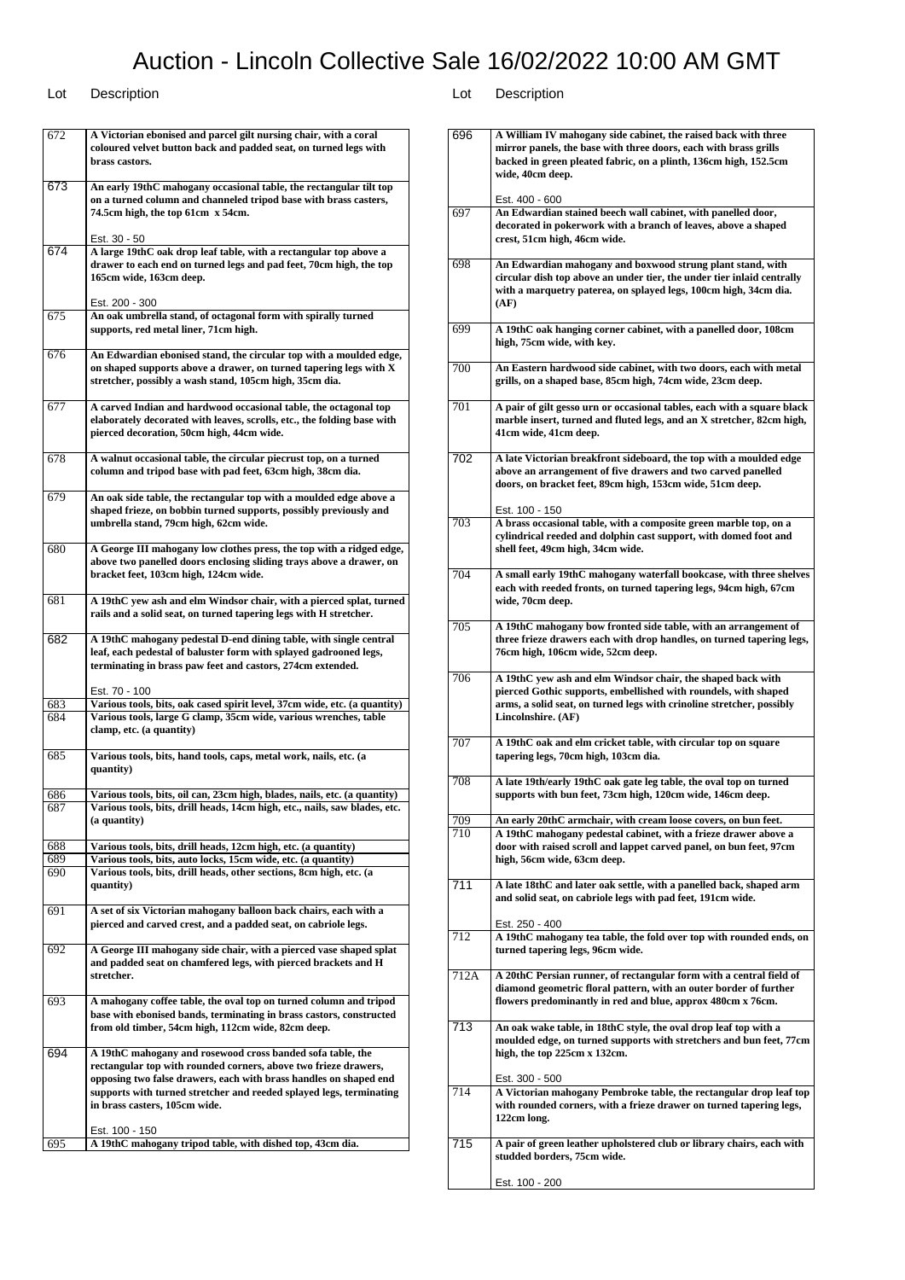| 672 | A Victorian ebonised and parcel gilt nursing chair, with a coral<br>coloured velvet button back and padded seat, on turned legs with<br>brass castors.                                                                                                                                                     |
|-----|------------------------------------------------------------------------------------------------------------------------------------------------------------------------------------------------------------------------------------------------------------------------------------------------------------|
| 673 | An early 19thC mahogany occasional table, the rectangular tilt top<br>on a turned column and channeled tripod base with brass casters,<br>74.5cm high, the top 61cm x 54cm.                                                                                                                                |
| 674 | Est. 30 - 50<br>A large 19thC oak drop leaf table, with a rectangular top above a<br>drawer to each end on turned legs and pad feet, 70cm high, the top<br>165cm wide, 163cm deep.                                                                                                                         |
| 675 | Est. 200 - 300<br>An oak umbrella stand, of octagonal form with spirally turned<br>supports, red metal liner, 71cm high.                                                                                                                                                                                   |
| 676 | An Edwardian ebonised stand, the circular top with a moulded edge,<br>on shaped supports above a drawer, on turned tapering legs with X<br>stretcher, possibly a wash stand, 105cm high, 35cm dia.                                                                                                         |
| 677 | A carved Indian and hardwood occasional table, the octagonal top<br>elaborately decorated with leaves, scrolls, etc., the folding base with<br>pierced decoration, 50cm high, 44cm wide.                                                                                                                   |
| 678 | A walnut occasional table, the circular piecrust top, on a turned<br>column and tripod base with pad feet, 63cm high, 38cm dia.                                                                                                                                                                            |
| 679 | An oak side table, the rectangular top with a moulded edge above a<br>shaped frieze, on bobbin turned supports, possibly previously and<br>umbrella stand, 79cm high, 62cm wide.                                                                                                                           |
| 680 | A George III mahogany low clothes press, the top with a ridged edge,<br>above two panelled doors enclosing sliding trays above a drawer, on<br>bracket feet, 103cm high, 124cm wide.                                                                                                                       |
| 681 | A 19thC yew ash and elm Windsor chair, with a pierced splat, turned<br>rails and a solid seat, on turned tapering legs with H stretcher.                                                                                                                                                                   |
| 682 | A 19thC mahogany pedestal D-end dining table, with single central<br>leaf, each pedestal of baluster form with splayed gadrooned legs,<br>terminating in brass paw feet and castors, 274cm extended.                                                                                                       |
|     | Est. 70 - 100                                                                                                                                                                                                                                                                                              |
| 683 | Various tools, bits, oak cased spirit level, 37cm wide, etc. (a quantity)                                                                                                                                                                                                                                  |
| 684 | Various tools, large G clamp, 35cm wide, various wrenches, table<br>clamp, etc. (a quantity)                                                                                                                                                                                                               |
| 685 | Various tools, bits, hand tools, caps, metal work, nails, etc. (a<br>quantity)                                                                                                                                                                                                                             |
| 686 | Various tools, bits, oil can, 23cm high, blades, nails, etc. (a quantity)                                                                                                                                                                                                                                  |
| 687 | Various tools, bits, drill heads, 14cm high, etc., nails, saw blades, etc.<br>(a quantity)                                                                                                                                                                                                                 |
| 688 | Various tools, bits, drill heads, 12cm high, etc. (a quantity)                                                                                                                                                                                                                                             |
| 689 | Various tools, bits, auto locks, 15cm wide, etc. (a quantity)                                                                                                                                                                                                                                              |
| 690 | Various tools, bits, drill heads, other sections, 8cm high, etc. (a<br>quantity)                                                                                                                                                                                                                           |
| 691 | A set of six Victorian mahogany balloon back chairs, each with a<br>pierced and carved crest, and a padded seat, on cabriole legs.                                                                                                                                                                         |
| 692 | A George III mahogany side chair, with a pierced vase shaped splat<br>and padded seat on chamfered legs, with pierced brackets and H<br>stretcher.                                                                                                                                                         |
| 693 | A mahogany coffee table, the oval top on turned column and tripod<br>base with ebonised bands, terminating in brass castors, constructed<br>from old timber, 54cm high, 112cm wide, 82cm deep.                                                                                                             |
| 694 | A 19thC mahogany and rosewood cross banded sofa table, the<br>rectangular top with rounded corners, above two frieze drawers,<br>opposing two false drawers, each with brass handles on shaped end<br>supports with turned stretcher and reeded splayed legs, terminating<br>in brass casters, 105cm wide. |
| 695 | Est. 100 - 150<br>A 19thC mahogany tripod table, with dished top, 43cm dia.                                                                                                                                                                                                                                |

| 696  | A William IV mahogany side cabinet, the raised back with three<br>mirror panels, the base with three doors, each with brass grills<br>backed in green pleated fabric, on a plinth, 136cm high, 152.5cm<br>wide, 40cm deep.    |
|------|-------------------------------------------------------------------------------------------------------------------------------------------------------------------------------------------------------------------------------|
| 697  | Est. 400 - 600<br>An Edwardian stained beech wall cabinet, with panelled door,<br>decorated in pokerwork with a branch of leaves, above a shaped<br>crest, 51cm high, 46cm wide.                                              |
| 698  | An Edwardian mahogany and boxwood strung plant stand, with<br>circular dish top above an under tier, the under tier inlaid centrally<br>with a marquetry paterea, on splayed legs, 100cm high, 34cm dia.<br>(AF)              |
| 699  | A 19thC oak hanging corner cabinet, with a panelled door, 108cm<br>high, 75cm wide, with key.                                                                                                                                 |
| 700  | An Eastern hardwood side cabinet, with two doors, each with metal<br>grills, on a shaped base, 85cm high, 74cm wide, 23cm deep.                                                                                               |
| 701  | A pair of gilt gesso urn or occasional tables, each with a square black<br>marble insert, turned and fluted legs, and an X stretcher, 82cm high,<br>41cm wide, 41cm deep.                                                     |
| 702  | A late Victorian breakfront sideboard, the top with a moulded edge<br>above an arrangement of five drawers and two carved panelled<br>doors, on bracket feet, 89cm high, 153cm wide, 51cm deep.                               |
| 703  | Est. 100 - 150<br>A brass occasional table, with a composite green marble top, on a<br>cylindrical reeded and dolphin cast support, with domed foot and<br>shell feet, 49cm high, 34cm wide.                                  |
| 704  | A small early 19thC mahogany waterfall bookcase, with three shelves<br>each with reeded fronts, on turned tapering legs, 94cm high, 67cm<br>wide, 70cm deep.                                                                  |
| 705  | A 19thC mahogany bow fronted side table, with an arrangement of<br>three frieze drawers each with drop handles, on turned tapering legs,<br>76cm high, 106cm wide, 52cm deep.                                                 |
| 706  | A 19thC yew ash and elm Windsor chair, the shaped back with<br>pierced Gothic supports, embellished with roundels, with shaped<br>arms, a solid seat, on turned legs with crinoline stretcher, possibly<br>Lincolnshire. (AF) |
| 707  | A 19thC oak and elm cricket table, with circular top on square<br>tapering legs, 70cm high, 103cm dia.                                                                                                                        |
| 708  | A late 19th/early 19thC oak gate leg table, the oval top on turned<br>supports with bun feet, 73cm high, 120cm wide, 146cm deep.                                                                                              |
| 709  | An early 20thC armchair, with cream loose covers, on bun feet.                                                                                                                                                                |
| 710  | A 19thC mahogany pedestal cabinet, with a frieze drawer above a<br>door with raised scroll and lappet carved panel, on bun feet, 97cm<br>high, 56cm wide, 63cm deep.                                                          |
| 711  | A late 18thC and later oak settle, with a panelled back, shaped arm<br>and solid seat, on cabriole legs with pad feet, 191cm wide.<br>Est. 250 - 400                                                                          |
| 712  | A 19thC mahogany tea table, the fold over top with rounded ends, on<br>turned tapering legs, 96cm wide.                                                                                                                       |
| 712A | A 20thC Persian runner, of rectangular form with a central field of<br>diamond geometric floral pattern, with an outer border of further<br>flowers predominantly in red and blue, approx 480cm x 76cm.                       |
| 713  | An oak wake table, in 18thC style, the oval drop leaf top with a<br>moulded edge, on turned supports with stretchers and bun feet, 77cm<br>high, the top 225cm x 132cm.                                                       |
| 714  | Est. 300 - 500<br>A Victorian mahogany Pembroke table, the rectangular drop leaf top<br>with rounded corners, with a frieze drawer on turned tapering legs,                                                                   |
| 715  | 122cm long.<br>A pair of green leather upholstered club or library chairs, each with                                                                                                                                          |
|      | studded borders, 75cm wide.<br>Est. 100 - 200                                                                                                                                                                                 |
|      |                                                                                                                                                                                                                               |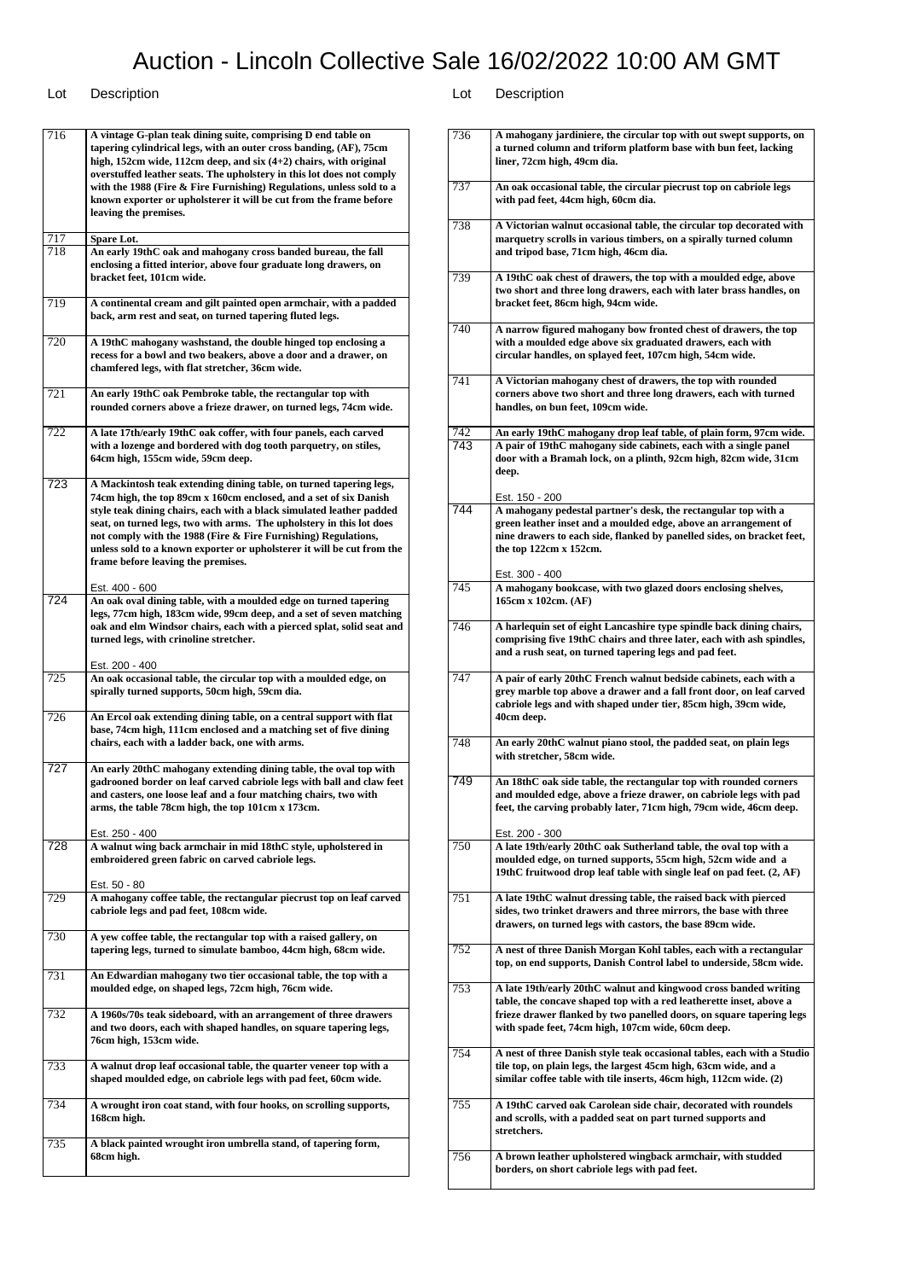### Lot Description Lot Description

716 **A vintage G-plan teak dining suite, comprising D end table on tapering cylindrical legs, with an outer cross banding, (AF), 75cm high, 152cm wide, 112cm deep, and six (4+2) chairs, with original overstuffed leather seats. The upholstery in this lot does not comply with the 1988 (Fire & Fire Furnishing) Regulations, unless sold to a known exporter or upholsterer it will be cut from the frame before leaving the premises.** 717 **Spare Lot.** An early 19thC oak and mahogany cross banded bureau, the fall **enclosing a fitted interior, above four graduate long drawers, on bracket feet, 101cm wide.** 719 **A continental cream and gilt painted open armchair, with a padded back, arm rest and seat, on turned tapering fluted legs.** 720 **A 19thC mahogany washstand, the double hinged top enclosing a recess for a bowl and two beakers, above a door and a drawer, on chamfered legs, with flat stretcher, 36cm wide.** 721 **An early 19thC oak Pembroke table, the rectangular top with rounded corners above a frieze drawer, on turned legs, 74cm wide.** 722 **A late 17th/early 19thC oak coffer, with four panels, each carved with a lozenge and bordered with dog tooth parquetry, on stiles, 64cm high, 155cm wide, 59cm deep.** 723 **A Mackintosh teak extending dining table, on turned tapering legs, 74cm high, the top 89cm x 160cm enclosed, and a set of six Danish style teak dining chairs, each with a black simulated leather padded seat, on turned legs, two with arms. The upholstery in this lot does not comply with the 1988 (Fire & Fire Furnishing) Regulations, unless sold to a known exporter or upholsterer it will be cut from the frame before leaving the premises.** Est. 400 - 600 724 **An oak oval dining table, with a moulded edge on turned tapering legs, 77cm high, 183cm wide, 99cm deep, and a set of seven matching oak and elm Windsor chairs, each with a pierced splat, solid seat and turned legs, with crinoline stretcher.** Est. 200 - 400 725 **An oak occasional table, the circular top with a moulded edge, on spirally turned supports, 50cm high, 59cm dia.** 726 **An Ercol oak extending dining table, on a central support with flat base, 74cm high, 111cm enclosed and a matching set of five dining chairs, each with a ladder back, one with arms.** 727 **An early 20thC mahogany extending dining table, the oval top with gadrooned border on leaf carved cabriole legs with ball and claw feet and casters, one loose leaf and a four matching chairs, two with arms, the table 78cm high, the top 101cm x 173cm.** Est. 250 - 400 728 **A walnut wing back armchair in mid 18thC style, upholstered in embroidered green fabric on carved cabriole legs.** Est. 50 - 80 729 **A mahogany coffee table, the rectangular piecrust top on leaf carved cabriole legs and pad feet, 108cm wide.** 730 **A yew coffee table, the rectangular top with a raised gallery, on tapering legs, turned to simulate bamboo, 44cm high, 68cm wide.** 731 **An Edwardian mahogany two tier occasional table, the top with a moulded edge, on shaped legs, 72cm high, 76cm wide.** 732 **A 1960s/70s teak sideboard, with an arrangement of three drawers and two doors, each with shaped handles, on square tapering legs, 76cm high, 153cm wide.** 733 **A walnut drop leaf occasional table, the quarter veneer top with a shaped moulded edge, on cabriole legs with pad feet, 60cm wide.** 734 **A wrought iron coat stand, with four hooks, on scrolling supports, 168cm high.** 735 **A black painted wrought iron umbrella stand, of tapering form, 68cm high.**

| 736 | A mahogany jardiniere, the circular top with out swept supports, on                                                                                                                                                                                                   |
|-----|-----------------------------------------------------------------------------------------------------------------------------------------------------------------------------------------------------------------------------------------------------------------------|
|     | a turned column and triform platform base with bun feet, lacking<br>liner, 72cm high, 49cm dia.                                                                                                                                                                       |
| 737 | An oak occasional table, the circular piecrust top on cabriole legs<br>with pad feet, 44cm high, 60cm dia.                                                                                                                                                            |
| 738 | A Victorian walnut occasional table, the circular top decorated with<br>marquetry scrolls in various timbers, on a spirally turned column<br>and tripod base, 71cm high, 46cm dia.                                                                                    |
| 739 | A 19thC oak chest of drawers, the top with a moulded edge, above<br>two short and three long drawers, each with later brass handles, on<br>bracket feet, 86cm high, 94cm wide.                                                                                        |
| 740 | A narrow figured mahogany bow fronted chest of drawers, the top<br>with a moulded edge above six graduated drawers, each with<br>circular handles, on splayed feet, 107cm high, 54cm wide.                                                                            |
| 741 | A Victorian mahogany chest of drawers, the top with rounded<br>corners above two short and three long drawers, each with turned<br>handles, on bun feet, 109cm wide.                                                                                                  |
| 742 | An early 19thC mahogany drop leaf table, of plain form, 97cm wide.                                                                                                                                                                                                    |
| 743 | A pair of 19thC mahogany side cabinets, each with a single panel<br>door with a Bramah lock, on a plinth, 92cm high, 82cm wide, 31cm<br>deep.                                                                                                                         |
|     | Est. 150 - 200                                                                                                                                                                                                                                                        |
| 744 | A mahogany pedestal partner's desk, the rectangular top with a<br>green leather inset and a moulded edge, above an arrangement of<br>nine drawers to each side, flanked by panelled sides, on bracket feet,<br>the top 122cm x 152cm.                                 |
|     | Est. 300 - 400                                                                                                                                                                                                                                                        |
| 745 | A mahogany bookcase, with two glazed doors enclosing shelves,<br>165cm x 102cm. (AF)                                                                                                                                                                                  |
| 746 | A harlequin set of eight Lancashire type spindle back dining chairs,<br>comprising five 19thC chairs and three later, each with ash spindles,<br>and a rush seat, on turned tapering legs and pad feet.                                                               |
| 747 | A pair of early 20thC French walnut bedside cabinets, each with a<br>grey marble top above a drawer and a fall front door, on leaf carved<br>cabriole legs and with shaped under tier, 85cm high, 39cm wide,<br>40cm deep.                                            |
| 748 | An early 20thC walnut piano stool, the padded seat, on plain legs<br>with stretcher, 58cm wide.                                                                                                                                                                       |
| 749 | An 18thC oak side table, the rectangular top with rounded corners<br>and moulded edge, above a frieze drawer, on cabriole legs with pad<br>feet, the carving probably later, 71cm high, 79cm wide, 46cm deep.                                                         |
| 750 | Est. 200 - 300<br>A late 19th/early 20thC oak Sutherland table, the oval top with a<br>moulded edge, on turned supports, 55cm high, 52cm wide and a<br>19thC fruitwood drop leaf table with single leaf on pad feet. (2, AF)                                          |
| 751 | A late 19thC walnut dressing table, the raised back with pierced<br>sides, two trinket drawers and three mirrors, the base with three<br>drawers, on turned legs with castors, the base 89cm wide.                                                                    |
| 752 | A nest of three Danish Morgan Kohl tables, each with a rectangular<br>top, on end supports, Danish Control label to underside, 58cm wide.                                                                                                                             |
| 753 | A late 19th/early 20thC walnut and kingwood cross banded writing<br>table, the concave shaped top with a red leatherette inset, above a<br>frieze drawer flanked by two panelled doors, on square tapering legs<br>with spade feet, 74cm high, 107cm wide, 60cm deep. |
| 754 | A nest of three Danish style teak occasional tables, each with a Studio<br>tile top, on plain legs, the largest 45cm high, 63cm wide, and a<br>similar coffee table with tile inserts, 46cm high, 112cm wide. (2)                                                     |
| 755 | A 19thC carved oak Carolean side chair, decorated with roundels<br>and scrolls, with a padded seat on part turned supports and<br>stretchers.                                                                                                                         |
| 756 | A brown leather upholstered wingback armchair, with studded<br>borders, on short cabriole legs with pad feet.                                                                                                                                                         |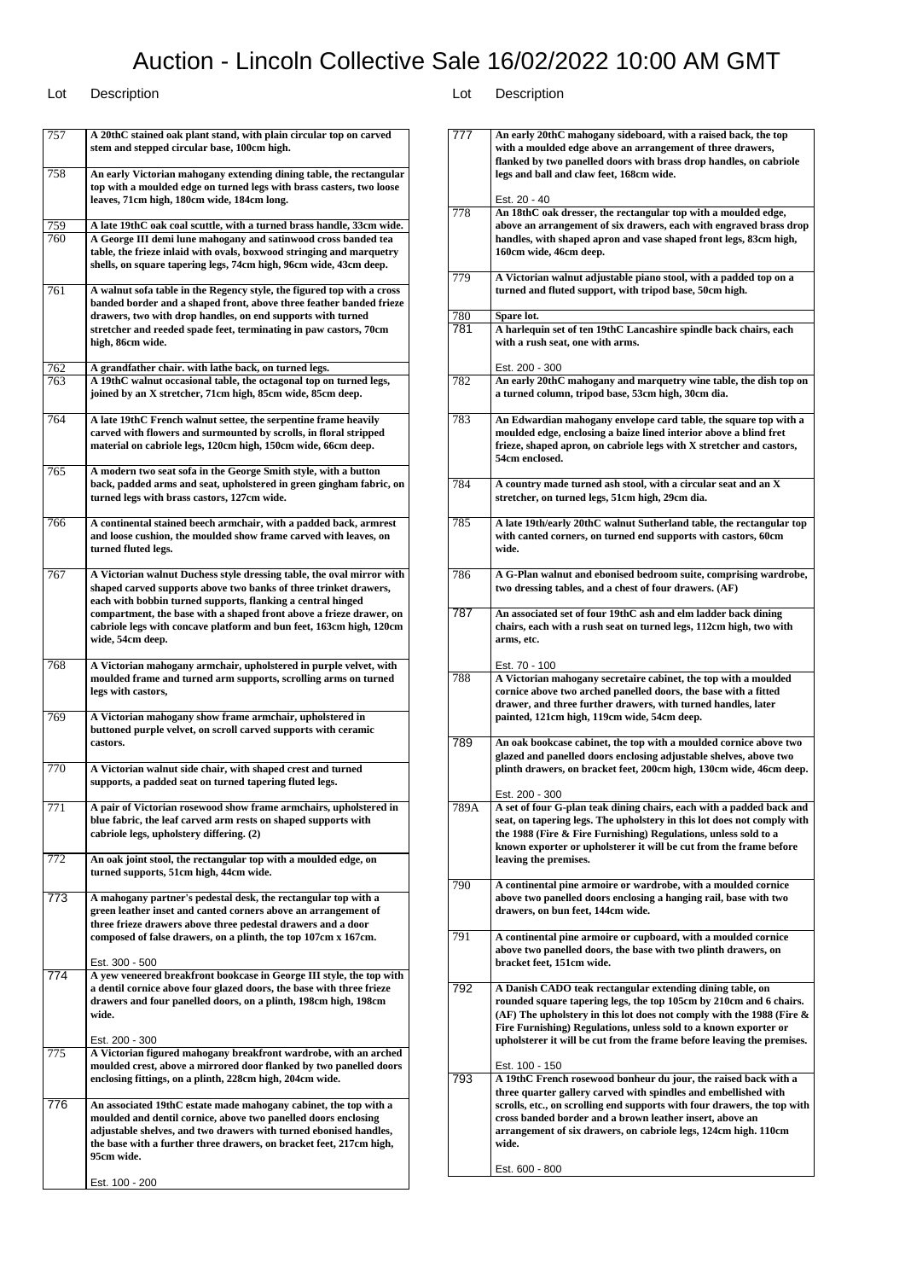| 757        | A 20thC stained oak plant stand, with plain circular top on carved<br>stem and stepped circular base, 100cm high.                                                                                                                                                                                                                                                          |
|------------|----------------------------------------------------------------------------------------------------------------------------------------------------------------------------------------------------------------------------------------------------------------------------------------------------------------------------------------------------------------------------|
| 758        | An early Victorian mahogany extending dining table, the rectangular<br>top with a moulded edge on turned legs with brass casters, two loose<br>leaves, 71cm high, 180cm wide, 184cm long.                                                                                                                                                                                  |
| 759<br>760 | A late 19thC oak coal scuttle, with a turned brass handle, 33cm wide.<br>A George III demi lune mahogany and satinwood cross banded tea<br>table, the frieze inlaid with ovals, boxwood stringing and marquetry<br>shells, on square tapering legs, 74cm high, 96cm wide, 43cm deep.                                                                                       |
| 761        | A walnut sofa table in the Regency style, the figured top with a cross<br>banded border and a shaped front, above three feather banded frieze<br>drawers, two with drop handles, on end supports with turned<br>stretcher and reeded spade feet, terminating in paw castors, 70cm<br>high, 86cm wide.                                                                      |
| 762<br>763 | A grandfather chair. with lathe back, on turned legs.<br>A 19thC walnut occasional table, the octagonal top on turned legs,<br>joined by an X stretcher, 71cm high, 85cm wide, 85cm deep.                                                                                                                                                                                  |
| 764        | A late 19thC French walnut settee, the serpentine frame heavily<br>carved with flowers and surmounted by scrolls, in floral stripped<br>material on cabriole legs, 120cm high, 150cm wide, 66cm deep.                                                                                                                                                                      |
| 765        | A modern two seat sofa in the George Smith style, with a button<br>back, padded arms and seat, upholstered in green gingham fabric, on<br>turned legs with brass castors, 127cm wide.                                                                                                                                                                                      |
| 766        | A continental stained beech armchair, with a padded back, armrest<br>and loose cushion, the moulded show frame carved with leaves, on<br>turned fluted legs.                                                                                                                                                                                                               |
| 767        | A Victorian walnut Duchess style dressing table, the oval mirror with<br>shaped carved supports above two banks of three trinket drawers,<br>each with bobbin turned supports, flanking a central hinged<br>compartment, the base with a shaped front above a frieze drawer, on<br>cabriole legs with concave platform and bun feet, 163cm high, 120cm<br>wide, 54cm deep. |
| 768        | A Victorian mahogany armchair, upholstered in purple velvet, with<br>moulded frame and turned arm supports, scrolling arms on turned<br>legs with castors,                                                                                                                                                                                                                 |
| 769        | A Victorian mahogany show frame armchair, upholstered in<br>buttoned purple velvet, on scroll carved supports with ceramic<br>castors.                                                                                                                                                                                                                                     |
| 770        | A Victorian walnut side chair, with shaped crest and turned<br>supports, a padded seat on turned tapering fluted legs.                                                                                                                                                                                                                                                     |
| 771        | A pair of Victorian rosewood show frame armchairs, upholstered in<br>blue fabric, the leaf carved arm rests on shaped supports with<br>cabriole legs, upholstery differing. (2)                                                                                                                                                                                            |
| 772        | An oak joint stool, the rectangular top with a moulded edge, on<br>turned supports, 51cm high, 44cm wide.                                                                                                                                                                                                                                                                  |
| 773        | A mahogany partner's pedestal desk, the rectangular top with a<br>green leather inset and canted corners above an arrangement of<br>three frieze drawers above three pedestal drawers and a door<br>composed of false drawers, on a plinth, the top 107cm x 167cm.                                                                                                         |
| 774        | Est. 300 - 500<br>A yew veneered breakfront bookcase in George III style, the top with<br>a dentil cornice above four glazed doors, the base with three frieze<br>drawers and four panelled doors, on a plinth, 198cm high, 198cm<br>wide.                                                                                                                                 |
| 775        | Est. 200 - 300<br>A Victorian figured mahogany breakfront wardrobe, with an arched<br>moulded crest, above a mirrored door flanked by two panelled doors<br>enclosing fittings, on a plinth, 228cm high, 204cm wide.                                                                                                                                                       |
| 776        | An associated 19thC estate made mahogany cabinet, the top with a<br>moulded and dentil cornice, above two panelled doors enclosing<br>adjustable shelves, and two drawers with turned ebonised handles,<br>the base with a further three drawers, on bracket feet, 217cm high,<br>95cm wide.                                                                               |
|            | Est. 100 - 200                                                                                                                                                                                                                                                                                                                                                             |

| 777  | An early 20thC mahogany sideboard, with a raised back, the top<br>with a moulded edge above an arrangement of three drawers,<br>flanked by two panelled doors with brass drop handles, on cabriole<br>legs and ball and claw feet, 168cm wide.                                                                                                                           |
|------|--------------------------------------------------------------------------------------------------------------------------------------------------------------------------------------------------------------------------------------------------------------------------------------------------------------------------------------------------------------------------|
|      | Est. 20 - 40                                                                                                                                                                                                                                                                                                                                                             |
| 778  | An 18thC oak dresser, the rectangular top with a moulded edge,<br>above an arrangement of six drawers, each with engraved brass drop<br>handles, with shaped apron and vase shaped front legs, 83cm high,<br>160cm wide, 46cm deep.                                                                                                                                      |
| 779  | A Victorian walnut adjustable piano stool, with a padded top on a<br>turned and fluted support, with tripod base, 50cm high.                                                                                                                                                                                                                                             |
| 780  | Spare lot.                                                                                                                                                                                                                                                                                                                                                               |
| 781  | A harlequin set of ten 19thC Lancashire spindle back chairs, each<br>with a rush seat, one with arms.                                                                                                                                                                                                                                                                    |
|      | Est. 200 - 300                                                                                                                                                                                                                                                                                                                                                           |
| 782  | An early 20thC mahogany and marquetry wine table, the dish top on<br>a turned column, tripod base, 53cm high, 30cm dia.                                                                                                                                                                                                                                                  |
| 783  | An Edwardian mahogany envelope card table, the square top with a<br>moulded edge, enclosing a baize lined interior above a blind fret<br>frieze, shaped apron, on cabriole legs with X stretcher and castors,<br>54cm enclosed.                                                                                                                                          |
| 784  | A country made turned ash stool, with a circular seat and an X<br>stretcher, on turned legs, 51cm high, 29cm dia.                                                                                                                                                                                                                                                        |
| 785  | A late 19th/early 20thC walnut Sutherland table, the rectangular top<br>with canted corners, on turned end supports with castors, 60cm<br>wide.                                                                                                                                                                                                                          |
| 786  | A G-Plan walnut and ebonised bedroom suite, comprising wardrobe,<br>two dressing tables, and a chest of four drawers. (AF)                                                                                                                                                                                                                                               |
| 787  | An associated set of four 19thC ash and elm ladder back dining<br>chairs, each with a rush seat on turned legs, 112cm high, two with<br>arms, etc.                                                                                                                                                                                                                       |
| 788  | Est. 70 - 100<br>A Victorian mahogany secretaire cabinet, the top with a moulded<br>cornice above two arched panelled doors, the base with a fitted<br>drawer, and three further drawers, with turned handles, later<br>painted, 121cm high, 119cm wide, 54cm deep.                                                                                                      |
| 789  | An oak bookcase cabinet, the top with a moulded cornice above two<br>glazed and panelled doors enclosing adjustable shelves, above two<br>plinth drawers, on bracket feet, 200cm high, 130cm wide, 46cm deep.                                                                                                                                                            |
| 789A | Est. 200 - 300<br>A set of four G-plan teak dining chairs, each with a padded back and<br>seat, on tapering legs. The upholstery in this lot does not comply with<br>the 1988 (Fire & Fire Furnishing) Regulations, unless sold to a<br>known exporter or upholsterer it will be cut from the frame before<br>leaving the premises.                                      |
| 790  | A continental pine armoire or wardrobe, with a moulded cornice<br>above two panelled doors enclosing a hanging rail, base with two<br>drawers, on bun feet, 144cm wide.                                                                                                                                                                                                  |
| 791  | A continental pine armoire or cupboard, with a moulded cornice<br>above two panelled doors, the base with two plinth drawers, on<br>bracket feet, 151cm wide.                                                                                                                                                                                                            |
| 792  | A Danish CADO teak rectangular extending dining table, on<br>rounded square tapering legs, the top 105cm by 210cm and 6 chairs.<br>(AF) The upholstery in this lot does not comply with the 1988 (Fire &<br>Fire Furnishing) Regulations, unless sold to a known exporter or<br>upholsterer it will be cut from the frame before leaving the premises.<br>Est. 100 - 150 |
| 793  | A 19thC French rosewood bonheur du jour, the raised back with a<br>three quarter gallery carved with spindles and embellished with<br>scrolls, etc., on scrolling end supports with four drawers, the top with<br>cross banded border and a brown leather insert, above an<br>arrangement of six drawers, on cabriole legs, 124cm high. 110cm<br>wide.                   |
|      | Est. 600 - 800                                                                                                                                                                                                                                                                                                                                                           |